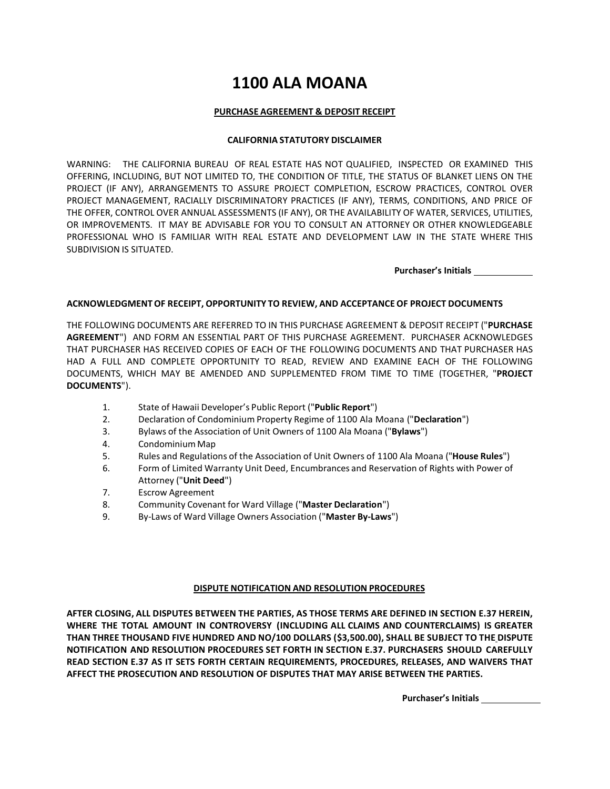# **1100 ALA MOANA**

#### **PURCHASE AGREEMENT & DEPOSIT RECEIPT**

#### **CALIFORNIA STATUTORY DISCLAIMER**

WARNING: THE CALIFORNIA BUREAU OF REAL ESTATE HAS NOT QUALIFIED, INSPECTED OR EXAMINED THIS OFFERING, INCLUDING, BUT NOT LIMITED TO, THE CONDITION OF TITLE, THE STATUS OF BLANKET LIENS ON THE PROJECT (IF ANY), ARRANGEMENTS TO ASSURE PROJECT COMPLETION, ESCROW PRACTICES, CONTROL OVER PROJECT MANAGEMENT, RACIALLY DISCRIMINATORY PRACTICES (IF ANY), TERMS, CONDITIONS, AND PRICE OF THE OFFER, CONTROL OVER ANNUAL ASSESSMENTS (IF ANY), OR THE AVAILABILITY OF WATER, SERVICES, UTILITIES, OR IMPROVEMENTS. IT MAY BE ADVISABLE FOR YOU TO CONSULT AN ATTORNEY OR OTHER KNOWLEDGEABLE PROFESSIONAL WHO IS FAMILIAR WITH REAL ESTATE AND DEVELOPMENT LAW IN THE STATE WHERE THIS SUBDIVISION IS SITUATED.

**Purchaser's Initials**

#### **ACKNOWLEDGMENTOF RECEIPT, OPPORTUNITY TO REVIEW, AND ACCEPTANCEOF PROJECT DOCUMENTS**

THE FOLLOWING DOCUMENTS ARE REFERRED TO IN THIS PURCHASE AGREEMENT & DEPOSIT RECEIPT ("**PURCHASE AGREEMENT**") AND FORM AN ESSENTIAL PART OF THIS PURCHASE AGREEMENT. PURCHASER ACKNOWLEDGES THAT PURCHASER HAS RECEIVED COPIES OF EACH OF THE FOLLOWING DOCUMENTS AND THAT PURCHASER HAS HAD A FULL AND COMPLETE OPPORTUNITY TO READ, REVIEW AND EXAMINE EACH OF THE FOLLOWING DOCUMENTS, WHICH MAY BE AMENDED AND SUPPLEMENTED FROM TIME TO TIME (TOGETHER, "**PROJECT DOCUMENTS**").

- 1. State of Hawaii Developer's Public Report ("**Public Report**")
- 2. Declaration of Condominium Property Regime of 1100 Ala Moana ("**Declaration**")
- 3. Bylaws of the Association of Unit Owners of 1100 Ala Moana ("**Bylaws**")
- 4. Condominium Map
- 5. Rules and Regulations of the Association of Unit Owners of 1100 Ala Moana ("**House Rules**")
- 6. Form of Limited Warranty Unit Deed, Encumbrances and Reservation of Rights with Power of Attorney ("**Unit Deed**")
- 7. Escrow Agreement
- 8. Community Covenant for Ward Village ("**Master Declaration**")
- 9. By-Laws of Ward Village Owners Association ("**Master By-Laws**")

## **DISPUTE NOTIFICATION AND RESOLUTION PROCEDURES**

**AFTER CLOSING, ALL DISPUTES BETWEEN THE PARTIES, AS THOSE TERMS ARE DEFINED IN SECTION E.37 HEREIN, WHERE THE TOTAL AMOUNT IN CONTROVERSY (INCLUDING ALL CLAIMS AND COUNTERCLAIMS) IS GREATER THAN THREE THOUSAND FIVE HUNDRED AND NO/100 DOLLARS (\$3,500.00), SHALL BE SUBJECT TO THE DISPUTE NOTIFICATION AND RESOLUTION PROCEDURES SET FORTH IN SECTION E.37. PURCHASERS SHOULD CAREFULLY READ SECTION E.37 AS IT SETS FORTH CERTAIN REQUIREMENTS, PROCEDURES, RELEASES, AND WAIVERS THAT AFFECT THE PROSECUTION AND RESOLUTION OF DISPUTES THAT MAY ARISE BETWEEN THE PARTIES.**

**Purchaser's Initials**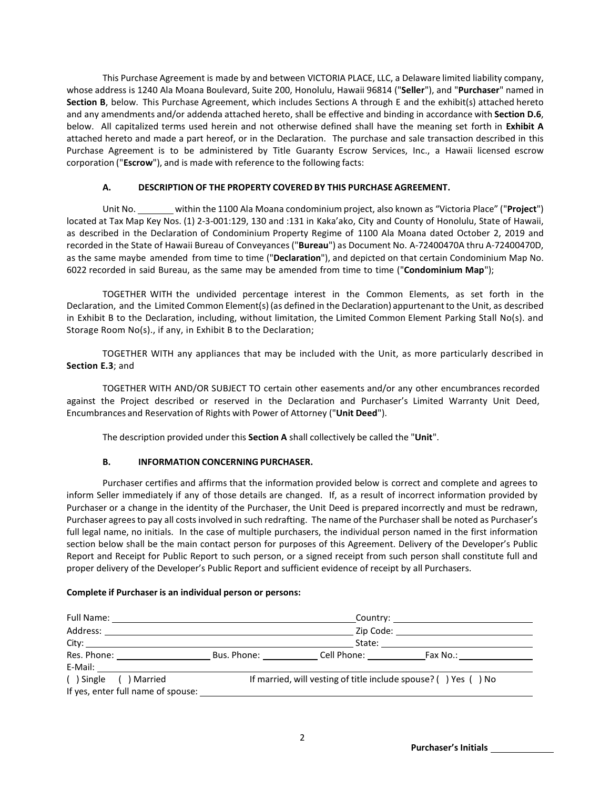This Purchase Agreement is made by and between VICTORIA PLACE, LLC, a Delaware limited liability company, whose address is 1240 Ala Moana Boulevard, Suite 200, Honolulu, Hawaii 96814 ("**Seller**"), and "**Purchaser**" named in **Section B**, below. This Purchase Agreement, which includes Sections A through E and the exhibit(s) attached hereto and any amendments and/or addenda attached hereto, shall be effective and binding in accordance with **Section D.6**, below. All capitalized terms used herein and not otherwise defined shall have the meaning set forth in **Exhibit A** attached hereto and made a part hereof, or in the Declaration. The purchase and sale transaction described in this Purchase Agreement is to be administered by Title Guaranty Escrow Services, Inc., a Hawaii licensed escrow corporation ("**Escrow**"), and is made with reference to the following facts:

## **A. DESCRIPTION OF THE PROPERTY COVERED BY THIS PURCHASE AGREEMENT.**

Unit No. within the 1100 Ala Moana condominium project, also known as "Victoria Place" ("Project") located at Tax Map Key Nos. (1) 2-3-001:129, 130 and :131 in Kaka'ako, City and County of Honolulu, State of Hawaii, as described in the Declaration of Condominium Property Regime of 1100 Ala Moana dated October 2, 2019 and recorded in the State of Hawaii Bureau of Conveyances ("**Bureau**") as Document No. A-72400470A thru A-72400470D, as the same maybe amended from time to time ("**Declaration**"), and depicted on that certain Condominium Map No. 6022 recorded in said Bureau, as the same may be amended from time to time ("**Condominium Map**");

TOGETHER WITH the undivided percentage interest in the Common Elements, as set forth in the Declaration, and the Limited Common Element(s) (as defined in the Declaration) appurtenantto the Unit, as described in Exhibit B to the Declaration, including, without limitation, the Limited Common Element Parking Stall No(s). and Storage Room No(s)., if any, in Exhibit B to the Declaration;

TOGETHER WITH any appliances that may be included with the Unit, as more particularly described in **Section E.3**; and

TOGETHER WITH AND/OR SUBJECT TO certain other easements and/or any other encumbrances recorded against the Project described or reserved in the Declaration and Purchaser's Limited Warranty Unit Deed, Encumbrances and Reservation of Rights with Power of Attorney ("**Unit Deed**").

The description provided under this **Section A** shall collectively be called the "**Unit**".

## **B. INFORMATION CONCERNING PURCHASER.**

Purchaser certifies and affirms that the information provided below is correct and complete and agrees to inform Seller immediately if any of those details are changed. If, as a result of incorrect information provided by Purchaser or a change in the identity of the Purchaser, the Unit Deed is prepared incorrectly and must be redrawn, Purchaser agrees to pay all costs involved in such redrafting. The name of the Purchaser shall be noted as Purchaser's full legal name, no initials. In the case of multiple purchasers, the individual person named in the first information section below shall be the main contact person for purposes of this Agreement. Delivery of the Developer's Public Report and Receipt for Public Report to such person, or a signed receipt from such person shall constitute full and proper delivery of the Developer's Public Report and sufficient evidence of receipt by all Purchasers.

## **Complete if Purchaser is an individual person or persons:**

|                                                                                                                                                                                                                               |                                                                          | Zip Code: _________________________ |                                                                                                                                                                                                                                |  |
|-------------------------------------------------------------------------------------------------------------------------------------------------------------------------------------------------------------------------------|--------------------------------------------------------------------------|-------------------------------------|--------------------------------------------------------------------------------------------------------------------------------------------------------------------------------------------------------------------------------|--|
|                                                                                                                                                                                                                               | State:                                                                   |                                     |                                                                                                                                                                                                                                |  |
| Res. Phone: The control of the control of the control of the control of the control of the control of the control of the control of the control of the control of the control of the control of the control of the control of |                                                                          | Bus. Phone: Cell Phone:             | Fax No.: The control of the control of the control of the control of the control of the control of the control of the control of the control of the control of the control of the control of the control of the control of the |  |
|                                                                                                                                                                                                                               |                                                                          |                                     |                                                                                                                                                                                                                                |  |
| () Single () Married<br>If yes, enter full name of spouse:                                                                                                                                                                    | If married, will vesting of title include spouse? $($ $)$ Yes $($ $)$ No |                                     |                                                                                                                                                                                                                                |  |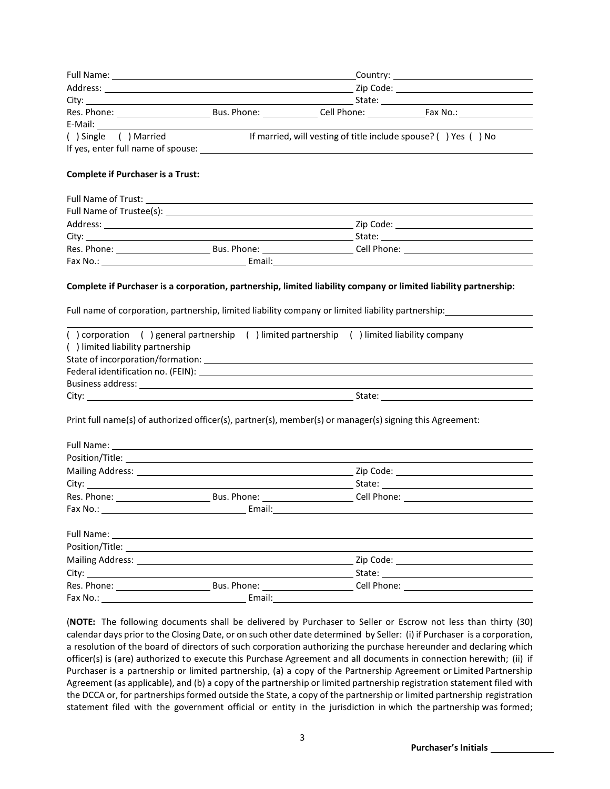| () Single () Married                                                                                                                   |                                                                                                                                                                                                                                | If married, will vesting of title include spouse? () Yes () No |  |  |
|----------------------------------------------------------------------------------------------------------------------------------------|--------------------------------------------------------------------------------------------------------------------------------------------------------------------------------------------------------------------------------|----------------------------------------------------------------|--|--|
|                                                                                                                                        |                                                                                                                                                                                                                                |                                                                |  |  |
| <b>Complete if Purchaser is a Trust:</b>                                                                                               |                                                                                                                                                                                                                                |                                                                |  |  |
|                                                                                                                                        |                                                                                                                                                                                                                                |                                                                |  |  |
|                                                                                                                                        | Full Name of Trustee(s): Note that the state of the state of the state of the state of the state of the state of the state of the state of the state of the state of the state of the state of the state of the state of the s |                                                                |  |  |
|                                                                                                                                        |                                                                                                                                                                                                                                |                                                                |  |  |
|                                                                                                                                        |                                                                                                                                                                                                                                |                                                                |  |  |
|                                                                                                                                        |                                                                                                                                                                                                                                |                                                                |  |  |
|                                                                                                                                        |                                                                                                                                                                                                                                |                                                                |  |  |
|                                                                                                                                        |                                                                                                                                                                                                                                |                                                                |  |  |
|                                                                                                                                        | () corporation () general partnership () limited partnership () limited liability company                                                                                                                                      |                                                                |  |  |
|                                                                                                                                        |                                                                                                                                                                                                                                |                                                                |  |  |
|                                                                                                                                        |                                                                                                                                                                                                                                |                                                                |  |  |
| Full name of corporation, partnership, limited liability company or limited liability partnership:<br>() limited liability partnership |                                                                                                                                                                                                                                |                                                                |  |  |
|                                                                                                                                        | Print full name(s) of authorized officer(s), partner(s), member(s) or manager(s) signing this Agreement:                                                                                                                       |                                                                |  |  |
|                                                                                                                                        | Full Name: Name and Second Contract and Second Contract of the Contract of the Contract of the Contract of the Contract of the Contract of the Contract of the Contract of the Contract of the Contract of the Contract of the |                                                                |  |  |
|                                                                                                                                        |                                                                                                                                                                                                                                |                                                                |  |  |
|                                                                                                                                        |                                                                                                                                                                                                                                |                                                                |  |  |
|                                                                                                                                        |                                                                                                                                                                                                                                |                                                                |  |  |
|                                                                                                                                        |                                                                                                                                                                                                                                |                                                                |  |  |
|                                                                                                                                        |                                                                                                                                                                                                                                |                                                                |  |  |
|                                                                                                                                        |                                                                                                                                                                                                                                |                                                                |  |  |
|                                                                                                                                        | Position/Title: Note and the set of the set of the set of the set of the set of the set of the set of the set of the set of the set of the set of the set of the set of the set of the set of the set of the set of the set of |                                                                |  |  |
|                                                                                                                                        |                                                                                                                                                                                                                                |                                                                |  |  |
|                                                                                                                                        |                                                                                                                                                                                                                                |                                                                |  |  |
|                                                                                                                                        |                                                                                                                                                                                                                                |                                                                |  |  |

(**NOTE:** The following documents shall be delivered by Purchaser to Seller or Escrow not less than thirty (30) calendar days prior to the Closing Date, or on such other date determined by Seller: (i) if Purchaser is a corporation, a resolution of the board of directors of such corporation authorizing the purchase hereunder and declaring which officer(s) is (are) authorized to execute this Purchase Agreement and all documents in connection herewith; (ii) if Purchaser is a partnership or limited partnership, (a) a copy of the Partnership Agreement or Limited Partnership Agreement (as applicable), and (b) a copy of the partnership or limited partnership registration statement filed with the DCCA or, for partnerships formed outside the State, a copy of the partnership or limited partnership registration statement filed with the government official or entity in the jurisdiction in which the partnership was formed;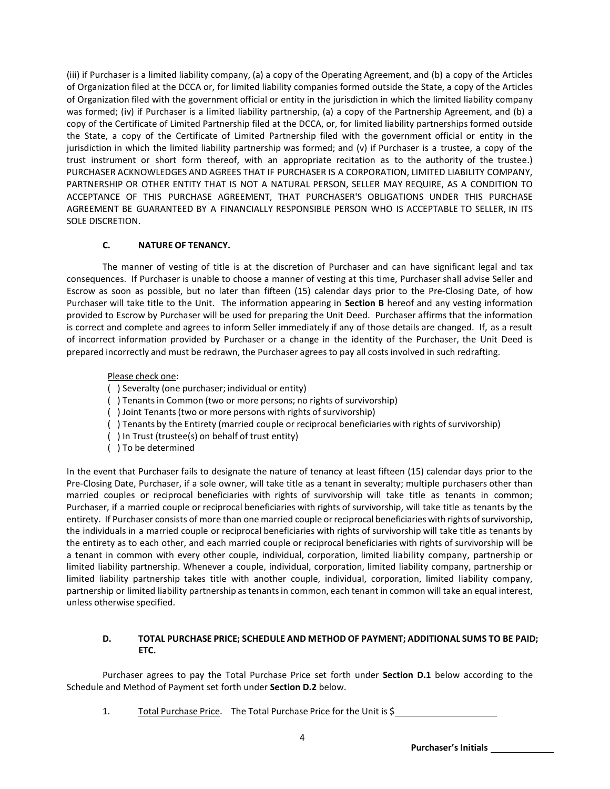(iii) if Purchaser is a limited liability company, (a) a copy of the Operating Agreement, and (b) a copy of the Articles of Organization filed at the DCCA or, for limited liability companies formed outside the State, a copy of the Articles of Organization filed with the government official or entity in the jurisdiction in which the limited liability company was formed; (iv) if Purchaser is a limited liability partnership, (a) a copy of the Partnership Agreement, and (b) a copy of the Certificate of Limited Partnership filed at the DCCA, or, for limited liability partnerships formed outside the State, a copy of the Certificate of Limited Partnership filed with the government official or entity in the jurisdiction in which the limited liability partnership was formed; and (v) if Purchaser is a trustee, a copy of the trust instrument or short form thereof, with an appropriate recitation as to the authority of the trustee.) PURCHASER ACKNOWLEDGES AND AGREES THAT IF PURCHASER IS A CORPORATION, LIMITED LIABILITY COMPANY, PARTNERSHIP OR OTHER ENTITY THAT IS NOT A NATURAL PERSON, SELLER MAY REQUIRE, AS A CONDITION TO ACCEPTANCE OF THIS PURCHASE AGREEMENT, THAT PURCHASER'S OBLIGATIONS UNDER THIS PURCHASE AGREEMENT BE GUARANTEED BY A FINANCIALLY RESPONSIBLE PERSON WHO IS ACCEPTABLE TO SELLER, IN ITS SOLE DISCRETION.

## **C. NATURE OF TENANCY.**

The manner of vesting of title is at the discretion of Purchaser and can have significant legal and tax consequences. If Purchaser is unable to choose a manner of vesting at this time, Purchaser shall advise Seller and Escrow as soon as possible, but no later than fifteen (15) calendar days prior to the Pre-Closing Date, of how Purchaser will take title to the Unit. The information appearing in **Section B** hereof and any vesting information provided to Escrow by Purchaser will be used for preparing the Unit Deed. Purchaser affirms that the information is correct and complete and agrees to inform Seller immediately if any of those details are changed. If, as a result of incorrect information provided by Purchaser or a change in the identity of the Purchaser, the Unit Deed is prepared incorrectly and must be redrawn, the Purchaser agrees to pay all costs involved in such redrafting.

#### Please check one:

- ( ) Severalty (one purchaser; individual or entity)
- ( ) Tenantsin Common (two or more persons; no rights of survivorship)
- ( ) Joint Tenants(two or more persons with rights of survivorship)
- ( ) Tenants by the Entirety (married couple or reciprocal beneficiaries with rights of survivorship)
- ( ) In Trust (trustee(s) on behalf of trust entity)
- ( ) To be determined

In the event that Purchaser fails to designate the nature of tenancy at least fifteen (15) calendar days prior to the Pre-Closing Date, Purchaser, if a sole owner, will take title as a tenant in severalty; multiple purchasers other than married couples or reciprocal beneficiaries with rights of survivorship will take title as tenants in common; Purchaser, if a married couple or reciprocal beneficiaries with rights of survivorship, will take title as tenants by the entirety. If Purchaser consists of more than one married couple or reciprocal beneficiaries with rights of survivorship, the individuals in a married couple or reciprocal beneficiaries with rights of survivorship will take title as tenants by the entirety as to each other, and each married couple or reciprocal beneficiaries with rights of survivorship will be a tenant in common with every other couple, individual, corporation, limited liability company, partnership or limited liability partnership. Whenever a couple, individual, corporation, limited liability company, partnership or limited liability partnership takes title with another couple, individual, corporation, limited liability company, partnership or limited liability partnership astenantsin common, each tenant in common will take an equal interest, unless otherwise specified.

## **D. TOTAL PURCHASE PRICE; SCHEDULE AND METHOD OF PAYMENT; ADDITIONAL SUMS TO BE PAID; ETC.**

Purchaser agrees to pay the Total Purchase Price set forth under **Section D.1** below according to the Schedule and Method of Payment set forth under **Section D.2** below.

1. Total Purchase Price. The Total Purchase Price for the Unit is \$

**Purchaser's Initials**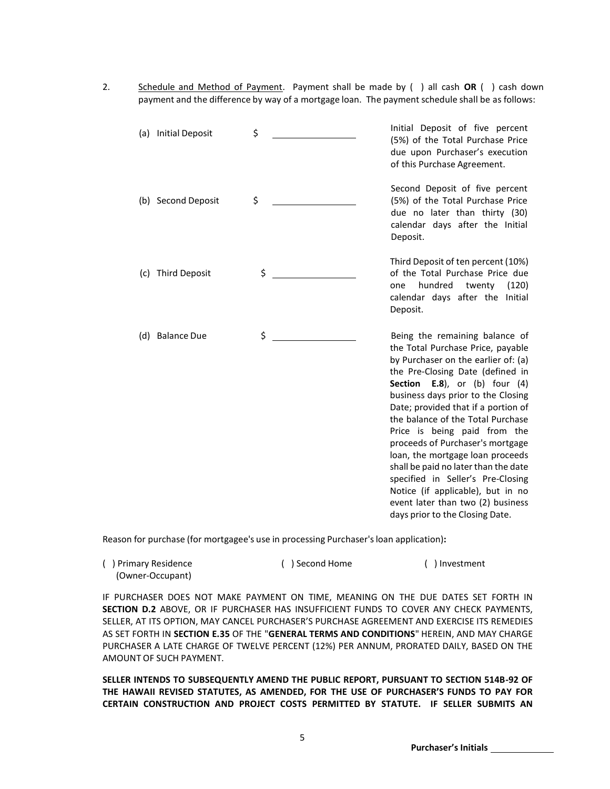2. Schedule and Method of Payment. Payment shall be made by ( ) all cash **OR** ( ) cash down payment and the difference by way of a mortgage loan. The payment schedule shall be as follows:

|     | (a) Initial Deposit | \$<br>Initial Deposit of five percent<br>(5%) of the Total Purchase Price<br>due upon Purchaser's execution<br>of this Purchase Agreement.                                                                                                                                                                                                                                                                                                                                                                                                                                                                         |
|-----|---------------------|--------------------------------------------------------------------------------------------------------------------------------------------------------------------------------------------------------------------------------------------------------------------------------------------------------------------------------------------------------------------------------------------------------------------------------------------------------------------------------------------------------------------------------------------------------------------------------------------------------------------|
|     | (b) Second Deposit  | \$<br>Second Deposit of five percent<br>(5%) of the Total Purchase Price<br>due no later than thirty (30)<br>calendar days after the Initial<br>Deposit.                                                                                                                                                                                                                                                                                                                                                                                                                                                           |
|     | (c) Third Deposit   | \$<br>Third Deposit of ten percent (10%)<br>of the Total Purchase Price due<br>hundred<br>twenty<br>(120)<br>one<br>calendar days after the Initial<br>Deposit.                                                                                                                                                                                                                                                                                                                                                                                                                                                    |
| (d) | <b>Balance Due</b>  | \$<br>Being the remaining balance of<br>the Total Purchase Price, payable<br>by Purchaser on the earlier of: (a)<br>the Pre-Closing Date (defined in<br><b>Section</b> E.8), or (b) four $(4)$<br>business days prior to the Closing<br>Date; provided that if a portion of<br>the balance of the Total Purchase<br>Price is being paid from the<br>proceeds of Purchaser's mortgage<br>loan, the mortgage loan proceeds<br>shall be paid no later than the date<br>specified in Seller's Pre-Closing<br>Notice (if applicable), but in no<br>event later than two (2) business<br>days prior to the Closing Date. |

Reason for purchase (for mortgagee's use in processing Purchaser'sloan application)**:**

| () Primary Residence | () Second Home | () Investment |
|----------------------|----------------|---------------|
| (Owner-Occupant)     |                |               |

IF PURCHASER DOES NOT MAKE PAYMENT ON TIME, MEANING ON THE DUE DATES SET FORTH IN **SECTION D.2** ABOVE, OR IF PURCHASER HAS INSUFFICIENT FUNDS TO COVER ANY CHECK PAYMENTS, SELLER, AT ITS OPTION, MAY CANCEL PURCHASER'S PURCHASE AGREEMENT AND EXERCISE ITS REMEDIES AS SET FORTH IN **SECTION E.35** OF THE "**GENERAL TERMS AND CONDITIONS**" HEREIN, AND MAY CHARGE PURCHASER A LATE CHARGE OF TWELVE PERCENT (12%) PER ANNUM, PRORATED DAILY, BASED ON THE AMOUNT OF SUCH PAYMENT.

**SELLER INTENDS TO SUBSEQUENTLY AMEND THE PUBLIC REPORT, PURSUANT TO SECTION 514B-92 OF THE HAWAII REVISED STATUTES, AS AMENDED, FOR THE USE OF PURCHASER'S FUNDS TO PAY FOR CERTAIN CONSTRUCTION AND PROJECT COSTS PERMITTED BY STATUTE. IF SELLER SUBMITS AN** 

**Purchaser's Initials**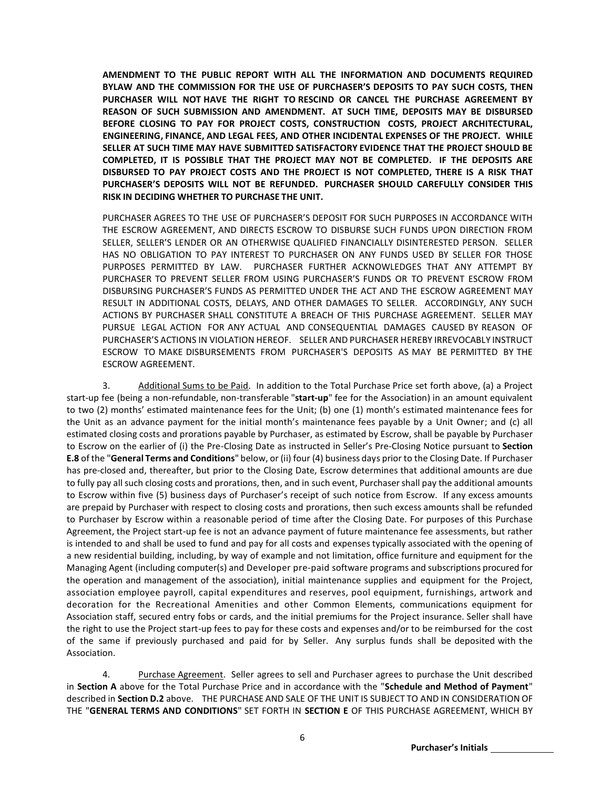**AMENDMENT TO THE PUBLIC REPORT WITH ALL THE INFORMATION AND DOCUMENTS REQUIRED BYLAW AND THE COMMISSION FOR THE USE OF PURCHASER'S DEPOSITS TO PAY SUCH COSTS, THEN PURCHASER WILL NOT HAVE THE RIGHT TO RESCIND OR CANCEL THE PURCHASE AGREEMENT BY REASON OF SUCH SUBMISSION AND AMENDMENT. AT SUCH TIME, DEPOSITS MAY BE DISBURSED BEFORE CLOSING TO PAY FOR PROJECT COSTS, CONSTRUCTION COSTS, PROJECT ARCHITECTURAL, ENGINEERING, FINANCE, AND LEGAL FEES, AND OTHER INCIDENTAL EXPENSES OF THE PROJECT. WHILE SELLER AT SUCH TIME MAY HAVE SUBMITTED SATISFACTORY EVIDENCE THAT THE PROJECT SHOULD BE COMPLETED, IT IS POSSIBLE THAT THE PROJECT MAY NOT BE COMPLETED. IF THE DEPOSITS ARE DISBURSED TO PAY PROJECT COSTS AND THE PROJECT IS NOT COMPLETED, THERE IS A RISK THAT PURCHASER'S DEPOSITS WILL NOT BE REFUNDED. PURCHASER SHOULD CAREFULLY CONSIDER THIS RISK IN DECIDING WHETHER TO PURCHASE THE UNIT.**

PURCHASER AGREES TO THE USE OF PURCHASER'S DEPOSIT FOR SUCH PURPOSES IN ACCORDANCE WITH THE ESCROW AGREEMENT, AND DIRECTS ESCROW TO DISBURSE SUCH FUNDS UPON DIRECTION FROM SELLER, SELLER'S LENDER OR AN OTHERWISE QUALIFIED FINANCIALLY DISINTERESTED PERSON. SELLER HAS NO OBLIGATION TO PAY INTEREST TO PURCHASER ON ANY FUNDS USED BY SELLER FOR THOSE PURPOSES PERMITTED BY LAW. PURCHASER FURTHER ACKNOWLEDGES THAT ANY ATTEMPT BY PURCHASER TO PREVENT SELLER FROM USING PURCHASER'S FUNDS OR TO PREVENT ESCROW FROM DISBURSING PURCHASER'S FUNDS AS PERMITTED UNDER THE ACT AND THE ESCROW AGREEMENT MAY RESULT IN ADDITIONAL COSTS, DELAYS, AND OTHER DAMAGES TO SELLER. ACCORDINGLY, ANY SUCH ACTIONS BY PURCHASER SHALL CONSTITUTE A BREACH OF THIS PURCHASE AGREEMENT. SELLER MAY PURSUE LEGAL ACTION FOR ANY ACTUAL AND CONSEQUENTIAL DAMAGES CAUSED BY REASON OF PURCHASER'S ACTIONS IN VIOLATION HEREOF. SELLER AND PURCHASER HEREBY IRREVOCABLY INSTRUCT ESCROW TO MAKE DISBURSEMENTS FROM PURCHASER'S DEPOSITS AS MAY BE PERMITTED BY THE ESCROW AGREEMENT.

3. Additional Sums to be Paid. In addition to the Total Purchase Price set forth above, (a) a Project start-up fee (being a non-refundable, non-transferable "**start-up**" fee for the Association) in an amount equivalent to two (2) months' estimated maintenance fees for the Unit; (b) one (1) month's estimated maintenance fees for the Unit as an advance payment for the initial month's maintenance fees payable by a Unit Owner; and (c) all estimated closing costs and prorations payable by Purchaser, as estimated by Escrow, shall be payable by Purchaser to Escrow on the earlier of (i) the Pre-Closing Date as instructed in Seller's Pre-Closing Notice pursuant to **Section E.8** of the "**General Terms and Conditions**" below, or (ii) four (4) business days prior to the Closing Date. If Purchaser has pre-closed and, thereafter, but prior to the Closing Date, Escrow determines that additional amounts are due to fully pay all such closing costs and prorations, then, and in such event, Purchasershall pay the additional amounts to Escrow within five (5) business days of Purchaser's receipt of such notice from Escrow. If any excess amounts are prepaid by Purchaser with respect to closing costs and prorations, then such excess amounts shall be refunded to Purchaser by Escrow within a reasonable period of time after the Closing Date. For purposes of this Purchase Agreement, the Project start-up fee is not an advance payment of future maintenance fee assessments, but rather is intended to and shall be used to fund and pay for all costs and expenses typically associated with the opening of a new residential building, including, by way of example and not limitation, office furniture and equipment for the Managing Agent (including computer(s) and Developer pre-paid software programs and subscriptions procured for the operation and management of the association), initial maintenance supplies and equipment for the Project, association employee payroll, capital expenditures and reserves, pool equipment, furnishings, artwork and decoration for the Recreational Amenities and other Common Elements, communications equipment for Association staff, secured entry fobs or cards, and the initial premiums for the Project insurance. Seller shall have the right to use the Project start-up fees to pay for these costs and expenses and/or to be reimbursed for the cost of the same if previously purchased and paid for by Seller. Any surplus funds shall be deposited with the Association.

4. Purchase Agreement. Seller agrees to sell and Purchaser agrees to purchase the Unit described in **Section A** above for the Total Purchase Price and in accordance with the "**Schedule and Method of Payment**" described in **Section D.2** above. THE PURCHASE AND SALE OF THE UNIT IS SUBJECT TO AND IN CONSIDERATION OF THE "**GENERAL TERMS AND CONDITIONS**" SET FORTH IN **SECTION E** OF THIS PURCHASE AGREEMENT, WHICH BY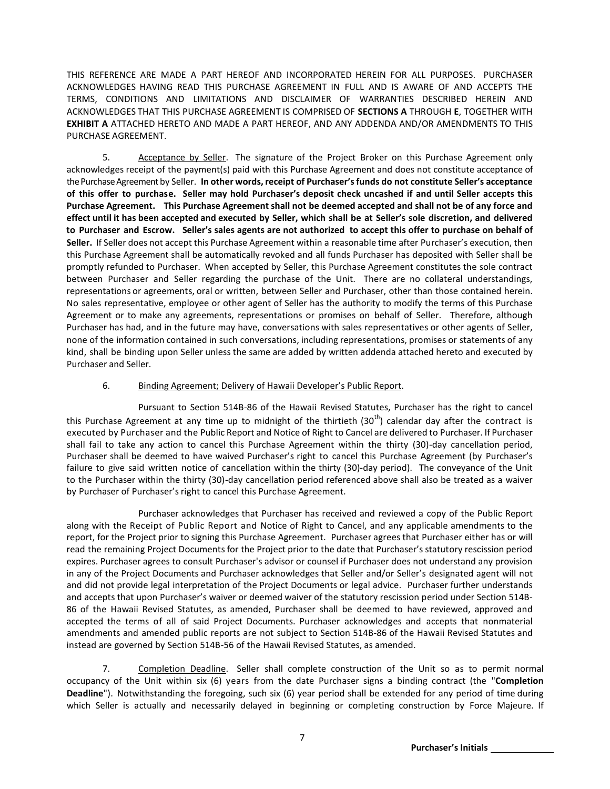THIS REFERENCE ARE MADE A PART HEREOF AND INCORPORATED HEREIN FOR ALL PURPOSES. PURCHASER ACKNOWLEDGES HAVING READ THIS PURCHASE AGREEMENT IN FULL AND IS AWARE OF AND ACCEPTS THE TERMS, CONDITIONS AND LIMITATIONS AND DISCLAIMER OF WARRANTIES DESCRIBED HEREIN AND ACKNOWLEDGES THAT THIS PURCHASE AGREEMENT IS COMPRISED OF **SECTIONS A** THROUGH **E**, TOGETHER WITH **EXHIBIT A** ATTACHED HERETO AND MADE A PART HEREOF, AND ANY ADDENDA AND/OR AMENDMENTS TO THIS PURCHASE AGREEMENT.

5. Acceptance by Seller. The signature of the Project Broker on this Purchase Agreement only acknowledges receipt of the payment(s) paid with this Purchase Agreement and does not constitute acceptance of the Purchase Agreement by Seller. **In other words, receipt of Purchaser's funds do not constitute Seller's acceptance of this offer to purchase. Seller may hold Purchaser's deposit check uncashed if and until Seller accepts this Purchase Agreement. This Purchase Agreementshall not be deemed accepted and shall not be of any force and**  effect until it has been accepted and executed by Seller, which shall be at Seller's sole discretion, and delivered **to Purchaser and Escrow. Seller's sales agents are not authorized to accept this offer to purchase on behalf of Seller.** If Seller does not accept this Purchase Agreement within a reasonable time after Purchaser's execution, then this Purchase Agreement shall be automatically revoked and all funds Purchaser has deposited with Seller shall be promptly refunded to Purchaser. When accepted by Seller, this Purchase Agreement constitutes the sole contract between Purchaser and Seller regarding the purchase of the Unit. There are no collateral understandings, representations or agreements, oral or written, between Seller and Purchaser, other than those contained herein. No sales representative, employee or other agent of Seller has the authority to modify the terms of this Purchase Agreement or to make any agreements, representations or promises on behalf of Seller. Therefore, although Purchaser has had, and in the future may have, conversations with sales representatives or other agents of Seller, none of the information contained in such conversations, including representations, promises or statements of any kind, shall be binding upon Seller unless the same are added by written addenda attached hereto and executed by Purchaser and Seller.

#### 6. Binding Agreement; Delivery of Hawaii Developer's Public Report.

Pursuant to Section 514B-86 of the Hawaii Revised Statutes, Purchaser has the right to cancel this Purchase Agreement at any time up to midnight of the thirtieth (30<sup>th</sup>) calendar day after the contract is executed by Purchaser and the Public Report and Notice of Right to Cancel are delivered to Purchaser. If Purchaser shall fail to take any action to cancel this Purchase Agreement within the thirty (30)-day cancellation period, Purchaser shall be deemed to have waived Purchaser's right to cancel this Purchase Agreement (by Purchaser's failure to give said written notice of cancellation within the thirty (30)-day period). The conveyance of the Unit to the Purchaser within the thirty (30)-day cancellation period referenced above shall also be treated as a waiver by Purchaser of Purchaser's right to cancel this Purchase Agreement.

Purchaser acknowledges that Purchaser has received and reviewed a copy of the Public Report along with the Receipt of Public Report and Notice of Right to Cancel, and any applicable amendments to the report, for the Project prior to signing this Purchase Agreement. Purchaser agrees that Purchaser either has or will read the remaining Project Documentsfor the Project prior to the date that Purchaser's statutory rescission period expires. Purchaser agrees to consult Purchaser's advisor or counsel if Purchaser does not understand any provision in any of the Project Documents and Purchaser acknowledges that Seller and/or Seller's designated agent will not and did not provide legal interpretation of the Project Documents or legal advice. Purchaser further understands and accepts that upon Purchaser's waiver or deemed waiver of the statutory rescission period under Section 514B-86 of the Hawaii Revised Statutes, as amended, Purchaser shall be deemed to have reviewed, approved and accepted the terms of all of said Project Documents. Purchaser acknowledges and accepts that nonmaterial amendments and amended public reports are not subject to Section 514B-86 of the Hawaii Revised Statutes and instead are governed by Section 514B-56 of the Hawaii Revised Statutes, as amended.

7. Completion Deadline. Seller shall complete construction of the Unit so as to permit normal occupancy of the Unit within six (6) years from the date Purchaser signs a binding contract (the "**Completion Deadline**"). Notwithstanding the foregoing, such six (6) year period shall be extended for any period of time during which Seller is actually and necessarily delayed in beginning or completing construction by Force Majeure. If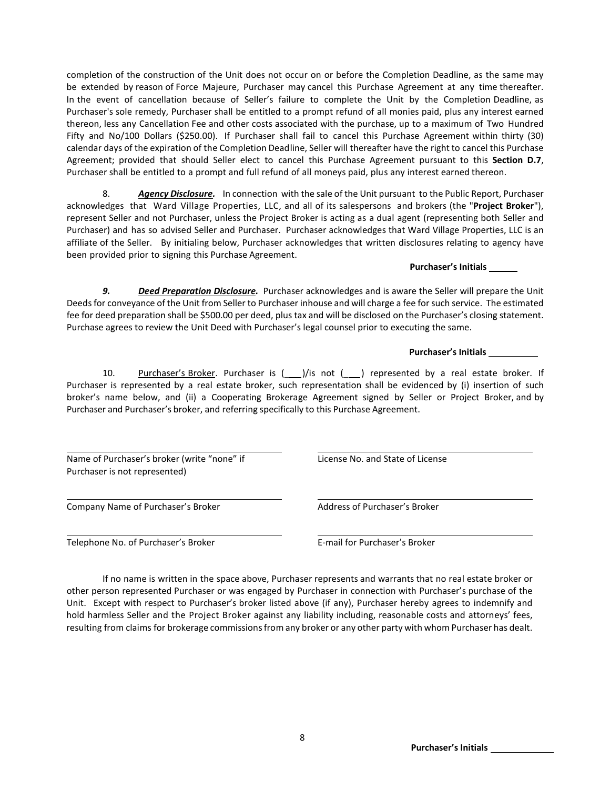completion of the construction of the Unit does not occur on or before the Completion Deadline, as the same may be extended by reason of Force Majeure, Purchaser may cancel this Purchase Agreement at any time thereafter. In the event of cancellation because of Seller's failure to complete the Unit by the Completion Deadline, as Purchaser's sole remedy, Purchaser shall be entitled to a prompt refund of all monies paid, plus any interest earned thereon, less any Cancellation Fee and other costs associated with the purchase, up to a maximum of Two Hundred Fifty and No/100 Dollars (\$250.00). If Purchaser shall fail to cancel this Purchase Agreement within thirty (30) calendar days of the expiration of the Completion Deadline, Seller will thereafter have the right to cancel this Purchase Agreement; provided that should Seller elect to cancel this Purchase Agreement pursuant to this **Section D.7**, Purchaser shall be entitled to a prompt and full refund of all moneys paid, plus any interest earned thereon.

8. *Agency Disclosure.* In connection with the sale of the Unit pursuant to the Public Report, Purchaser acknowledges that Ward Village Properties, LLC, and all of its salespersons and brokers (the "**Project Broker**"), represent Seller and not Purchaser, unless the Project Broker is acting as a dual agent (representing both Seller and Purchaser) and has so advised Seller and Purchaser. Purchaser acknowledges that Ward Village Properties, LLC is an affiliate of the Seller. By initialing below, Purchaser acknowledges that written disclosures relating to agency have been provided prior to signing this Purchase Agreement.

**Purchaser's Initials**

*9. Deed Preparation Disclosure.* Purchaser acknowledges and is aware the Seller will prepare the Unit Deeds for conveyance of the Unit from Seller to Purchaser inhouse and will charge a fee for such service. The estimated fee for deed preparation shall be \$500.00 per deed, plus tax and will be disclosed on the Purchaser's closing statement. Purchase agrees to review the Unit Deed with Purchaser's legal counsel prior to executing the same.

## **Purchaser's Initials**

10. Purchaser's Broker. Purchaser is  $($  //is not  $($  ) represented by a real estate broker. If Purchaser is represented by a real estate broker, such representation shall be evidenced by (i) insertion of such broker's name below, and (ii) a Cooperating Brokerage Agreement signed by Seller or Project Broker, and by Purchaser and Purchaser's broker, and referring specifically to this Purchase Agreement.

Name of Purchaser's broker (write "none" if License No. and State of License Purchaser is not represented)

Company Name of Purchaser's Broker Address of Purchaser's Broker

Telephone No. of Purchaser's Broker **E-mail for Purchaser's Broker** 

If no name is written in the space above, Purchaser represents and warrants that no real estate broker or other person represented Purchaser or was engaged by Purchaser in connection with Purchaser's purchase of the Unit. Except with respect to Purchaser's broker listed above (if any), Purchaser hereby agrees to indemnify and hold harmless Seller and the Project Broker against any liability including, reasonable costs and attorneys' fees, resulting from claims for brokerage commissions from any broker or any other party with whom Purchaser has dealt.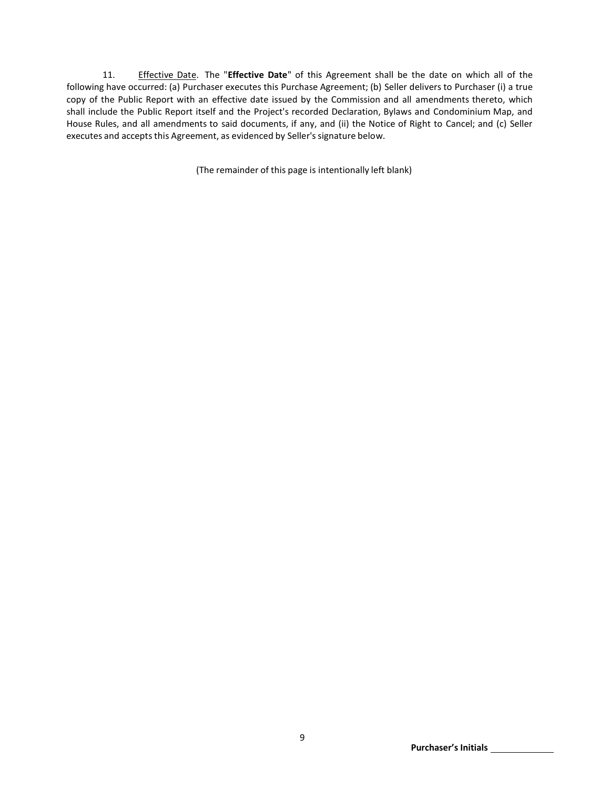11. Effective Date. The "**Effective Date**" of this Agreement shall be the date on which all of the following have occurred: (a) Purchaser executes this Purchase Agreement; (b) Seller delivers to Purchaser (i) a true copy of the Public Report with an effective date issued by the Commission and all amendments thereto, which shall include the Public Report itself and the Project's recorded Declaration, Bylaws and Condominium Map, and House Rules, and all amendments to said documents, if any, and (ii) the Notice of Right to Cancel; and (c) Seller executes and accepts this Agreement, as evidenced by Seller's signature below.

(The remainder of this page is intentionally left blank)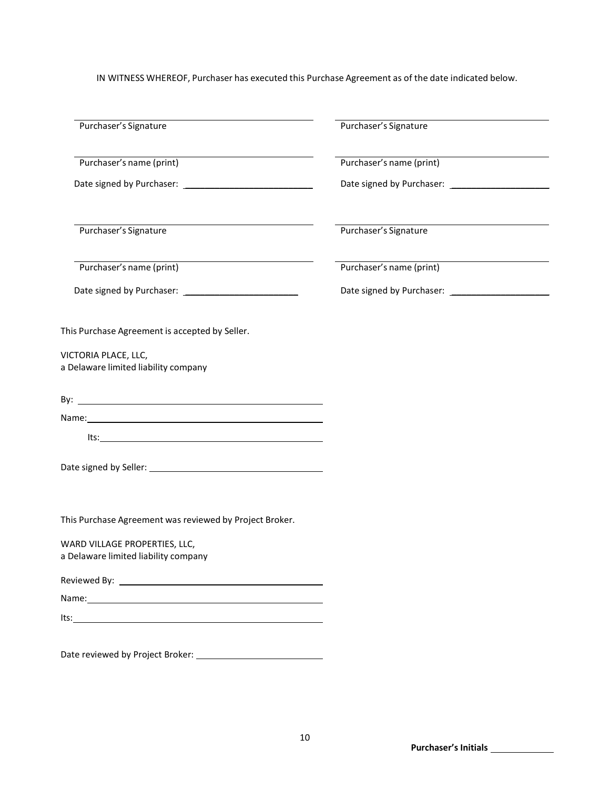IN WITNESS WHEREOF, Purchaser has executed this Purchase Agreement as of the date indicated below.

| Purchaser's Signature                                                                                                                                                                                                                                                                                                                                                             | Purchaser's Signature    |  |
|-----------------------------------------------------------------------------------------------------------------------------------------------------------------------------------------------------------------------------------------------------------------------------------------------------------------------------------------------------------------------------------|--------------------------|--|
| Purchaser's name (print)                                                                                                                                                                                                                                                                                                                                                          | Purchaser's name (print) |  |
|                                                                                                                                                                                                                                                                                                                                                                                   |                          |  |
|                                                                                                                                                                                                                                                                                                                                                                                   |                          |  |
|                                                                                                                                                                                                                                                                                                                                                                                   |                          |  |
| Purchaser's Signature                                                                                                                                                                                                                                                                                                                                                             | Purchaser's Signature    |  |
| <u> 1989 - Johann Barn, mars ann an t-Amhain an t-Amhain an t-Amhain an t-Amhain an t-Amhain an t-Amhain an t-Amh</u><br>Purchaser's name (print)                                                                                                                                                                                                                                 | Purchaser's name (print) |  |
|                                                                                                                                                                                                                                                                                                                                                                                   |                          |  |
|                                                                                                                                                                                                                                                                                                                                                                                   |                          |  |
| This Purchase Agreement is accepted by Seller.                                                                                                                                                                                                                                                                                                                                    |                          |  |
| VICTORIA PLACE, LLC,<br>a Delaware limited liability company                                                                                                                                                                                                                                                                                                                      |                          |  |
|                                                                                                                                                                                                                                                                                                                                                                                   |                          |  |
|                                                                                                                                                                                                                                                                                                                                                                                   |                          |  |
| $\begin{picture}(180,10) \put(0,0){\dashbox{0.5}(10,0){ }} \put(150,0){\circle{10}} \put(150,0){\circle{10}} \put(150,0){\circle{10}} \put(150,0){\circle{10}} \put(150,0){\circle{10}} \put(150,0){\circle{10}} \put(150,0){\circle{10}} \put(150,0){\circle{10}} \put(150,0){\circle{10}} \put(150,0){\circle{10}} \put(150,0){\circle{10}} \put(150,0){\circle{10}} \put(150,$ |                          |  |
|                                                                                                                                                                                                                                                                                                                                                                                   |                          |  |
| This Purchase Agreement was reviewed by Project Broker.                                                                                                                                                                                                                                                                                                                           |                          |  |
|                                                                                                                                                                                                                                                                                                                                                                                   |                          |  |
| WARD VILLAGE PROPERTIES, LLC,<br>a Delaware limited liability company                                                                                                                                                                                                                                                                                                             |                          |  |
|                                                                                                                                                                                                                                                                                                                                                                                   |                          |  |
| Name: Name and the second contract of the second contract of the second contract of the second contract of the second contract of the second contract of the second contract of the second contract of the second contract of                                                                                                                                                     |                          |  |
|                                                                                                                                                                                                                                                                                                                                                                                   |                          |  |
|                                                                                                                                                                                                                                                                                                                                                                                   |                          |  |
|                                                                                                                                                                                                                                                                                                                                                                                   |                          |  |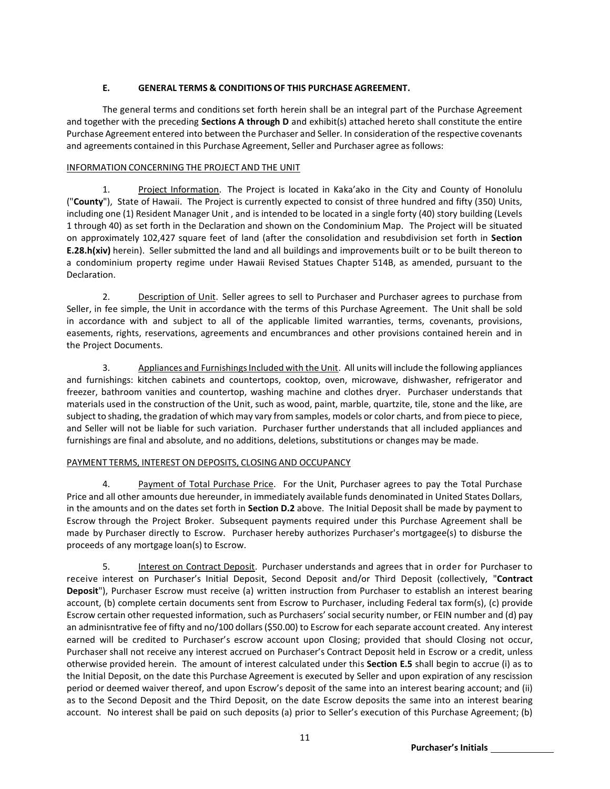# **E. GENERAL TERMS & CONDITIONSOF THIS PURCHASE AGREEMENT.**

The general terms and conditions set forth herein shall be an integral part of the Purchase Agreement and together with the preceding **Sections A through D** and exhibit(s) attached hereto shall constitute the entire Purchase Agreement entered into between the Purchaser and Seller. In consideration of the respective covenants and agreements contained in this Purchase Agreement, Seller and Purchaser agree as follows:

## INFORMATION CONCERNING THE PROJECT AND THE UNIT

1. Project Information. The Project is located in Kaka'ako in the City and County of Honolulu ("**County**"), State of Hawaii. The Project is currently expected to consist of three hundred and fifty (350) Units, including one (1) Resident Manager Unit , and is intended to be located in a single forty (40) story building (Levels 1 through 40) as set forth in the Declaration and shown on the Condominium Map. The Project will be situated on approximately 102,427 square feet of land (after the consolidation and resubdivision set forth in **Section E.28.h(xiv)** herein). Seller submitted the land and all buildings and improvements built or to be built thereon to a condominium property regime under Hawaii Revised Statues Chapter 514B, as amended, pursuant to the Declaration.

2. Description of Unit. Seller agrees to sell to Purchaser and Purchaser agrees to purchase from Seller, in fee simple, the Unit in accordance with the terms of this Purchase Agreement. The Unit shall be sold in accordance with and subject to all of the applicable limited warranties, terms, covenants, provisions, easements, rights, reservations, agreements and encumbrances and other provisions contained herein and in the Project Documents.

3. Appliances and FurnishingsIncluded with the Unit. All units will include the following appliances and furnishings: kitchen cabinets and countertops, cooktop, oven, microwave, dishwasher, refrigerator and freezer, bathroom vanities and countertop, washing machine and clothes dryer. Purchaser understands that materials used in the construction of the Unit, such as wood, paint, marble, quartzite, tile, stone and the like, are subject to shading, the gradation of which may vary from samples, models or color charts, and from piece to piece, and Seller will not be liable for such variation. Purchaser further understands that all included appliances and furnishings are final and absolute, and no additions, deletions, substitutions or changes may be made.

# PAYMENT TERMS, INTEREST ON DEPOSITS, CLOSING AND OCCUPANCY

4. Payment of Total Purchase Price. For the Unit, Purchaser agrees to pay the Total Purchase Price and all other amounts due hereunder, in immediately available funds denominated in United States Dollars, in the amounts and on the dates set forth in **Section D.2** above. The Initial Deposit shall be made by payment to Escrow through the Project Broker. Subsequent payments required under this Purchase Agreement shall be made by Purchaser directly to Escrow. Purchaser hereby authorizes Purchaser's mortgagee(s) to disburse the proceeds of any mortgage loan(s) to Escrow.

5. Interest on Contract Deposit. Purchaser understands and agrees that in order for Purchaser to receive interest on Purchaser's Initial Deposit, Second Deposit and/or Third Deposit (collectively, "**Contract Deposit**"), Purchaser Escrow must receive (a) written instruction from Purchaser to establish an interest bearing account, (b) complete certain documents sent from Escrow to Purchaser, including Federal tax form(s), (c) provide Escrow certain other requested information, such as Purchasers' social security number, or FEIN number and (d) pay an adminisntrative fee of fifty and no/100 dollars (\$50.00) to Escrow for each separate account created. Any interest earned will be credited to Purchaser's escrow account upon Closing; provided that should Closing not occur, Purchaser shall not receive any interest accrued on Purchaser's Contract Deposit held in Escrow or a credit, unless otherwise provided herein. The amount of interest calculated under this **Section E.5** shall begin to accrue (i) as to the Initial Deposit, on the date this Purchase Agreement is executed by Seller and upon expiration of any rescission period or deemed waiver thereof, and upon Escrow's deposit of the same into an interest bearing account; and (ii) as to the Second Deposit and the Third Deposit, on the date Escrow deposits the same into an interest bearing account. No interest shall be paid on such deposits (a) prior to Seller's execution of this Purchase Agreement; (b)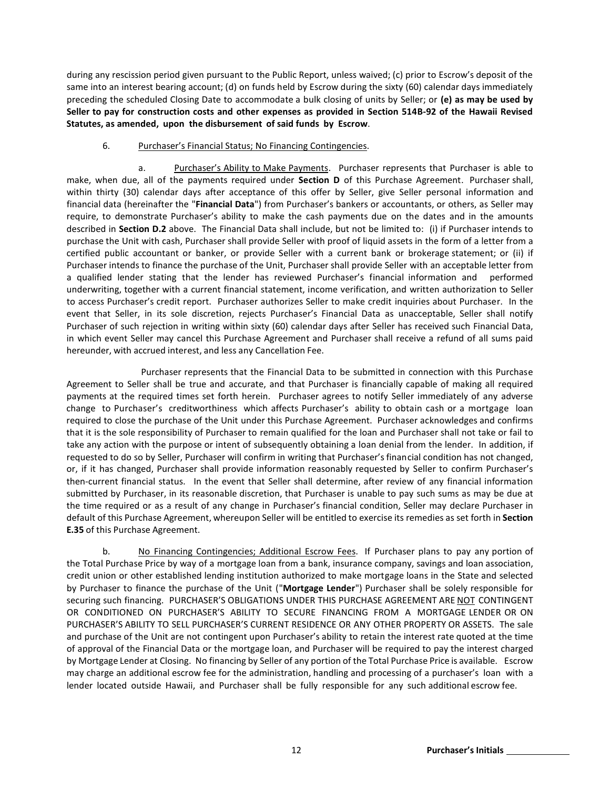during any rescission period given pursuant to the Public Report, unless waived; (c) prior to Escrow's deposit of the same into an interest bearing account; (d) on funds held by Escrow during the sixty (60) calendar days immediately preceding the scheduled Closing Date to accommodate a bulk closing of units by Seller; or **(e) as may be used by Seller to pay for construction costs and other expenses as provided in Section 514B-92 of the Hawaii Revised Statutes, as amended, upon the disbursement of said funds by Escrow**.

#### 6. Purchaser's Financial Status; No Financing Contingencies.

a. Purchaser's Ability to Make Payments. Purchaser represents that Purchaser is able to make, when due, all of the payments required under **Section D** of this Purchase Agreement. Purchaser shall, within thirty (30) calendar days after acceptance of this offer by Seller, give Seller personal information and financial data (hereinafter the "**Financial Data**") from Purchaser's bankers or accountants, or others, as Seller may require, to demonstrate Purchaser's ability to make the cash payments due on the dates and in the amounts described in **Section D.2** above. The Financial Data shall include, but not be limited to: (i) if Purchaser intends to purchase the Unit with cash, Purchaser shall provide Seller with proof of liquid assets in the form of a letter from a certified public accountant or banker, or provide Seller with a current bank or brokerage statement; or (ii) if Purchaser intends to finance the purchase of the Unit, Purchaser shall provide Seller with an acceptable letter from a qualified lender stating that the lender has reviewed Purchaser's financial information and performed underwriting, together with a current financial statement, income verification, and written authorization to Seller to access Purchaser's credit report. Purchaser authorizes Seller to make credit inquiries about Purchaser. In the event that Seller, in its sole discretion, rejects Purchaser's Financial Data as unacceptable, Seller shall notify Purchaser of such rejection in writing within sixty (60) calendar days after Seller has received such Financial Data, in which event Seller may cancel this Purchase Agreement and Purchaser shall receive a refund of all sums paid hereunder, with accrued interest, and less any Cancellation Fee.

Purchaser represents that the Financial Data to be submitted in connection with this Purchase Agreement to Seller shall be true and accurate, and that Purchaser is financially capable of making all required payments at the required times set forth herein. Purchaser agrees to notify Seller immediately of any adverse change to Purchaser's creditworthiness which affects Purchaser's ability to obtain cash or a mortgage loan required to close the purchase of the Unit under this Purchase Agreement. Purchaser acknowledges and confirms that it is the sole responsibility of Purchaser to remain qualified for the loan and Purchaser shall not take or fail to take any action with the purpose or intent of subsequently obtaining a loan denial from the lender. In addition, if requested to do so by Seller, Purchaser will confirm in writing that Purchaser's financial condition has not changed, or, if it has changed, Purchaser shall provide information reasonably requested by Seller to confirm Purchaser's then-current financial status. In the event that Seller shall determine, after review of any financial information submitted by Purchaser, in its reasonable discretion, that Purchaser is unable to pay such sums as may be due at the time required or as a result of any change in Purchaser's financial condition, Seller may declare Purchaser in default of this Purchase Agreement, whereupon Seller will be entitled to exercise its remedies as set forth in **Section E.35** of this Purchase Agreement.

b. No Financing Contingencies; Additional Escrow Fees. If Purchaser plans to pay any portion of the Total Purchase Price by way of a mortgage loan from a bank, insurance company, savings and loan association, credit union or other established lending institution authorized to make mortgage loans in the State and selected by Purchaser to finance the purchase of the Unit ("**Mortgage Lender**") Purchaser shall be solely responsible for securing such financing. PURCHASER'S OBLIGATIONS UNDER THIS PURCHASE AGREEMENT ARE NOT CONTINGENT OR CONDITIONED ON PURCHASER'S ABILITY TO SECURE FINANCING FROM A MORTGAGE LENDER OR ON PURCHASER'S ABILITY TO SELL PURCHASER'S CURRENT RESIDENCE OR ANY OTHER PROPERTY OR ASSETS. The sale and purchase of the Unit are not contingent upon Purchaser's ability to retain the interest rate quoted at the time of approval of the Financial Data or the mortgage loan, and Purchaser will be required to pay the interest charged by Mortgage Lender at Closing. No financing by Seller of any portion of the Total Purchase Price is available. Escrow may charge an additional escrow fee for the administration, handling and processing of a purchaser's loan with a lender located outside Hawaii, and Purchaser shall be fully responsible for any such additional escrow fee.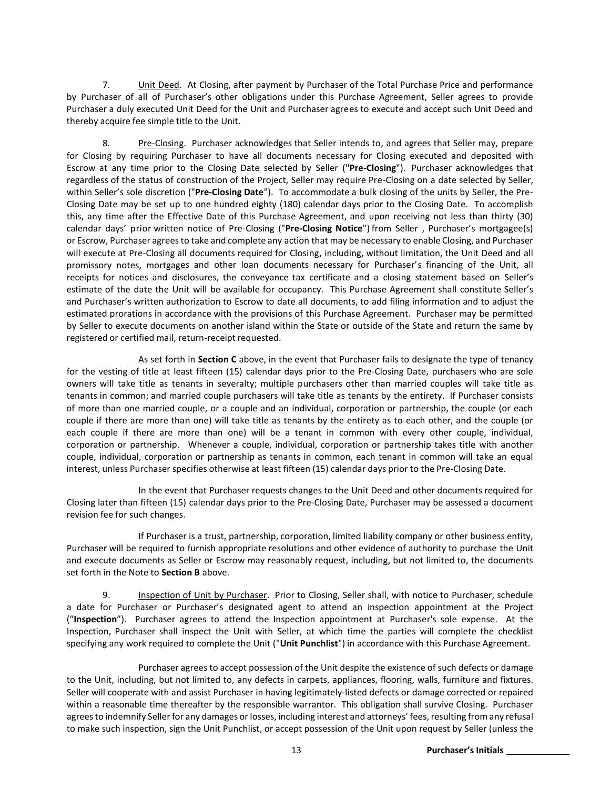7. Unit Deed. At Closing, after payment by Purchaser of the Total Purchase Price and performance by Purchaser of all of Purchaser's other obligations under this Purchase Agreement, Seller agrees to provide Purchaser a duly executed Unit Deed for the Unit and Purchaser agrees to execute and accept such Unit Deed and thereby acquire fee simple title to the Unit.

8. Pre-Closing. Purchaser acknowledges that Seller intends to, and agrees that Seller may, prepare for Closing by requiring Purchaser to have all documents necessary for Closing executed and deposited with Escrow at any time prior to the Closing Date selected by Seller ("**Pre-Closing**"). Purchaser acknowledges that regardless of the status of construction of the Project, Seller may require Pre-Closing on a date selected by Seller, within Seller's sole discretion ("**Pre-Closing Date**"). To accommodate a bulk closing of the units by Seller, the Pre-Closing Date may be set up to one hundred eighty (180) calendar days prior to the Closing Date. To accomplish this, any time after the Effective Date of this Purchase Agreement, and upon receiving not less than thirty (30) calendar days' prior written notice of Pre-Closing ("**Pre-Closing Notice**") from Seller , Purchaser's mortgagee(s) or Escrow, Purchaser agreesto take and complete any action that may be necessary to enable Closing, and Purchaser will execute at Pre-Closing all documents required for Closing, including, without limitation, the Unit Deed and all promissory notes, mortgages and other loan documents necessary for Purchaser's financing of the Unit, all receipts for notices and disclosures, the conveyance tax certificate and a closing statement based on Seller's estimate of the date the Unit will be available for occupancy. This Purchase Agreement shall constitute Seller's and Purchaser's written authorization to Escrow to date all documents, to add filing information and to adjust the estimated prorations in accordance with the provisions of this Purchase Agreement. Purchaser may be permitted by Seller to execute documents on another island within the State or outside of the State and return the same by registered or certified mail, return-receipt requested.

As set forth in **Section C** above, in the event that Purchaser fails to designate the type of tenancy for the vesting of title at least fifteen (15) calendar days prior to the Pre-Closing Date, purchasers who are sole owners will take title as tenants in severalty; multiple purchasers other than married couples will take title as tenants in common; and married couple purchasers will take title as tenants by the entirety. If Purchaser consists of more than one married couple, or a couple and an individual, corporation or partnership, the couple (or each couple if there are more than one) will take title as tenants by the entirety as to each other, and the couple (or each couple if there are more than one) will be a tenant in common with every other couple, individual, corporation or partnership. Whenever a couple, individual, corporation or partnership takes title with another couple, individual, corporation or partnership as tenants in common, each tenant in common will take an equal interest, unless Purchaser specifies otherwise at least fifteen (15) calendar days prior to the Pre-Closing Date.

In the event that Purchaser requests changes to the Unit Deed and other documents required for Closing later than fifteen (15) calendar days prior to the Pre-Closing Date, Purchaser may be assessed a document revision fee for such changes.

If Purchaser is a trust, partnership, corporation, limited liability company or other business entity, Purchaser will be required to furnish appropriate resolutions and other evidence of authority to purchase the Unit and execute documents as Seller or Escrow may reasonably request, including, but not limited to, the documents set forth in the Note to **Section B** above.

9. Inspection of Unit by Purchaser. Prior to Closing, Seller shall, with notice to Purchaser, schedule a date for Purchaser or Purchaser's designated agent to attend an inspection appointment at the Project ("**Inspection**"). Purchaser agrees to attend the Inspection appointment at Purchaser's sole expense. At the Inspection, Purchaser shall inspect the Unit with Seller, at which time the parties will complete the checklist specifying any work required to complete the Unit ("**Unit Punchlist**") in accordance with this Purchase Agreement.

Purchaser agrees to accept possession of the Unit despite the existence of such defects or damage to the Unit, including, but not limited to, any defects in carpets, appliances, flooring, walls, furniture and fixtures. Seller will cooperate with and assist Purchaser in having legitimately-listed defects or damage corrected or repaired within a reasonable time thereafter by the responsible warrantor. This obligation shall survive Closing. Purchaser agrees to indemnify Seller for any damages or losses, including interest and attorneys' fees, resulting from any refusal to make such inspection, sign the Unit Punchlist, or accept possession of the Unit upon request by Seller (unless the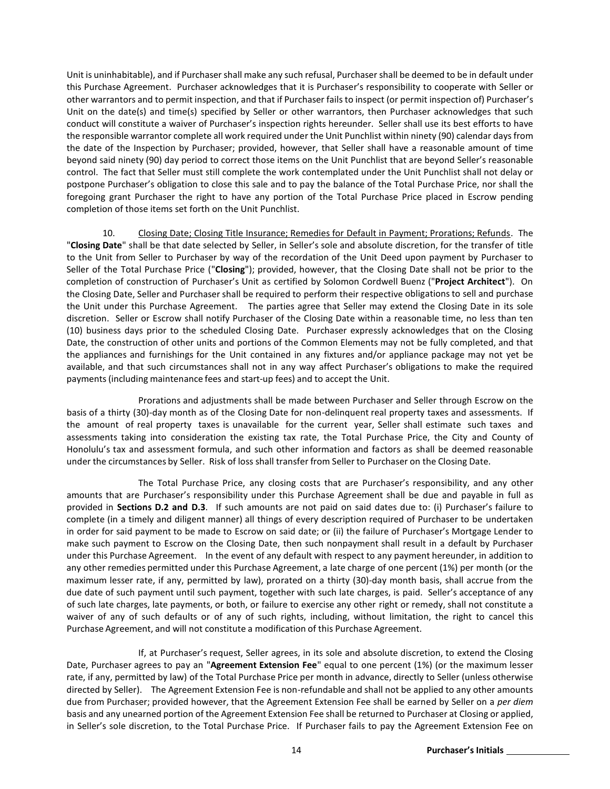Unit is uninhabitable), and if Purchaser shall make any such refusal, Purchaser shall be deemed to be in default under this Purchase Agreement. Purchaser acknowledges that it is Purchaser's responsibility to cooperate with Seller or other warrantors and to permit inspection, and that if Purchaser fails to inspect (or permit inspection of) Purchaser's Unit on the date(s) and time(s) specified by Seller or other warrantors, then Purchaser acknowledges that such conduct will constitute a waiver of Purchaser's inspection rights hereunder. Seller shall use its best efforts to have the responsible warrantor complete all work required under the Unit Punchlist within ninety (90) calendar days from the date of the Inspection by Purchaser; provided, however, that Seller shall have a reasonable amount of time beyond said ninety (90) day period to correct those items on the Unit Punchlist that are beyond Seller's reasonable control. The fact that Seller must still complete the work contemplated under the Unit Punchlist shall not delay or postpone Purchaser's obligation to close this sale and to pay the balance of the Total Purchase Price, nor shall the foregoing grant Purchaser the right to have any portion of the Total Purchase Price placed in Escrow pending completion of those items set forth on the Unit Punchlist.

10. Closing Date; Closing Title Insurance; Remedies for Default in Payment; Prorations; Refunds. The "**Closing Date**" shall be that date selected by Seller, in Seller's sole and absolute discretion, for the transfer of title to the Unit from Seller to Purchaser by way of the recordation of the Unit Deed upon payment by Purchaser to Seller of the Total Purchase Price ("**Closing**"); provided, however, that the Closing Date shall not be prior to the completion of construction of Purchaser's Unit as certified by Solomon Cordwell Buenz ("**Project Architect**"). On the Closing Date, Seller and Purchaser shall be required to perform their respective obligationsto sell and purchase the Unit under this Purchase Agreement. The parties agree that Seller may extend the Closing Date in its sole discretion. Seller or Escrow shall notify Purchaser of the Closing Date within a reasonable time, no less than ten (10) business days prior to the scheduled Closing Date. Purchaser expressly acknowledges that on the Closing Date, the construction of other units and portions of the Common Elements may not be fully completed, and that the appliances and furnishings for the Unit contained in any fixtures and/or appliance package may not yet be available, and that such circumstances shall not in any way affect Purchaser's obligations to make the required payments(including maintenance fees and start-up fees) and to accept the Unit.

Prorations and adjustments shall be made between Purchaser and Seller through Escrow on the basis of a thirty (30)-day month as of the Closing Date for non-delinquent real property taxes and assessments. If the amount of real property taxes is unavailable for the current year, Seller shall estimate such taxes and assessments taking into consideration the existing tax rate, the Total Purchase Price, the City and County of Honolulu's tax and assessment formula, and such other information and factors as shall be deemed reasonable under the circumstances by Seller. Risk of loss shall transfer from Seller to Purchaser on the Closing Date.

The Total Purchase Price, any closing costs that are Purchaser's responsibility, and any other amounts that are Purchaser's responsibility under this Purchase Agreement shall be due and payable in full as provided in **Sections D.2 and D.3**. If such amounts are not paid on said dates due to: (i) Purchaser's failure to complete (in a timely and diligent manner) all things of every description required of Purchaser to be undertaken in order for said payment to be made to Escrow on said date; or (ii) the failure of Purchaser's Mortgage Lender to make such payment to Escrow on the Closing Date, then such nonpayment shall result in a default by Purchaser under this Purchase Agreement. In the event of any default with respect to any payment hereunder, in addition to any other remedies permitted under this Purchase Agreement, a late charge of one percent (1%) per month (or the maximum lesser rate, if any, permitted by law), prorated on a thirty (30)-day month basis, shall accrue from the due date of such payment until such payment, together with such late charges, is paid. Seller's acceptance of any of such late charges, late payments, or both, or failure to exercise any other right or remedy, shall not constitute a waiver of any of such defaults or of any of such rights, including, without limitation, the right to cancel this Purchase Agreement, and will not constitute a modification of this Purchase Agreement.

If, at Purchaser's request, Seller agrees, in its sole and absolute discretion, to extend the Closing Date, Purchaser agrees to pay an "**Agreement Extension Fee**" equal to one percent (1%) (or the maximum lesser rate, if any, permitted by law) of the Total Purchase Price per month in advance, directly to Seller (unless otherwise directed by Seller). The Agreement Extension Fee is non-refundable and shall not be applied to any other amounts due from Purchaser; provided however, that the Agreement Extension Fee shall be earned by Seller on a *per diem*  basis and any unearned portion of the Agreement Extension Fee shall be returned to Purchaser at Closing or applied, in Seller's sole discretion, to the Total Purchase Price. If Purchaser fails to pay the Agreement Extension Fee on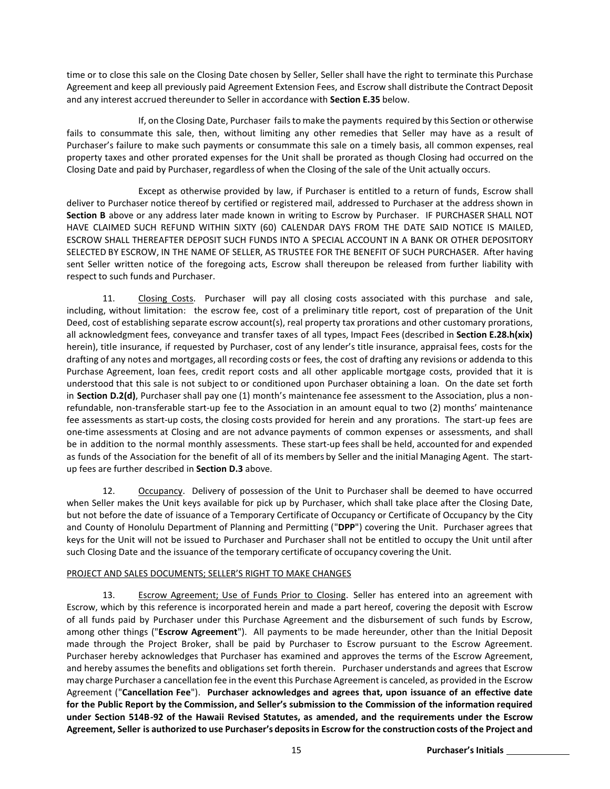time or to close this sale on the Closing Date chosen by Seller, Seller shall have the right to terminate this Purchase Agreement and keep all previously paid Agreement Extension Fees, and Escrow shall distribute the Contract Deposit and any interest accrued thereunder to Seller in accordance with **Section E.35** below.

If, on the Closing Date, Purchaser fails to make the payments required by this Section or otherwise fails to consummate this sale, then, without limiting any other remedies that Seller may have as a result of Purchaser's failure to make such payments or consummate this sale on a timely basis, all common expenses, real property taxes and other prorated expenses for the Unit shall be prorated as though Closing had occurred on the Closing Date and paid by Purchaser, regardless of when the Closing of the sale of the Unit actually occurs.

Except as otherwise provided by law, if Purchaser is entitled to a return of funds, Escrow shall deliver to Purchaser notice thereof by certified or registered mail, addressed to Purchaser at the address shown in **Section B** above or any address later made known in writing to Escrow by Purchaser. IF PURCHASER SHALL NOT HAVE CLAIMED SUCH REFUND WITHIN SIXTY (60) CALENDAR DAYS FROM THE DATE SAID NOTICE IS MAILED, ESCROW SHALL THEREAFTER DEPOSIT SUCH FUNDS INTO A SPECIAL ACCOUNT IN A BANK OR OTHER DEPOSITORY SELECTED BY ESCROW, IN THE NAME OF SELLER, AS TRUSTEE FOR THE BENEFIT OF SUCH PURCHASER. After having sent Seller written notice of the foregoing acts, Escrow shall thereupon be released from further liability with respect to such funds and Purchaser.

11. Closing Costs. Purchaser will pay all closing costs associated with this purchase and sale, including, without limitation: the escrow fee, cost of a preliminary title report, cost of preparation of the Unit Deed, cost of establishing separate escrow account(s), real property tax prorations and other customary prorations, all acknowledgment fees, conveyance and transfer taxes of all types, Impact Fees (described in **Section E.28.h(xix)** herein), title insurance, if requested by Purchaser, cost of any lender's title insurance, appraisal fees, costs for the drafting of any notes and mortgages, all recording costs or fees, the cost of drafting any revisions or addenda to this Purchase Agreement, loan fees, credit report costs and all other applicable mortgage costs, provided that it is understood that this sale is not subject to or conditioned upon Purchaser obtaining a loan. On the date set forth in **Section D.2(d)**, Purchaser shall pay one (1) month's maintenance fee assessment to the Association, plus a nonrefundable, non-transferable start-up fee to the Association in an amount equal to two (2) months' maintenance fee assessments as start-up costs, the closing costs provided for herein and any prorations. The start-up fees are one-time assessments at Closing and are not advance payments of common expenses or assessments, and shall be in addition to the normal monthly assessments. These start-up fees shall be held, accounted for and expended as funds of the Association for the benefit of all of its members by Seller and the initial Managing Agent. The startup fees are further described in **Section D.3** above.

12. Occupancy. Delivery of possession of the Unit to Purchaser shall be deemed to have occurred when Seller makes the Unit keys available for pick up by Purchaser, which shall take place after the Closing Date, but not before the date of issuance of a Temporary Certificate of Occupancy or Certificate of Occupancy by the City and County of Honolulu Department of Planning and Permitting ("**DPP**") covering the Unit. Purchaser agrees that keys for the Unit will not be issued to Purchaser and Purchaser shall not be entitled to occupy the Unit until after such Closing Date and the issuance of the temporary certificate of occupancy covering the Unit.

## PROJECT AND SALES DOCUMENTS; SELLER'S RIGHT TO MAKE CHANGES

13. Escrow Agreement; Use of Funds Prior to Closing. Seller has entered into an agreement with Escrow, which by this reference is incorporated herein and made a part hereof, covering the deposit with Escrow of all funds paid by Purchaser under this Purchase Agreement and the disbursement of such funds by Escrow, among other things ("**Escrow Agreement**"). All payments to be made hereunder, other than the Initial Deposit made through the Project Broker, shall be paid by Purchaser to Escrow pursuant to the Escrow Agreement. Purchaser hereby acknowledges that Purchaser has examined and approves the terms of the Escrow Agreement, and hereby assumes the benefits and obligations set forth therein. Purchaser understands and agrees that Escrow may charge Purchaser a cancellation fee in the event this Purchase Agreement is canceled, as provided in the Escrow Agreement ("**Cancellation Fee**"). **Purchaser acknowledges and agrees that, upon issuance of an effective date for the Public Report by the Commission, and Seller's submission to the Commission of the information required under Section 514B-92 of the Hawaii Revised Statutes, as amended, and the requirements under the Escrow** Agreement, Seller is authorized to use Purchaser's deposits in Escrow for the construction costs of the Project and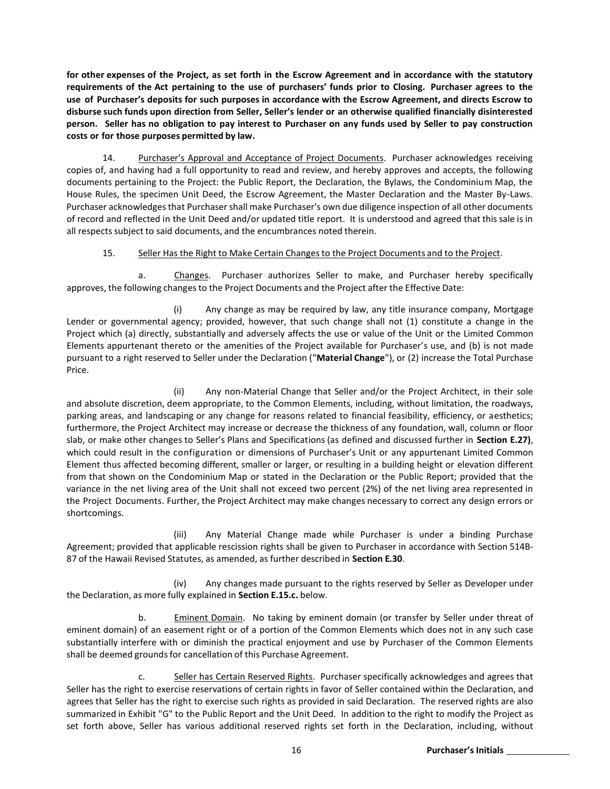for other expenses of the Project, as set forth in the Escrow Agreement and in accordance with the statutory **requirements of the Act pertaining to the use of purchasers' funds prior to Closing. Purchaser agrees to the use of Purchaser's deposits for such purposes in accordance with the Escrow Agreement, and directs Escrow to disburse such funds upon direction from Seller, Seller's lender or an otherwise qualified financially disinterested** person. Seller has no obligation to pay interest to Purchaser on any funds used by Seller to pay construction **costs or for those purposes permitted by law.**

14. Purchaser's Approval and Acceptance of Project Documents. Purchaser acknowledges receiving copies of, and having had a full opportunity to read and review, and hereby approves and accepts, the following documents pertaining to the Project: the Public Report, the Declaration, the Bylaws, the Condominium Map, the House Rules, the specimen Unit Deed, the Escrow Agreement, the Master Declaration and the Master By-Laws. Purchaser acknowledges that Purchaser shall make Purchaser's own due diligence inspection of all other documents of record and reflected in the Unit Deed and/or updated title report. It is understood and agreed that this sale is in all respects subject to said documents, and the encumbrances noted therein.

# 15. Seller Has the Right to Make Certain Changes to the Project Documents and to the Project.

a. Changes. Purchaser authorizes Seller to make, and Purchaser hereby specifically approves, the following changes to the Project Documents and the Project after the Effective Date:

(i) Any change as may be required by law, any title insurance company, Mortgage Lender or governmental agency; provided, however, that such change shall not (1) constitute a change in the Project which (a) directly, substantially and adversely affects the use or value of the Unit or the Limited Common Elements appurtenant thereto or the amenities of the Project available for Purchaser's use, and (b) is not made pursuant to a right reserved to Seller under the Declaration ("**Material Change**"), or (2) increase the Total Purchase Price.

(ii) Any non-Material Change that Seller and/or the Project Architect, in their sole and absolute discretion, deem appropriate, to the Common Elements, including, without limitation, the roadways, parking areas, and landscaping or any change for reasons related to financial feasibility, efficiency, or aesthetics; furthermore, the Project Architect may increase or decrease the thickness of any foundation, wall, column or floor slab, or make other changes to Seller's Plans and Specifications (as defined and discussed further in **Section E.27)**, which could result in the configuration or dimensions of Purchaser's Unit or any appurtenant Limited Common Element thus affected becoming different, smaller or larger, or resulting in a building height or elevation different from that shown on the Condominium Map or stated in the Declaration or the Public Report; provided that the variance in the net living area of the Unit shall not exceed two percent (2%) of the net living area represented in the Project Documents. Further, the Project Architect may make changes necessary to correct any design errors or shortcomings.

(iii) Any Material Change made while Purchaser is under a binding Purchase Agreement; provided that applicable rescission rights shall be given to Purchaser in accordance with Section 514B-87 of the Hawaii Revised Statutes, as amended, as further described in **Section E.30**.

(iv) Any changes made pursuant to the rights reserved by Seller as Developer under the Declaration, as more fully explained in **Section E.15.c.** below.

b. Eminent Domain. No taking by eminent domain (or transfer by Seller under threat of eminent domain) of an easement right or of a portion of the Common Elements which does not in any such case substantially interfere with or diminish the practical enjoyment and use by Purchaser of the Common Elements shall be deemed grounds for cancellation of this Purchase Agreement.

c. Seller has Certain Reserved Rights. Purchaser specifically acknowledges and agrees that Seller has the right to exercise reservations of certain rights in favor of Seller contained within the Declaration, and agrees that Seller has the right to exercise such rights as provided in said Declaration. The reserved rights are also summarized in Exhibit "G" to the Public Report and the Unit Deed. In addition to the right to modify the Project as set forth above, Seller has various additional reserved rights set forth in the Declaration, including, without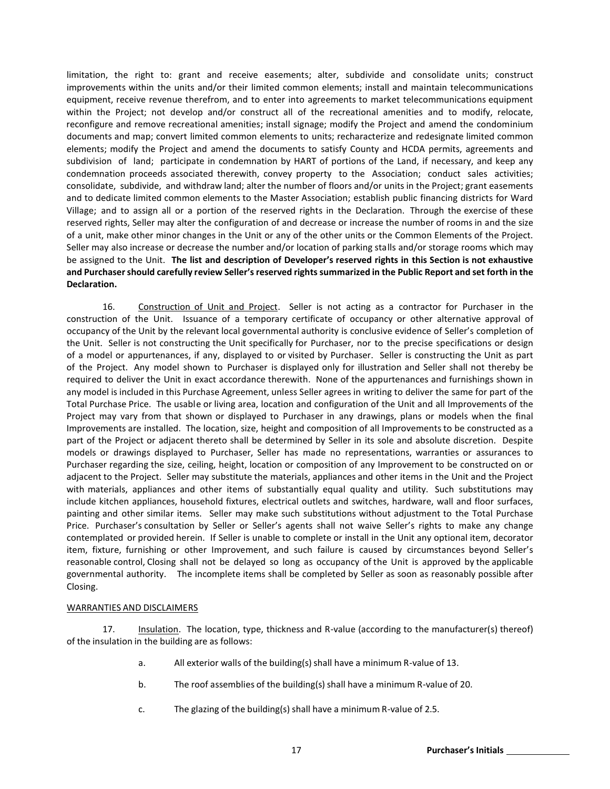limitation, the right to: grant and receive easements; alter, subdivide and consolidate units; construct improvements within the units and/or their limited common elements; install and maintain telecommunications equipment, receive revenue therefrom, and to enter into agreements to market telecommunications equipment within the Project; not develop and/or construct all of the recreational amenities and to modify, relocate, reconfigure and remove recreational amenities; install signage; modify the Project and amend the condominium documents and map; convert limited common elements to units; recharacterize and redesignate limited common elements; modify the Project and amend the documents to satisfy County and HCDA permits, agreements and subdivision of land; participate in condemnation by HART of portions of the Land, if necessary, and keep any condemnation proceeds associated therewith, convey property to the Association; conduct sales activities; consolidate, subdivide, and withdraw land; alter the number of floors and/or units in the Project; grant easements and to dedicate limited common elements to the Master Association; establish public financing districts for Ward Village; and to assign all or a portion of the reserved rights in the Declaration. Through the exercise of these reserved rights, Seller may alter the configuration of and decrease or increase the number of rooms in and the size of a unit, make other minor changes in the Unit or any of the other units or the Common Elements of the Project. Seller may also increase or decrease the number and/or location of parking stalls and/or storage rooms which may be assigned to the Unit. **The list and description of Developer's reserved rights in this Section is not exhaustive and Purchasershould carefully review Seller'sreserved rights summarized in the Public Report and set forth in the Declaration.**

16. Construction of Unit and Project. Seller is not acting as a contractor for Purchaser in the construction of the Unit. Issuance of a temporary certificate of occupancy or other alternative approval of occupancy of the Unit by the relevant local governmental authority is conclusive evidence of Seller's completion of the Unit. Seller is not constructing the Unit specifically for Purchaser, nor to the precise specifications or design of a model or appurtenances, if any, displayed to or visited by Purchaser. Seller is constructing the Unit as part of the Project. Any model shown to Purchaser is displayed only for illustration and Seller shall not thereby be required to deliver the Unit in exact accordance therewith. None of the appurtenances and furnishings shown in any model is included in this Purchase Agreement, unless Seller agrees in writing to deliver the same for part of the Total Purchase Price. The usable or living area, location and configuration of the Unit and all Improvements of the Project may vary from that shown or displayed to Purchaser in any drawings, plans or models when the final Improvements are installed. The location, size, height and composition of all Improvements to be constructed as a part of the Project or adjacent thereto shall be determined by Seller in its sole and absolute discretion. Despite models or drawings displayed to Purchaser, Seller has made no representations, warranties or assurances to Purchaser regarding the size, ceiling, height, location or composition of any Improvement to be constructed on or adjacent to the Project. Seller may substitute the materials, appliances and other items in the Unit and the Project with materials, appliances and other items of substantially equal quality and utility. Such substitutions may include kitchen appliances, household fixtures, electrical outlets and switches, hardware, wall and floor surfaces, painting and other similar items. Seller may make such substitutions without adjustment to the Total Purchase Price. Purchaser's consultation by Seller or Seller's agents shall not waive Seller's rights to make any change contemplated or provided herein. If Seller is unable to complete or install in the Unit any optional item, decorator item, fixture, furnishing or other Improvement, and such failure is caused by circumstances beyond Seller's reasonable control, Closing shall not be delayed so long as occupancy of the Unit is approved by the applicable governmental authority. The incomplete items shall be completed by Seller as soon as reasonably possible after Closing.

#### WARRANTIES AND DISCLAIMERS

17. Insulation. The location, type, thickness and R-value (according to the manufacturer(s) thereof) of the insulation in the building are as follows:

- a. All exterior walls of the building(s) shall have a minimum R-value of 13.
- b. The roof assemblies of the building(s) shall have a minimum R-value of 20.
- c. The glazing of the building(s) shall have a minimum R-value of 2.5.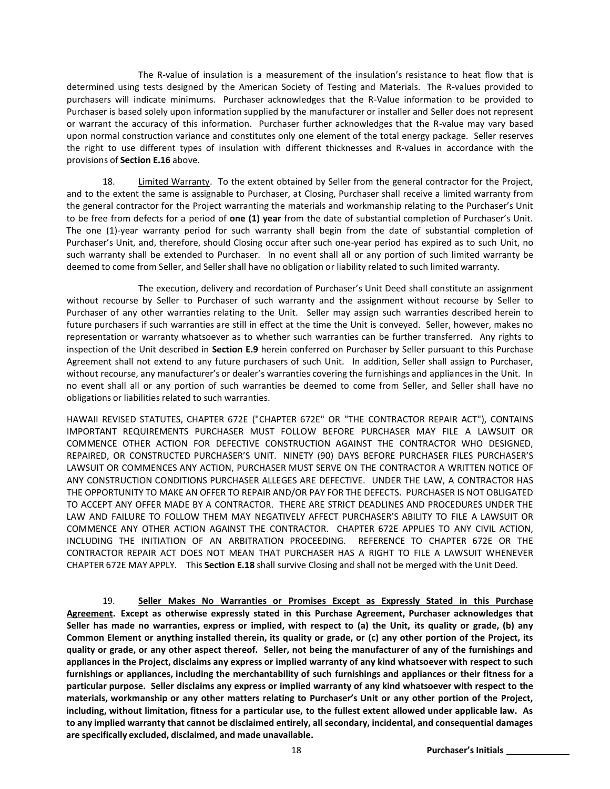The R-value of insulation is a measurement of the insulation's resistance to heat flow that is determined using tests designed by the American Society of Testing and Materials. The R-values provided to purchasers will indicate minimums. Purchaser acknowledges that the R-Value information to be provided to Purchaser is based solely upon information supplied by the manufacturer or installer and Seller does not represent or warrant the accuracy of this information. Purchaser further acknowledges that the R-value may vary based upon normal construction variance and constitutes only one element of the total energy package. Seller reserves the right to use different types of insulation with different thicknesses and R-values in accordance with the provisions of **Section E.16** above.

18. Limited Warranty. To the extent obtained by Seller from the general contractor for the Project, and to the extent the same is assignable to Purchaser, at Closing, Purchaser shall receive a limited warranty from the general contractor for the Project warranting the materials and workmanship relating to the Purchaser's Unit to be free from defects for a period of **one (1) year** from the date of substantial completion of Purchaser's Unit. The one (1)-year warranty period for such warranty shall begin from the date of substantial completion of Purchaser's Unit, and, therefore, should Closing occur after such one-year period has expired as to such Unit, no such warranty shall be extended to Purchaser. In no event shall all or any portion of such limited warranty be deemed to come from Seller, and Seller shall have no obligation or liability related to such limited warranty.

The execution, delivery and recordation of Purchaser's Unit Deed shall constitute an assignment without recourse by Seller to Purchaser of such warranty and the assignment without recourse by Seller to Purchaser of any other warranties relating to the Unit. Seller may assign such warranties described herein to future purchasers if such warranties are still in effect at the time the Unit is conveyed. Seller, however, makes no representation or warranty whatsoever as to whether such warranties can be further transferred. Any rights to inspection of the Unit described in **Section E.9** herein conferred on Purchaser by Seller pursuant to this Purchase Agreement shall not extend to any future purchasers of such Unit. In addition, Seller shall assign to Purchaser, without recourse, any manufacturer's or dealer's warranties covering the furnishings and appliancesin the Unit. In no event shall all or any portion of such warranties be deemed to come from Seller, and Seller shall have no obligations or liabilities related to such warranties.

HAWAII REVISED STATUTES, CHAPTER 672E ("CHAPTER 672E" OR "THE CONTRACTOR REPAIR ACT"), CONTAINS IMPORTANT REQUIREMENTS PURCHASER MUST FOLLOW BEFORE PURCHASER MAY FILE A LAWSUIT OR COMMENCE OTHER ACTION FOR DEFECTIVE CONSTRUCTION AGAINST THE CONTRACTOR WHO DESIGNED, REPAIRED, OR CONSTRUCTED PURCHASER'S UNIT. NINETY (90) DAYS BEFORE PURCHASER FILES PURCHASER'S LAWSUIT OR COMMENCES ANY ACTION, PURCHASER MUST SERVE ON THE CONTRACTOR A WRITTEN NOTICE OF ANY CONSTRUCTION CONDITIONS PURCHASER ALLEGES ARE DEFECTIVE. UNDER THE LAW, A CONTRACTOR HAS THE OPPORTUNITY TO MAKE AN OFFER TO REPAIR AND/OR PAY FOR THE DEFECTS. PURCHASER IS NOT OBLIGATED TO ACCEPT ANY OFFER MADE BY A CONTRACTOR. THERE ARE STRICT DEADLINES AND PROCEDURES UNDER THE LAW AND FAILURE TO FOLLOW THEM MAY NEGATIVELY AFFECT PURCHASER'S ABILITY TO FILE A LAWSUIT OR COMMENCE ANY OTHER ACTION AGAINST THE CONTRACTOR. CHAPTER 672E APPLIES TO ANY CIVIL ACTION, INCLUDING THE INITIATION OF AN ARBITRATION PROCEEDING. REFERENCE TO CHAPTER 672E OR THE CONTRACTOR REPAIR ACT DOES NOT MEAN THAT PURCHASER HAS A RIGHT TO FILE A LAWSUIT WHENEVER CHAPTER 672E MAY APPLY. This **Section E.18** shall survive Closing and shall not be merged with the Unit Deed.

19. **Seller Makes No Warranties or Promises Except as Expressly Stated in this Purchase Agreement. Except as otherwise expressly stated in this Purchase Agreement, Purchaser acknowledges that**  Seller has made no warranties, express or implied, with respect to (a) the Unit, its quality or grade, (b) any Common Element or anything installed therein, its quality or grade, or (c) any other portion of the Project, its quality or grade, or any other aspect thereof. Seller, not being the manufacturer of any of the furnishings and appliances in the Project, disclaims any express or implied warranty of any kind whatsoever with respect to such furnishings or appliances, including the merchantability of such furnishings and appliances or their fitness for a **particular purpose. Seller disclaims any express or implied warranty of any kind whatsoever with respect to the materials, workmanship or any other matters relating to Purchaser's Unit or any other portion of the Project,**  including, without limitation, fitness for a particular use, to the fullest extent allowed under applicable law. As **to any implied warranty that cannot be disclaimed entirely, all secondary, incidental, and consequential damages are specifically excluded, disclaimed, and made unavailable.**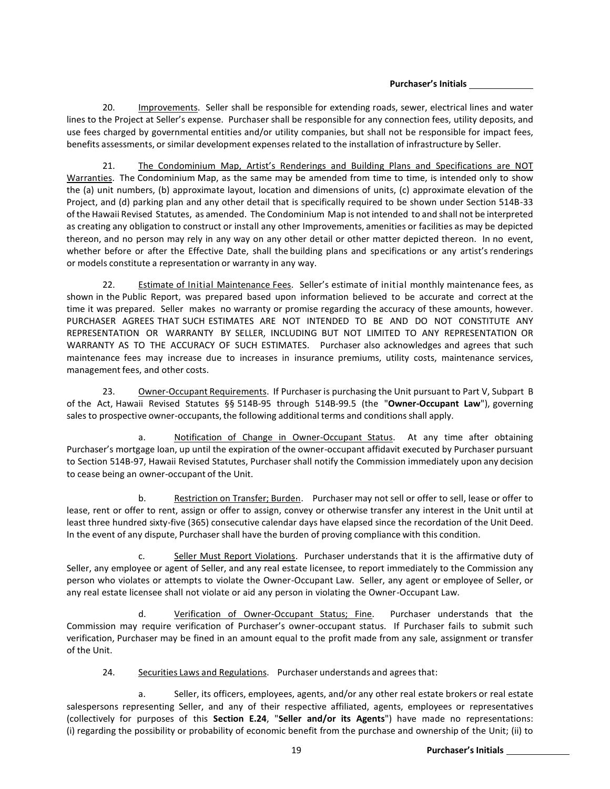20. Improvements. Seller shall be responsible for extending roads, sewer, electrical lines and water lines to the Project at Seller's expense. Purchaser shall be responsible for any connection fees, utility deposits, and use fees charged by governmental entities and/or utility companies, but shall not be responsible for impact fees, benefits assessments, or similar development expensesrelated to the installation of infrastructure by Seller.

21. The Condominium Map, Artist's Renderings and Building Plans and Specifications are NOT Warranties. The Condominium Map, as the same may be amended from time to time, is intended only to show the (a) unit numbers, (b) approximate layout, location and dimensions of units, (c) approximate elevation of the Project, and (d) parking plan and any other detail that is specifically required to be shown under Section 514B-33 of the Hawaii Revised Statutes, as amended. The Condominium Map is not intended to and shall not be interpreted as creating any obligation to construct or install any other Improvements, amenities or facilities as may be depicted thereon, and no person may rely in any way on any other detail or other matter depicted thereon. In no event, whether before or after the Effective Date, shall the building plans and specifications or any artist's renderings or models constitute a representation or warranty in any way.

22. Estimate of Initial Maintenance Fees. Seller's estimate of initial monthly maintenance fees, as shown in the Public Report, was prepared based upon information believed to be accurate and correct at the time it was prepared. Seller makes no warranty or promise regarding the accuracy of these amounts, however. PURCHASER AGREES THAT SUCH ESTIMATES ARE NOT INTENDED TO BE AND DO NOT CONSTITUTE ANY REPRESENTATION OR WARRANTY BY SELLER, INCLUDING BUT NOT LIMITED TO ANY REPRESENTATION OR WARRANTY AS TO THE ACCURACY OF SUCH ESTIMATES. Purchaser also acknowledges and agrees that such maintenance fees may increase due to increases in insurance premiums, utility costs, maintenance services, management fees, and other costs.

23. Owner-Occupant Requirements. If Purchaser is purchasing the Unit pursuant to Part V, Subpart B of the Act, Hawaii Revised Statutes §§ 514B-95 through 514B-99.5 (the "**Owner-Occupant Law**"), governing sales to prospective owner-occupants, the following additional terms and conditions shall apply.

a. **Notification of Change in Owner-Occupant Status**. At any time after obtaining Purchaser's mortgage loan, up until the expiration of the owner-occupant affidavit executed by Purchaser pursuant to Section 514B-97, Hawaii Revised Statutes, Purchaser shall notify the Commission immediately upon any decision to cease being an owner-occupant of the Unit.

b. Restriction on Transfer; Burden. Purchaser may not sell or offer to sell, lease or offer to lease, rent or offer to rent, assign or offer to assign, convey or otherwise transfer any interest in the Unit until at least three hundred sixty-five (365) consecutive calendar days have elapsed since the recordation of the Unit Deed. In the event of any dispute, Purchasershall have the burden of proving compliance with this condition.

c. Seller Must Report Violations. Purchaser understands that it is the affirmative duty of Seller, any employee or agent of Seller, and any real estate licensee, to report immediately to the Commission any person who violates or attempts to violate the Owner-Occupant Law. Seller, any agent or employee of Seller, or any real estate licensee shall not violate or aid any person in violating the Owner-Occupant Law.

d. Verification of Owner-Occupant Status; Fine. Purchaser understands that the Commission may require verification of Purchaser's owner-occupant status. If Purchaser fails to submit such verification, Purchaser may be fined in an amount equal to the profit made from any sale, assignment or transfer of the Unit.

24. Securities Laws and Regulations. Purchaser understands and agrees that:

a. Seller, its officers, employees, agents, and/or any other real estate brokers or real estate salespersons representing Seller, and any of their respective affiliated, agents, employees or representatives (collectively for purposes of this **Section E.24**, "**Seller and/or its Agents**") have made no representations: (i) regarding the possibility or probability of economic benefit from the purchase and ownership of the Unit; (ii) to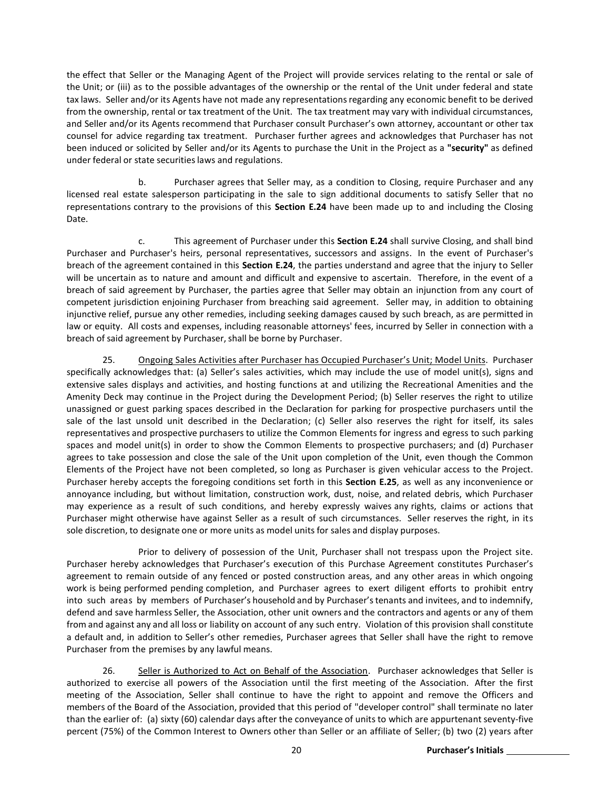the effect that Seller or the Managing Agent of the Project will provide services relating to the rental or sale of the Unit; or (iii) as to the possible advantages of the ownership or the rental of the Unit under federal and state tax laws. Seller and/or its Agents have not made any representations regarding any economic benefit to be derived from the ownership, rental or tax treatment of the Unit. The tax treatment may vary with individual circumstances, and Seller and/or its Agents recommend that Purchaser consult Purchaser's own attorney, accountant or other tax counsel for advice regarding tax treatment. Purchaser further agrees and acknowledges that Purchaser has not been induced or solicited by Seller and/or its Agents to purchase the Unit in the Project as a **"security"** as defined under federal or state securitieslaws and regulations.

b. Purchaser agrees that Seller may, as a condition to Closing, require Purchaser and any licensed real estate salesperson participating in the sale to sign additional documents to satisfy Seller that no representations contrary to the provisions of this **Section E.24** have been made up to and including the Closing Date.

c. This agreement of Purchaser under this **Section E.24** shall survive Closing, and shall bind Purchaser and Purchaser's heirs, personal representatives, successors and assigns. In the event of Purchaser's breach of the agreement contained in this **Section E.24**, the parties understand and agree that the injury to Seller will be uncertain as to nature and amount and difficult and expensive to ascertain. Therefore, in the event of a breach of said agreement by Purchaser, the parties agree that Seller may obtain an injunction from any court of competent jurisdiction enjoining Purchaser from breaching said agreement. Seller may, in addition to obtaining injunctive relief, pursue any other remedies, including seeking damages caused by such breach, as are permitted in law or equity. All costs and expenses, including reasonable attorneys' fees, incurred by Seller in connection with a breach of said agreement by Purchaser, shall be borne by Purchaser.

25. Ongoing Sales Activities after Purchaser has Occupied Purchaser's Unit; Model Units. Purchaser specifically acknowledges that: (a) Seller's sales activities, which may include the use of model unit(s), signs and extensive sales displays and activities, and hosting functions at and utilizing the Recreational Amenities and the Amenity Deck may continue in the Project during the Development Period; (b) Seller reserves the right to utilize unassigned or guest parking spaces described in the Declaration for parking for prospective purchasers until the sale of the last unsold unit described in the Declaration; (c) Seller also reserves the right for itself, its sales representatives and prospective purchasers to utilize the Common Elements for ingress and egress to such parking spaces and model unit(s) in order to show the Common Elements to prospective purchasers; and (d) Purchaser agrees to take possession and close the sale of the Unit upon completion of the Unit, even though the Common Elements of the Project have not been completed, so long as Purchaser is given vehicular access to the Project. Purchaser hereby accepts the foregoing conditions set forth in this **Section E.25**, as well as any inconvenience or annoyance including, but without limitation, construction work, dust, noise, and related debris, which Purchaser may experience as a result of such conditions, and hereby expressly waives any rights, claims or actions that Purchaser might otherwise have against Seller as a result of such circumstances. Seller reserves the right, in its sole discretion, to designate one or more units as model units for sales and display purposes.

Prior to delivery of possession of the Unit, Purchaser shall not trespass upon the Project site. Purchaser hereby acknowledges that Purchaser's execution of this Purchase Agreement constitutes Purchaser's agreement to remain outside of any fenced or posted construction areas, and any other areas in which ongoing work is being performed pending completion, and Purchaser agrees to exert diligent efforts to prohibit entry into such areas by members of Purchaser's household and by Purchaser'stenants and invitees, and to indemnify, defend and save harmless Seller, the Association, other unit owners and the contractors and agents or any of them from and against any and all loss or liability on account of any such entry. Violation of this provision shall constitute a default and, in addition to Seller's other remedies, Purchaser agrees that Seller shall have the right to remove Purchaser from the premises by any lawful means.

26. Seller is Authorized to Act on Behalf of the Association. Purchaser acknowledges that Seller is authorized to exercise all powers of the Association until the first meeting of the Association. After the first meeting of the Association, Seller shall continue to have the right to appoint and remove the Officers and members of the Board of the Association, provided that this period of "developer control" shall terminate no later than the earlier of: (a) sixty (60) calendar days after the conveyance of units to which are appurtenantseventy-five percent (75%) of the Common Interest to Owners other than Seller or an affiliate of Seller; (b) two (2) years after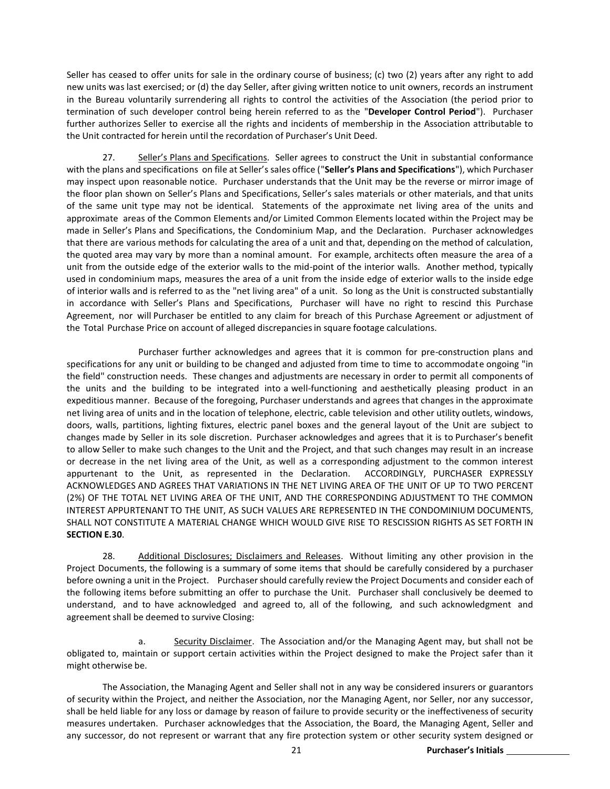Seller has ceased to offer units for sale in the ordinary course of business; (c) two (2) years after any right to add new units was last exercised; or (d) the day Seller, after giving written notice to unit owners, records an instrument in the Bureau voluntarily surrendering all rights to control the activities of the Association (the period prior to termination of such developer control being herein referred to as the "**Developer Control Period**"). Purchaser further authorizes Seller to exercise all the rights and incidents of membership in the Association attributable to the Unit contracted for herein until the recordation of Purchaser's Unit Deed.

27. Seller's Plans and Specifications. Seller agrees to construct the Unit in substantial conformance with the plans and specifications on file at Seller's sales office ("**Seller's Plans and Specifications**"), which Purchaser may inspect upon reasonable notice. Purchaser understands that the Unit may be the reverse or mirror image of the floor plan shown on Seller's Plans and Specifications, Seller's sales materials or other materials, and that units of the same unit type may not be identical. Statements of the approximate net living area of the units and approximate areas of the Common Elements and/or Limited Common Elements located within the Project may be made in Seller's Plans and Specifications, the Condominium Map, and the Declaration. Purchaser acknowledges that there are various methods for calculating the area of a unit and that, depending on the method of calculation, the quoted area may vary by more than a nominal amount. For example, architects often measure the area of a unit from the outside edge of the exterior walls to the mid-point of the interior walls. Another method, typically used in condominium maps, measures the area of a unit from the inside edge of exterior walls to the inside edge of interior walls and is referred to as the "net living area" of a unit. So long as the Unit is constructed substantially in accordance with Seller's Plans and Specifications, Purchaser will have no right to rescind this Purchase Agreement, nor will Purchaser be entitled to any claim for breach of this Purchase Agreement or adjustment of the Total Purchase Price on account of alleged discrepanciesin square footage calculations.

Purchaser further acknowledges and agrees that it is common for pre-construction plans and specifications for any unit or building to be changed and adjusted from time to time to accommodate ongoing "in the field" construction needs. These changes and adjustments are necessary in order to permit all components of the units and the building to be integrated into a well-functioning and aesthetically pleasing product in an expeditious manner. Because of the foregoing, Purchaser understands and agrees that changes in the approximate net living area of units and in the location of telephone, electric, cable television and other utility outlets, windows, doors, walls, partitions, lighting fixtures, electric panel boxes and the general layout of the Unit are subject to changes made by Seller in its sole discretion. Purchaser acknowledges and agrees that it is to Purchaser's benefit to allow Seller to make such changes to the Unit and the Project, and that such changes may result in an increase or decrease in the net living area of the Unit, as well as a corresponding adjustment to the common interest appurtenant to the Unit, as represented in the Declaration. ACCORDINGLY, PURCHASER EXPRESSLY ACKNOWLEDGES AND AGREES THAT VARIATIONS IN THE NET LIVING AREA OF THE UNIT OF UP TO TWO PERCENT (2%) OF THE TOTAL NET LIVING AREA OF THE UNIT, AND THE CORRESPONDING ADJUSTMENT TO THE COMMON INTEREST APPURTENANT TO THE UNIT, AS SUCH VALUES ARE REPRESENTED IN THE CONDOMINIUM DOCUMENTS, SHALL NOT CONSTITUTE A MATERIAL CHANGE WHICH WOULD GIVE RISE TO RESCISSION RIGHTS AS SET FORTH IN **SECTION E.30**.

28. Additional Disclosures; Disclaimers and Releases. Without limiting any other provision in the Project Documents, the following is a summary of some items that should be carefully considered by a purchaser before owning a unit in the Project. Purchasershould carefully review the Project Documents and consider each of the following items before submitting an offer to purchase the Unit. Purchaser shall conclusively be deemed to understand, and to have acknowledged and agreed to, all of the following, and such acknowledgment and agreement shall be deemed to survive Closing:

a. Security Disclaimer. The Association and/or the Managing Agent may, but shall not be obligated to, maintain or support certain activities within the Project designed to make the Project safer than it might otherwise be.

The Association, the Managing Agent and Seller shall not in any way be considered insurers or guarantors of security within the Project, and neither the Association, nor the Managing Agent, nor Seller, nor any successor, shall be held liable for any loss or damage by reason of failure to provide security or the ineffectiveness of security measures undertaken. Purchaser acknowledges that the Association, the Board, the Managing Agent, Seller and any successor, do not represent or warrant that any fire protection system or other security system designed or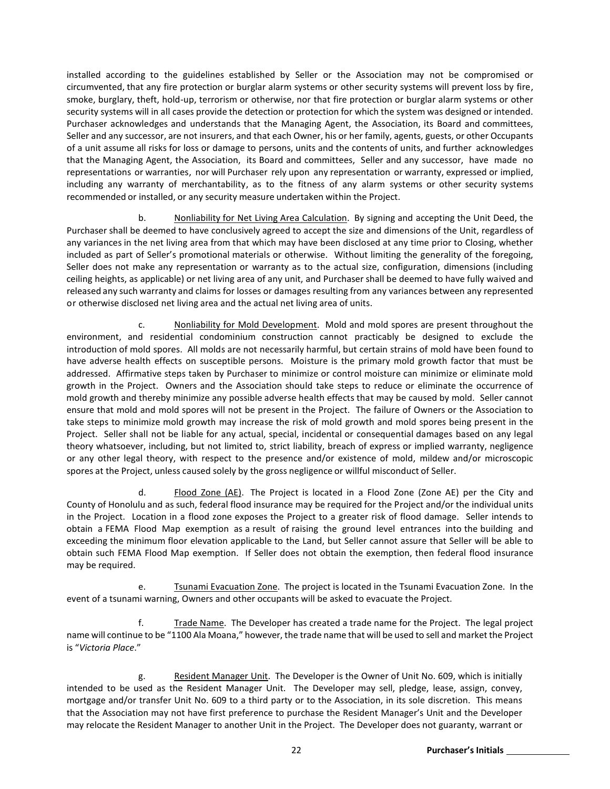installed according to the guidelines established by Seller or the Association may not be compromised or circumvented, that any fire protection or burglar alarm systems or other security systems will prevent loss by fire, smoke, burglary, theft, hold-up, terrorism or otherwise, nor that fire protection or burglar alarm systems or other security systems will in all cases provide the detection or protection for which the system was designed or intended. Purchaser acknowledges and understands that the Managing Agent, the Association, its Board and committees, Seller and any successor, are not insurers, and that each Owner, his or her family, agents, guests, or other Occupants of a unit assume all risks for loss or damage to persons, units and the contents of units, and further acknowledges that the Managing Agent, the Association, its Board and committees, Seller and any successor, have made no representations or warranties, nor will Purchaser rely upon any representation or warranty, expressed or implied, including any warranty of merchantability, as to the fitness of any alarm systems or other security systems recommended or installed, or any security measure undertaken within the Project.

b. Nonliability for Net Living Area Calculation. By signing and accepting the Unit Deed, the Purchaser shall be deemed to have conclusively agreed to accept the size and dimensions of the Unit, regardless of any variances in the net living area from that which may have been disclosed at any time prior to Closing, whether included as part of Seller's promotional materials or otherwise. Without limiting the generality of the foregoing, Seller does not make any representation or warranty as to the actual size, configuration, dimensions (including ceiling heights, as applicable) or net living area of any unit, and Purchaser shall be deemed to have fully waived and released any such warranty and claims for losses or damages resulting from any variances between any represented or otherwise disclosed net living area and the actual net living area of units.

c. Nonliability for Mold Development. Mold and mold spores are present throughout the environment, and residential condominium construction cannot practicably be designed to exclude the introduction of mold spores. All molds are not necessarily harmful, but certain strains of mold have been found to have adverse health effects on susceptible persons. Moisture is the primary mold growth factor that must be addressed. Affirmative steps taken by Purchaser to minimize or control moisture can minimize or eliminate mold growth in the Project. Owners and the Association should take steps to reduce or eliminate the occurrence of mold growth and thereby minimize any possible adverse health effects that may be caused by mold. Seller cannot ensure that mold and mold spores will not be present in the Project. The failure of Owners or the Association to take steps to minimize mold growth may increase the risk of mold growth and mold spores being present in the Project. Seller shall not be liable for any actual, special, incidental or consequential damages based on any legal theory whatsoever, including, but not limited to, strict liability, breach of express or implied warranty, negligence or any other legal theory, with respect to the presence and/or existence of mold, mildew and/or microscopic spores at the Project, unless caused solely by the gross negligence or willful misconduct of Seller.

d.  $F$  Flood Zone (AE). The Project is located in a Flood Zone (Zone AE) per the City and County of Honolulu and as such, federal flood insurance may be required for the Project and/or the individual units in the Project. Location in a flood zone exposes the Project to a greater risk of flood damage. Seller intends to obtain a FEMA Flood Map exemption as a result of raising the ground level entrances into the building and exceeding the minimum floor elevation applicable to the Land, but Seller cannot assure that Seller will be able to obtain such FEMA Flood Map exemption. If Seller does not obtain the exemption, then federal flood insurance may be required.

e. Tsunami Evacuation Zone. The project is located in the Tsunami Evacuation Zone. In the event of a tsunami warning, Owners and other occupants will be asked to evacuate the Project.

f. Trade Name. The Developer has created a trade name for the Project. The legal project name will continue to be "1100 Ala Moana," however, the trade name that will be used to sell and market the Project is "*Victoria Place*."

g. Resident Manager Unit. The Developer is the Owner of Unit No. 609, which is initially intended to be used as the Resident Manager Unit. The Developer may sell, pledge, lease, assign, convey, mortgage and/or transfer Unit No. 609 to a third party or to the Association, in its sole discretion. This means that the Association may not have first preference to purchase the Resident Manager's Unit and the Developer may relocate the Resident Manager to another Unit in the Project. The Developer does not guaranty, warrant or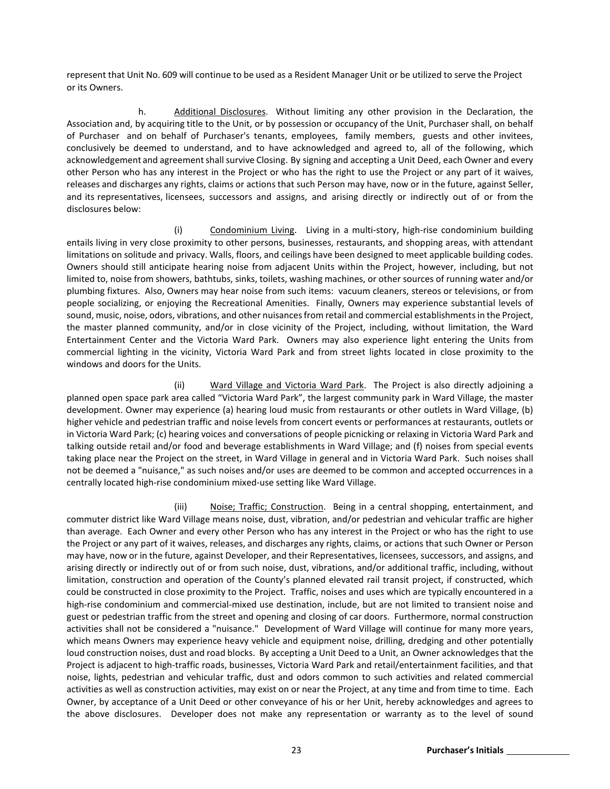represent that Unit No. 609 will continue to be used as a Resident Manager Unit or be utilized to serve the Project or its Owners.

h. Additional Disclosures. Without limiting any other provision in the Declaration, the Association and, by acquiring title to the Unit, or by possession or occupancy of the Unit, Purchaser shall, on behalf of Purchaser and on behalf of Purchaser's tenants, employees, family members, guests and other invitees, conclusively be deemed to understand, and to have acknowledged and agreed to, all of the following, which acknowledgement and agreement shall survive Closing. By signing and accepting a Unit Deed, each Owner and every other Person who has any interest in the Project or who has the right to use the Project or any part of it waives, releases and discharges any rights, claims or actions that such Person may have, now or in the future, against Seller, and its representatives, licensees, successors and assigns, and arising directly or indirectly out of or from the disclosures below:

(i) Condominium Living. Living in a multi-story, high-rise condominium building entails living in very close proximity to other persons, businesses, restaurants, and shopping areas, with attendant limitations on solitude and privacy. Walls, floors, and ceilings have been designed to meet applicable building codes. Owners should still anticipate hearing noise from adjacent Units within the Project, however, including, but not limited to, noise from showers, bathtubs, sinks, toilets, washing machines, or other sources of running water and/or plumbing fixtures. Also, Owners may hear noise from such items: vacuum cleaners, stereos or televisions, or from people socializing, or enjoying the Recreational Amenities. Finally, Owners may experience substantial levels of sound, music, noise, odors, vibrations, and other nuisances from retail and commercial establishments in the Project, the master planned community, and/or in close vicinity of the Project, including, without limitation, the Ward Entertainment Center and the Victoria Ward Park. Owners may also experience light entering the Units from commercial lighting in the vicinity, Victoria Ward Park and from street lights located in close proximity to the windows and doors for the Units.

(ii) Ward Village and Victoria Ward Park. The Project is also directly adjoining a planned open space park area called "Victoria Ward Park", the largest community park in Ward Village, the master development. Owner may experience (a) hearing loud music from restaurants or other outlets in Ward Village, (b) higher vehicle and pedestrian traffic and noise levels from concert events or performances at restaurants, outlets or in Victoria Ward Park; (c) hearing voices and conversations of people picnicking or relaxing in Victoria Ward Park and talking outside retail and/or food and beverage establishments in Ward Village; and (f) noises from special events taking place near the Project on the street, in Ward Village in general and in Victoria Ward Park. Such noises shall not be deemed a "nuisance," as such noises and/or uses are deemed to be common and accepted occurrences in a centrally located high-rise condominium mixed-use setting like Ward Village.

(iii) Noise; Traffic; Construction. Being in a central shopping, entertainment, and commuter district like Ward Village means noise, dust, vibration, and/or pedestrian and vehicular traffic are higher than average. Each Owner and every other Person who has any interest in the Project or who has the right to use the Project or any part of it waives, releases, and discharges any rights, claims, or actions that such Owner or Person may have, now or in the future, against Developer, and their Representatives, licensees, successors, and assigns, and arising directly or indirectly out of or from such noise, dust, vibrations, and/or additional traffic, including, without limitation, construction and operation of the County's planned elevated rail transit project, if constructed, which could be constructed in close proximity to the Project. Traffic, noises and uses which are typically encountered in a high-rise condominium and commercial-mixed use destination, include, but are not limited to transient noise and guest or pedestrian traffic from the street and opening and closing of car doors. Furthermore, normal construction activities shall not be considered a "nuisance." Development of Ward Village will continue for many more years, which means Owners may experience heavy vehicle and equipment noise, drilling, dredging and other potentially loud construction noises, dust and road blocks. By accepting a Unit Deed to a Unit, an Owner acknowledges that the Project is adjacent to high-traffic roads, businesses, Victoria Ward Park and retail/entertainment facilities, and that noise, lights, pedestrian and vehicular traffic, dust and odors common to such activities and related commercial activities as well as construction activities, may exist on or near the Project, at any time and from time to time. Each Owner, by acceptance of a Unit Deed or other conveyance of his or her Unit, hereby acknowledges and agrees to the above disclosures. Developer does not make any representation or warranty as to the level of sound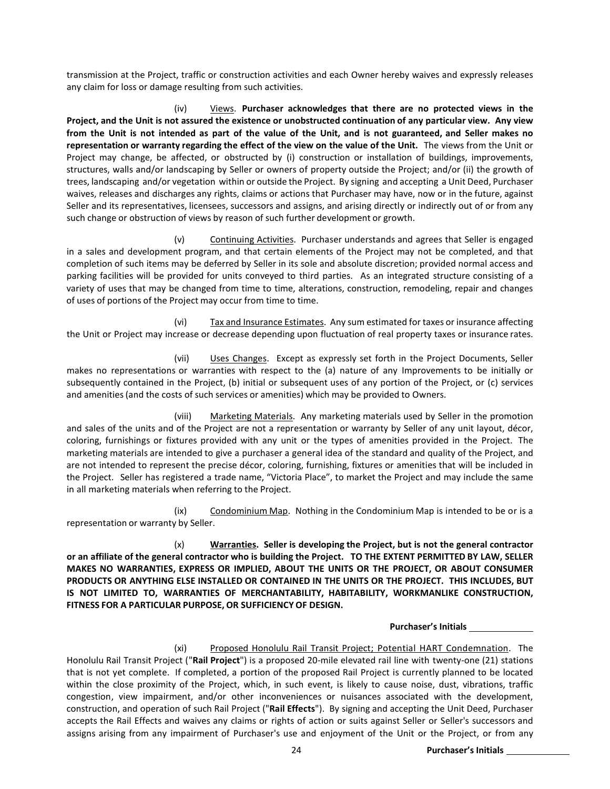transmission at the Project, traffic or construction activities and each Owner hereby waives and expressly releases any claim for loss or damage resulting from such activities.

(iv) Views. **Purchaser acknowledges that there are no protected views in the Project, and the Unit is not assured the existence or unobstructed continuation of any particular view. Any view**  from the Unit is not intended as part of the value of the Unit, and is not guaranteed, and Seller makes no **representation or warranty regarding the effect of the view on the value of the Unit.** The views from the Unit or Project may change, be affected, or obstructed by (i) construction or installation of buildings, improvements, structures, walls and/or landscaping by Seller or owners of property outside the Project; and/or (ii) the growth of trees, landscaping and/or vegetation within or outside the Project. By signing and accepting a Unit Deed, Purchaser waives, releases and discharges any rights, claims or actions that Purchaser may have, now or in the future, against Seller and its representatives, licensees, successors and assigns, and arising directly or indirectly out of or from any such change or obstruction of views by reason of such further development or growth.

(v) Continuing Activities. Purchaser understands and agrees that Seller is engaged in a sales and development program, and that certain elements of the Project may not be completed, and that completion of such items may be deferred by Seller in its sole and absolute discretion; provided normal access and parking facilities will be provided for units conveyed to third parties. As an integrated structure consisting of a variety of uses that may be changed from time to time, alterations, construction, remodeling, repair and changes of uses of portions of the Project may occur from time to time.

(vi) Tax and Insurance Estimates. Any sum estimated for taxes or insurance affecting the Unit or Project may increase or decrease depending upon fluctuation of real property taxes or insurance rates.

(vii) Uses Changes. Except as expressly set forth in the Project Documents, Seller makes no representations or warranties with respect to the (a) nature of any Improvements to be initially or subsequently contained in the Project, (b) initial or subsequent uses of any portion of the Project, or (c) services and amenities(and the costs of such services or amenities) which may be provided to Owners.

(viii) Marketing Materials. Any marketing materials used by Seller in the promotion and sales of the units and of the Project are not a representation or warranty by Seller of any unit layout, décor, coloring, furnishings or fixtures provided with any unit or the types of amenities provided in the Project. The marketing materials are intended to give a purchaser a general idea of the standard and quality of the Project, and are not intended to represent the precise décor, coloring, furnishing, fixtures or amenities that will be included in the Project. Seller has registered a trade name, "Victoria Place", to market the Project and may include the same in all marketing materials when referring to the Project.

(ix) Condominium Map. Nothing in the Condominium Map is intended to be or is a representation or warranty by Seller.

(x) **Warranties. Seller is developing the Project, but is not the general contractor or an affiliate of the general contractor who is building the Project. TO THE EXTENT PERMITTED BY LAW, SELLER MAKES NO WARRANTIES, EXPRESS OR IMPLIED, ABOUT THE UNITS OR THE PROJECT, OR ABOUT CONSUMER PRODUCTS OR ANYTHING ELSE INSTALLED OR CONTAINED IN THE UNITS OR THE PROJECT. THIS INCLUDES, BUT IS NOT LIMITED TO, WARRANTIES OF MERCHANTABILITY, HABITABILITY, WORKMANLIKE CONSTRUCTION, FITNESS FOR A PARTICULAR PURPOSE, OR SUFFICIENCY OF DESIGN.**

**Purchaser's Initials**

(xi) Proposed Honolulu Rail Transit Project; Potential HART Condemnation. The Honolulu Rail Transit Project ("**Rail Project**") is a proposed 20-mile elevated rail line with twenty-one (21) stations that is not yet complete. If completed, a portion of the proposed Rail Project is currently planned to be located within the close proximity of the Project, which, in such event, is likely to cause noise, dust, vibrations, traffic congestion, view impairment, and/or other inconveniences or nuisances associated with the development, construction, and operation of such Rail Project ("**Rail Effects**"). By signing and accepting the Unit Deed, Purchaser accepts the Rail Effects and waives any claims or rights of action or suits against Seller or Seller's successors and assigns arising from any impairment of Purchaser's use and enjoyment of the Unit or the Project, or from any

24 **Purchaser's Initials**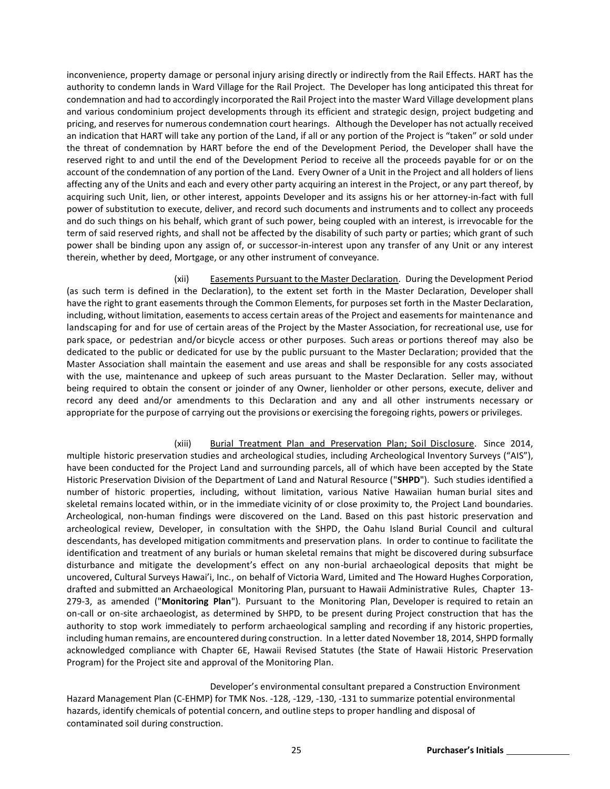inconvenience, property damage or personal injury arising directly or indirectly from the Rail Effects. HART has the authority to condemn lands in Ward Village for the Rail Project. The Developer has long anticipated this threat for condemnation and had to accordingly incorporated the Rail Project into the master Ward Village development plans and various condominium project developments through its efficient and strategic design, project budgeting and pricing, and reserves for numerous condemnation court hearings. Although the Developer has not actually received an indication that HART will take any portion of the Land, if all or any portion of the Project is "taken" or sold under the threat of condemnation by HART before the end of the Development Period, the Developer shall have the reserved right to and until the end of the Development Period to receive all the proceeds payable for or on the account of the condemnation of any portion of the Land. Every Owner of a Unit in the Project and all holders of liens affecting any of the Units and each and every other party acquiring an interest in the Project, or any part thereof, by acquiring such Unit, lien, or other interest, appoints Developer and its assigns his or her attorney-in-fact with full power of substitution to execute, deliver, and record such documents and instruments and to collect any proceeds and do such things on his behalf, which grant of such power, being coupled with an interest, is irrevocable for the term of said reserved rights, and shall not be affected by the disability of such party or parties; which grant of such power shall be binding upon any assign of, or successor-in-interest upon any transfer of any Unit or any interest therein, whether by deed, Mortgage, or any other instrument of conveyance.

(xii) Easements Pursuant to the Master Declaration. During the Development Period (as such term is defined in the Declaration), to the extent set forth in the Master Declaration, Developer shall have the right to grant easements through the Common Elements, for purposes set forth in the Master Declaration, including, without limitation, easements to access certain areas of the Project and easements for maintenance and landscaping for and for use of certain areas of the Project by the Master Association, for recreational use, use for park space, or pedestrian and/or bicycle access or other purposes. Such areas or portions thereof may also be dedicated to the public or dedicated for use by the public pursuant to the Master Declaration; provided that the Master Association shall maintain the easement and use areas and shall be responsible for any costs associated with the use, maintenance and upkeep of such areas pursuant to the Master Declaration. Seller may, without being required to obtain the consent or joinder of any Owner, lienholder or other persons, execute, deliver and record any deed and/or amendments to this Declaration and any and all other instruments necessary or appropriate for the purpose of carrying out the provisions or exercising the foregoing rights, powers or privileges.

## (xiii) Burial Treatment Plan and Preservation Plan; Soil Disclosure. Since 2014,

multiple historic preservation studies and archeological studies, including Archeological Inventory Surveys ("AIS"), have been conducted for the Project Land and surrounding parcels, all of which have been accepted by the State Historic Preservation Division of the Department of Land and Natural Resource ("**SHPD**"). Such studies identified a number of historic properties, including, without limitation, various Native Hawaiian human burial sites and skeletal remains located within, or in the immediate vicinity of or close proximity to, the Project Land boundaries. Archeological, non-human findings were discovered on the Land. Based on this past historic preservation and archeological review, Developer, in consultation with the SHPD, the Oahu Island Burial Council and cultural descendants, has developed mitigation commitments and preservation plans. In order to continue to facilitate the identification and treatment of any burials or human skeletal remains that might be discovered during subsurface disturbance and mitigate the development's effect on any non-burial archaeological deposits that might be uncovered, Cultural Surveys Hawai'i, Inc., on behalf of Victoria Ward, Limited and The Howard Hughes Corporation, drafted and submitted an Archaeological Monitoring Plan, pursuant to Hawaii Administrative Rules, Chapter 13- 279-3, as amended ("**Monitoring Plan**"). Pursuant to the Monitoring Plan, Developer is required to retain an on-call or on-site archaeologist, as determined by SHPD, to be present during Project construction that has the authority to stop work immediately to perform archaeological sampling and recording if any historic properties, including human remains, are encountered during construction. In a letter dated November 18, 2014, SHPD formally acknowledged compliance with Chapter 6E, Hawaii Revised Statutes (the State of Hawaii Historic Preservation Program) for the Project site and approval of the Monitoring Plan.

Developer's environmental consultant prepared a Construction Environment Hazard Management Plan (C-EHMP) for TMK Nos. -128, -129, -130, -131 to summarize potential environmental hazards, identify chemicals of potential concern, and outline steps to proper handling and disposal of contaminated soil during construction.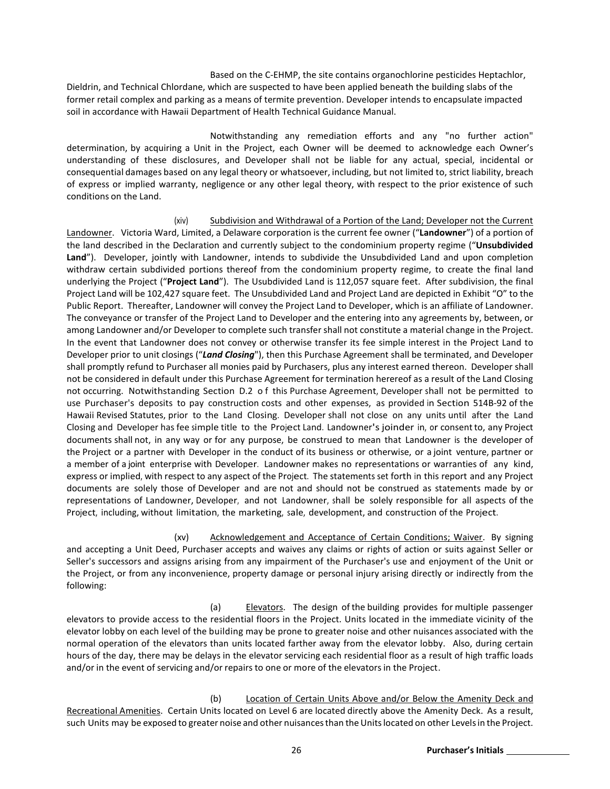Based on the C-EHMP, the site contains organochlorine pesticides Heptachlor, Dieldrin, and Technical Chlordane, which are suspected to have been applied beneath the building slabs of the former retail complex and parking as a means of termite prevention. Developer intends to encapsulate impacted soil in accordance with Hawaii Department of Health Technical Guidance Manual.

Notwithstanding any remediation efforts and any "no further action" determination, by acquiring a Unit in the Project, each Owner will be deemed to acknowledge each Owner's understanding of these disclosures, and Developer shall not be liable for any actual, special, incidental or consequential damages based on any legal theory or whatsoever, including, but not limited to, strict liability, breach of express or implied warranty, negligence or any other legal theory, with respect to the prior existence of such conditions on the Land.

(xiv) Subdivision and Withdrawal of a Portion of the Land; Developer not the Current Landowner. Victoria Ward, Limited, a Delaware corporation is the current fee owner ("**Landowner**") of a portion of the land described in the Declaration and currently subject to the condominium property regime ("**Unsubdivided**  Land"). Developer, jointly with Landowner, intends to subdivide the Unsubdivided Land and upon completion withdraw certain subdivided portions thereof from the condominium property regime, to create the final land underlying the Project ("**Project Land**"). The Usubdivided Land is 112,057 square feet. After subdivision, the final Project Land will be 102,427 square feet. The Unsubdivided Land and Project Land are depicted in Exhibit "O" to the Public Report. Thereafter, Landowner will convey the Project Land to Developer, which is an affiliate of Landowner. The conveyance or transfer of the Project Land to Developer and the entering into any agreements by, between, or among Landowner and/or Developer to complete such transfer shall not constitute a material change in the Project. In the event that Landowner does not convey or otherwise transfer its fee simple interest in the Project Land to Developer prior to unit closings ("*Land Closing*"), then this Purchase Agreement shall be terminated, and Developer shall promptly refund to Purchaser all monies paid by Purchasers, plus any interest earned thereon. Developer shall not be considered in default under this Purchase Agreement for termination herereof as a result of the Land Closing not occurring. Notwithstanding Section D.2 o f this Purchase Agreement, Developer shall not be permitted to use Purchaser's deposits to pay construction costs and other expenses, as provided in Section 514B-92 of the Hawaii Revised Statutes, prior to the Land Closing. Developer shall not close on any units until after the Land Closing and Developer has fee simple title to the Project Land. Landowner's joinder in, or consent to, any Project documents shall not, in any way or for any purpose, be construed to mean that Landowner is the developer of the Project or a partner with Developer in the conduct of its business or otherwise, or a joint venture, partner or a member of a joint enterprise with Developer. Landowner makes no representations or warranties of any kind, express or implied, with respect to any aspect of the Project. The statements set forth in this report and any Project documents are solely those of Developer and are not and should not be construed as statements made by or representations of Landowner, Developer, and not Landowner, shall be solely responsible for all aspects of the Project, including, without limitation, the marketing, sale, development, and construction of the Project.

(xv) Acknowledgement and Acceptance of Certain Conditions; Waiver. By signing and accepting a Unit Deed, Purchaser accepts and waives any claims or rights of action or suits against Seller or Seller's successors and assigns arising from any impairment of the Purchaser's use and enjoyment of the Unit or the Project, or from any inconvenience, property damage or personal injury arising directly or indirectly from the following:

(a) Elevators. The design of the building provides for multiple passenger elevators to provide access to the residential floors in the Project. Units located in the immediate vicinity of the elevator lobby on each level of the building may be prone to greater noise and other nuisances associated with the normal operation of the elevators than units located farther away from the elevator lobby. Also, during certain hours of the day, there may be delays in the elevator servicing each residential floor as a result of high traffic loads and/or in the event of servicing and/or repairs to one or more of the elevators in the Project.

(b) Location of Certain Units Above and/or Below the Amenity Deck and Recreational Amenities. Certain Units located on Level 6 are located directly above the Amenity Deck. As a result, such Units may be exposed to greater noise and other nuisances than the Units located on other Levels in the Project.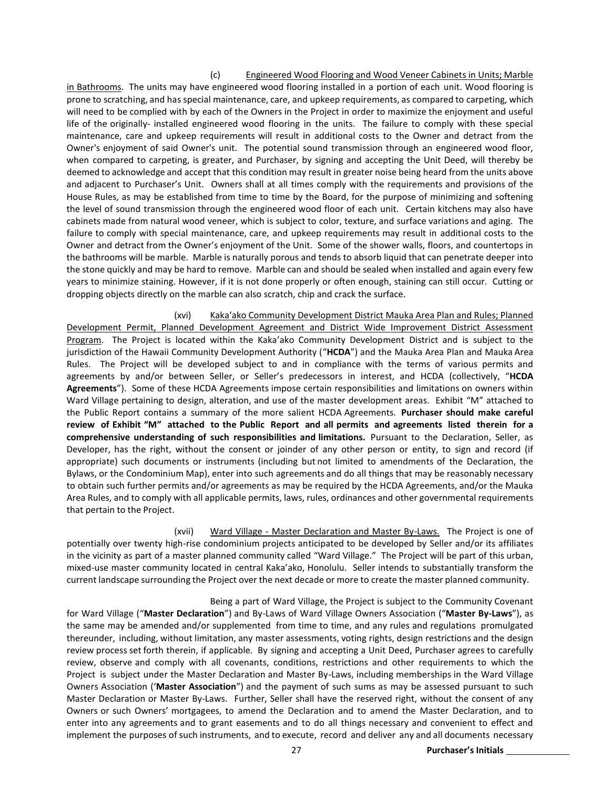#### (c) Engineered Wood Flooring and Wood Veneer Cabinets in Units; Marble

in Bathrooms. The units may have engineered wood flooring installed in a portion of each unit. Wood flooring is prone to scratching, and has special maintenance, care, and upkeep requirements, as compared to carpeting, which will need to be complied with by each of the Owners in the Project in order to maximize the enjoyment and useful life of the originally- installed engineered wood flooring in the units. The failure to comply with these special maintenance, care and upkeep requirements will result in additional costs to the Owner and detract from the Owner's enjoyment of said Owner's unit. The potential sound transmission through an engineered wood floor, when compared to carpeting, is greater, and Purchaser, by signing and accepting the Unit Deed, will thereby be deemed to acknowledge and accept that this condition may result in greater noise being heard from the units above and adjacent to Purchaser's Unit. Owners shall at all times comply with the requirements and provisions of the House Rules, as may be established from time to time by the Board, for the purpose of minimizing and softening the level of sound transmission through the engineered wood floor of each unit. Certain kitchens may also have cabinets made from natural wood veneer, which is subject to color, texture, and surface variations and aging. The failure to comply with special maintenance, care, and upkeep requirements may result in additional costs to the Owner and detract from the Owner's enjoyment of the Unit. Some of the shower walls, floors, and countertops in the bathrooms will be marble. Marble is naturally porous and tends to absorb liquid that can penetrate deeper into the stone quickly and may be hard to remove. Marble can and should be sealed when installed and again every few years to minimize staining. However, if it is not done properly or often enough, staining can still occur. Cutting or dropping objects directly on the marble can also scratch, chip and crack the surface.

(xvi) Kaka'ako Community Development District Mauka Area Plan and Rules; Planned Development Permit, Planned Development Agreement and District Wide Improvement District Assessment Program. The Project is located within the Kaka'ako Community Development District and is subject to the jurisdiction of the Hawaii Community Development Authority ("**HCDA**") and the Mauka Area Plan and Mauka Area Rules. The Project will be developed subject to and in compliance with the terms of various permits and agreements by and/or between Seller, or Seller's predecessors in interest, and HCDA (collectively, "**HCDA Agreements**"). Some of these HCDA Agreements impose certain responsibilities and limitations on owners within Ward Village pertaining to design, alteration, and use of the master development areas. Exhibit "M" attached to the Public Report contains a summary of the more salient HCDA Agreements. **Purchaser should make careful review of Exhibit "M" attached to the Public Report and all permits and agreements listed therein for a comprehensive understanding of such responsibilities and limitations.** Pursuant to the Declaration, Seller, as Developer, has the right, without the consent or joinder of any other person or entity, to sign and record (if appropriate) such documents or instruments (including but not limited to amendments of the Declaration, the Bylaws, or the Condominium Map), enter into such agreements and do all things that may be reasonably necessary to obtain such further permits and/or agreements as may be required by the HCDA Agreements, and/or the Mauka Area Rules, and to comply with all applicable permits, laws, rules, ordinances and other governmental requirements that pertain to the Project.

(xvii) Ward Village - Master Declaration and Master By-Laws. The Project is one of potentially over twenty high-rise condominium projects anticipated to be developed by Seller and/or its affiliates in the vicinity as part of a master planned community called "Ward Village." The Project will be part of this urban, mixed-use master community located in central Kaka'ako, Honolulu. Seller intends to substantially transform the current landscape surrounding the Project over the next decade or more to create the master planned community.

Being a part of Ward Village, the Project is subject to the Community Covenant for Ward Village ("**Master Declaration**") and By-Laws of Ward Village Owners Association ("**Master By-Laws**"), as the same may be amended and/or supplemented from time to time, and any rules and regulations promulgated thereunder, including, without limitation, any master assessments, voting rights, design restrictions and the design review process set forth therein, if applicable. By signing and accepting a Unit Deed, Purchaser agrees to carefully review, observe and comply with all covenants, conditions, restrictions and other requirements to which the Project is subject under the Master Declaration and Master By-Laws, including memberships in the Ward Village Owners Association ('**Master Association**") and the payment of such sums as may be assessed pursuant to such Master Declaration or Master By-Laws. Further, Seller shall have the reserved right, without the consent of any Owners or such Owners' mortgagees, to amend the Declaration and to amend the Master Declaration, and to enter into any agreements and to grant easements and to do all things necessary and convenient to effect and implement the purposes of such instruments, and to execute, record and deliver any and all documents necessary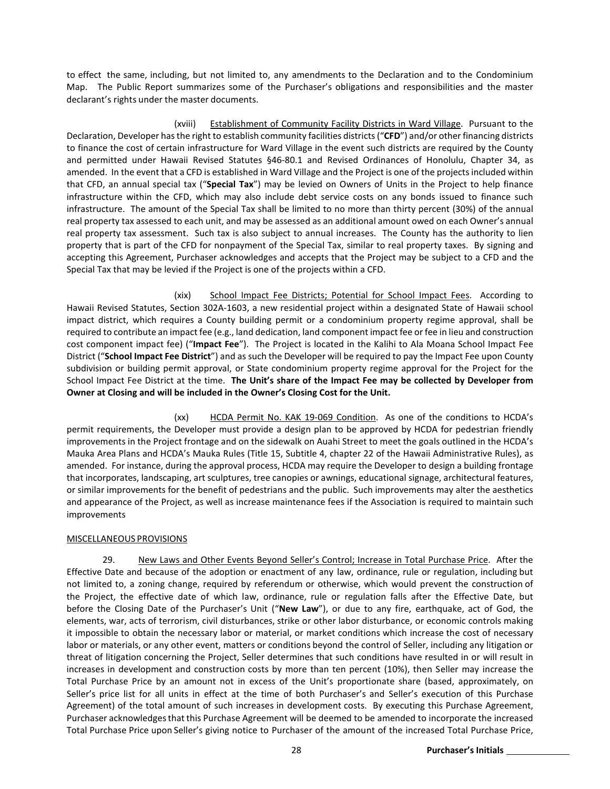to effect the same, including, but not limited to, any amendments to the Declaration and to the Condominium Map. The Public Report summarizes some of the Purchaser's obligations and responsibilities and the master declarant's rights under the master documents.

(xviii) Establishment of Community Facility Districts in Ward Village. Pursuant to the Declaration, Developer has the right to establish community facilities districts ("**CFD**") and/or other financing districts to finance the cost of certain infrastructure for Ward Village in the event such districts are required by the County and permitted under Hawaii Revised Statutes §46-80.1 and Revised Ordinances of Honolulu, Chapter 34, as amended. In the event that a CFD is established in Ward Village and the Project is one of the projects included within that CFD, an annual special tax ("**Special Tax**") may be levied on Owners of Units in the Project to help finance infrastructure within the CFD, which may also include debt service costs on any bonds issued to finance such infrastructure. The amount of the Special Tax shall be limited to no more than thirty percent (30%) of the annual real property tax assessed to each unit, and may be assessed as an additional amount owed on each Owner's annual real property tax assessment. Such tax is also subject to annual increases. The County has the authority to lien property that is part of the CFD for nonpayment of the Special Tax, similar to real property taxes. By signing and accepting this Agreement, Purchaser acknowledges and accepts that the Project may be subject to a CFD and the Special Tax that may be levied if the Project is one of the projects within a CFD.

(xix) School Impact Fee Districts; Potential for School Impact Fees. According to Hawaii Revised Statutes, Section 302A-1603, a new residential project within a designated State of Hawaii school impact district, which requires a County building permit or a condominium property regime approval, shall be required to contribute an impact fee (e.g., land dedication, land component impact fee or fee in lieu and construction cost component impact fee) ("**Impact Fee**"). The Project is located in the Kalihi to Ala Moana School Impact Fee District ("**School Impact Fee District**") and as such the Developer will be required to pay the Impact Fee upon County subdivision or building permit approval, or State condominium property regime approval for the Project for the School Impact Fee District at the time. **The Unit's share of the Impact Fee may be collected by Developer from Owner at Closing and will be included in the Owner's Closing Cost for the Unit.** 

(xx) HCDA Permit No. KAK 19-069 Condition. As one of the conditions to HCDA's permit requirements, the Developer must provide a design plan to be approved by HCDA for pedestrian friendly improvements in the Project frontage and on the sidewalk on Auahi Street to meet the goals outlined in the HCDA's Mauka Area Plans and HCDA's Mauka Rules (Title 15, Subtitle 4, chapter 22 of the Hawaii Administrative Rules), as amended. For instance, during the approval process, HCDA may require the Developer to design a building frontage that incorporates, landscaping, art sculptures, tree canopies or awnings, educational signage, architectural features, or similar improvements for the benefit of pedestrians and the public. Such improvements may alter the aesthetics and appearance of the Project, as well as increase maintenance fees if the Association is required to maintain such improvements

#### MISCELLANEOUS PROVISIONS

29. New Laws and Other Events Beyond Seller's Control; Increase in Total Purchase Price. After the Effective Date and because of the adoption or enactment of any law, ordinance, rule or regulation, including but not limited to, a zoning change, required by referendum or otherwise, which would prevent the construction of the Project, the effective date of which law, ordinance, rule or regulation falls after the Effective Date, but before the Closing Date of the Purchaser's Unit ("**New Law**"), or due to any fire, earthquake, act of God, the elements, war, acts of terrorism, civil disturbances, strike or other labor disturbance, or economic controls making it impossible to obtain the necessary labor or material, or market conditions which increase the cost of necessary labor or materials, or any other event, matters or conditions beyond the control of Seller, including any litigation or threat of litigation concerning the Project, Seller determines that such conditions have resulted in or will result in increases in development and construction costs by more than ten percent (10%), then Seller may increase the Total Purchase Price by an amount not in excess of the Unit's proportionate share (based, approximately, on Seller's price list for all units in effect at the time of both Purchaser's and Seller's execution of this Purchase Agreement) of the total amount of such increases in development costs. By executing this Purchase Agreement, Purchaser acknowledgesthat this Purchase Agreement will be deemed to be amended to incorporate the increased Total Purchase Price upon Seller's giving notice to Purchaser of the amount of the increased Total Purchase Price,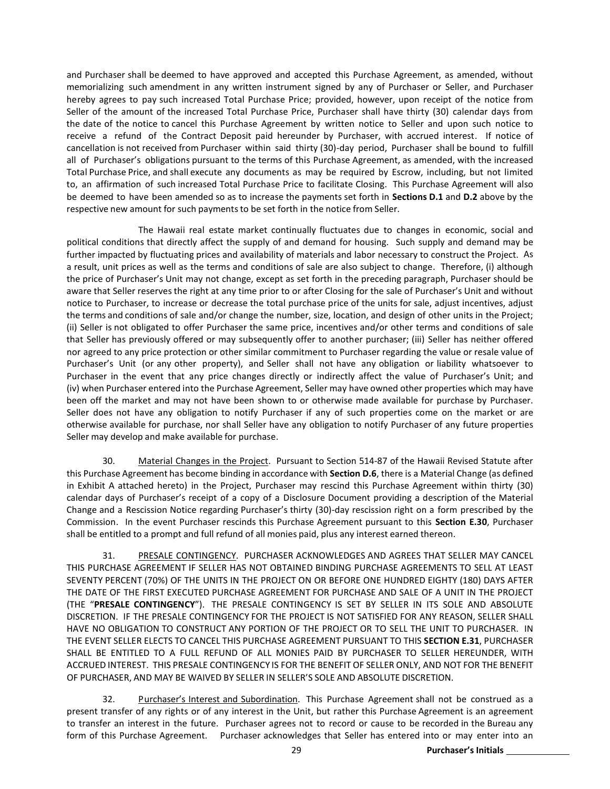and Purchaser shall be deemed to have approved and accepted this Purchase Agreement, as amended, without memorializing such amendment in any written instrument signed by any of Purchaser or Seller, and Purchaser hereby agrees to pay such increased Total Purchase Price; provided, however, upon receipt of the notice from Seller of the amount of the increased Total Purchase Price, Purchaser shall have thirty (30) calendar days from the date of the notice to cancel this Purchase Agreement by written notice to Seller and upon such notice to receive a refund of the Contract Deposit paid hereunder by Purchaser, with accrued interest. If notice of cancellation is not received from Purchaser within said thirty (30)-day period, Purchaser shall be bound to fulfill all of Purchaser's obligations pursuant to the terms of this Purchase Agreement, as amended, with the increased Total Purchase Price, and shall execute any documents as may be required by Escrow, including, but not limited to, an affirmation of such increased Total Purchase Price to facilitate Closing. This Purchase Agreement will also be deemed to have been amended so as to increase the payments set forth in **Sections D.1** and **D.2** above by the respective new amount for such payments to be set forth in the notice from Seller.

The Hawaii real estate market continually fluctuates due to changes in economic, social and political conditions that directly affect the supply of and demand for housing. Such supply and demand may be further impacted by fluctuating prices and availability of materials and labor necessary to construct the Project. As a result, unit prices as well as the terms and conditions of sale are also subject to change. Therefore, (i) although the price of Purchaser's Unit may not change, except as set forth in the preceding paragraph, Purchaser should be aware that Seller reserves the right at any time prior to or after Closing for the sale of Purchaser's Unit and without notice to Purchaser, to increase or decrease the total purchase price of the units for sale, adjust incentives, adjust the terms and conditions of sale and/or change the number, size, location, and design of other units in the Project; (ii) Seller is not obligated to offer Purchaser the same price, incentives and/or other terms and conditions of sale that Seller has previously offered or may subsequently offer to another purchaser; (iii) Seller has neither offered nor agreed to any price protection or other similar commitment to Purchaser regarding the value or resale value of Purchaser's Unit (or any other property), and Seller shall not have any obligation or liability whatsoever to Purchaser in the event that any price changes directly or indirectly affect the value of Purchaser's Unit; and (iv) when Purchaser entered into the Purchase Agreement, Seller may have owned other properties which may have been off the market and may not have been shown to or otherwise made available for purchase by Purchaser. Seller does not have any obligation to notify Purchaser if any of such properties come on the market or are otherwise available for purchase, nor shall Seller have any obligation to notify Purchaser of any future properties Seller may develop and make available for purchase.

30. Material Changes in the Project. Pursuant to Section 514-87 of the Hawaii Revised Statute after this Purchase Agreement has become binding in accordance with **Section D.6**, there is a Material Change (as defined in Exhibit A attached hereto) in the Project, Purchaser may rescind this Purchase Agreement within thirty (30) calendar days of Purchaser's receipt of a copy of a Disclosure Document providing a description of the Material Change and a Rescission Notice regarding Purchaser's thirty (30)-day rescission right on a form prescribed by the Commission. In the event Purchaser rescinds this Purchase Agreement pursuant to this **Section E.30**, Purchaser shall be entitled to a prompt and full refund of all monies paid, plus any interest earned thereon.

31. PRESALE CONTINGENCY. PURCHASER ACKNOWLEDGES AND AGREES THAT SELLER MAY CANCEL THIS PURCHASE AGREEMENT IF SELLER HAS NOT OBTAINED BINDING PURCHASE AGREEMENTS TO SELL AT LEAST SEVENTY PERCENT (70%) OF THE UNITS IN THE PROJECT ON OR BEFORE ONE HUNDRED EIGHTY (180) DAYS AFTER THE DATE OF THE FIRST EXECUTED PURCHASE AGREEMENT FOR PURCHASE AND SALE OF A UNIT IN THE PROJECT (THE "**PRESALE CONTINGENCY**"). THE PRESALE CONTINGENCY IS SET BY SELLER IN ITS SOLE AND ABSOLUTE DISCRETION. IF THE PRESALE CONTINGENCY FOR THE PROJECT IS NOT SATISFIED FOR ANY REASON, SELLER SHALL HAVE NO OBLIGATION TO CONSTRUCT ANY PORTION OF THE PROJECT OR TO SELL THE UNIT TO PURCHASER. IN THE EVENT SELLER ELECTS TO CANCEL THIS PURCHASE AGREEMENT PURSUANT TO THIS **SECTION E.31**, PURCHASER SHALL BE ENTITLED TO A FULL REFUND OF ALL MONIES PAID BY PURCHASER TO SELLER HEREUNDER, WITH ACCRUED INTEREST. THIS PRESALE CONTINGENCY IS FOR THE BENEFIT OF SELLER ONLY, AND NOT FOR THE BENEFIT OF PURCHASER, AND MAY BE WAIVED BY SELLER IN SELLER'S SOLE AND ABSOLUTE DISCRETION.

32. Purchaser's Interest and Subordination. This Purchase Agreement shall not be construed as a present transfer of any rights or of any interest in the Unit, but rather this Purchase Agreement is an agreement to transfer an interest in the future. Purchaser agrees not to record or cause to be recorded in the Bureau any form of this Purchase Agreement. Purchaser acknowledges that Seller has entered into or may enter into an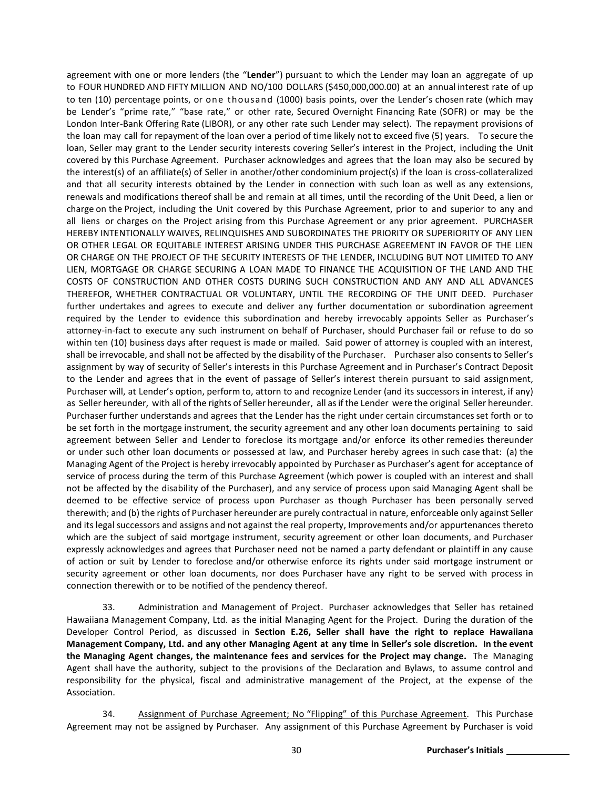agreement with one or more lenders (the "**Lender**") pursuant to which the Lender may loan an aggregate of up to FOUR HUNDRED AND FIFTY MILLION AND NO/100 DOLLARS (\$450,000,000.00) at an annual interest rate of up to ten (10) percentage points, or one thousand (1000) basis points, over the Lender's chosen rate (which may be Lender's "prime rate," "base rate," or other rate, Secured Overnight Financing Rate (SOFR) or may be the London Inter-Bank Offering Rate (LIBOR), or any other rate such Lender may select). The repayment provisions of the loan may call for repayment of the loan over a period of time likely not to exceed five (5) years. To secure the loan, Seller may grant to the Lender security interests covering Seller's interest in the Project, including the Unit covered by this Purchase Agreement. Purchaser acknowledges and agrees that the loan may also be secured by the interest(s) of an affiliate(s) of Seller in another/other condominium project(s) if the loan is cross-collateralized and that all security interests obtained by the Lender in connection with such loan as well as any extensions, renewals and modifications thereof shall be and remain at all times, until the recording of the Unit Deed, a lien or charge on the Project, including the Unit covered by this Purchase Agreement, prior to and superior to any and all liens or charges on the Project arising from this Purchase Agreement or any prior agreement. PURCHASER HEREBY INTENTIONALLY WAIVES, RELINQUISHES AND SUBORDINATES THE PRIORITY OR SUPERIORITY OF ANY LIEN OR OTHER LEGAL OR EQUITABLE INTEREST ARISING UNDER THIS PURCHASE AGREEMENT IN FAVOR OF THE LIEN OR CHARGE ON THE PROJECT OF THE SECURITY INTERESTS OF THE LENDER, INCLUDING BUT NOT LIMITED TO ANY LIEN, MORTGAGE OR CHARGE SECURING A LOAN MADE TO FINANCE THE ACQUISITION OF THE LAND AND THE COSTS OF CONSTRUCTION AND OTHER COSTS DURING SUCH CONSTRUCTION AND ANY AND ALL ADVANCES THEREFOR, WHETHER CONTRACTUAL OR VOLUNTARY, UNTIL THE RECORDING OF THE UNIT DEED. Purchaser further undertakes and agrees to execute and deliver any further documentation or subordination agreement required by the Lender to evidence this subordination and hereby irrevocably appoints Seller as Purchaser's attorney-in-fact to execute any such instrument on behalf of Purchaser, should Purchaser fail or refuse to do so within ten (10) business days after request is made or mailed. Said power of attorney is coupled with an interest, shall be irrevocable, and shall not be affected by the disability of the Purchaser. Purchaser also consents to Seller's assignment by way of security of Seller's interests in this Purchase Agreement and in Purchaser's Contract Deposit to the Lender and agrees that in the event of passage of Seller's interest therein pursuant to said assignment, Purchaser will, at Lender's option, perform to, attorn to and recognize Lender (and its successorsin interest, if any) as Seller hereunder, with all of the rights of Seller hereunder, all as if the Lender were the original Seller hereunder. Purchaser further understands and agrees that the Lender has the right under certain circumstances set forth or to be set forth in the mortgage instrument, the security agreement and any other loan documents pertaining to said agreement between Seller and Lender to foreclose its mortgage and/or enforce its other remedies thereunder or under such other loan documents or possessed at law, and Purchaser hereby agrees in such case that: (a) the Managing Agent of the Project is hereby irrevocably appointed by Purchaser as Purchaser's agent for acceptance of service of process during the term of this Purchase Agreement (which power is coupled with an interest and shall not be affected by the disability of the Purchaser), and any service of process upon said Managing Agent shall be deemed to be effective service of process upon Purchaser as though Purchaser has been personally served therewith; and (b) the rights of Purchaser hereunder are purely contractual in nature, enforceable only against Seller and its legal successors and assigns and not against the real property, Improvements and/or appurtenances thereto which are the subject of said mortgage instrument, security agreement or other loan documents, and Purchaser expressly acknowledges and agrees that Purchaser need not be named a party defendant or plaintiff in any cause of action or suit by Lender to foreclose and/or otherwise enforce its rights under said mortgage instrument or security agreement or other loan documents, nor does Purchaser have any right to be served with process in connection therewith or to be notified of the pendency thereof.

33. Administration and Management of Project. Purchaser acknowledges that Seller has retained Hawaiiana Management Company, Ltd. as the initial Managing Agent for the Project. During the duration of the Developer Control Period, as discussed in **Section E.26, Seller shall have the right to replace Hawaiiana Management Company, Ltd. and any other Managing Agent at any time in Seller's sole discretion. In the event the Managing Agent changes, the maintenance fees and services for the Project may change.** The Managing Agent shall have the authority, subject to the provisions of the Declaration and Bylaws, to assume control and responsibility for the physical, fiscal and administrative management of the Project, at the expense of the Association.

34. Assignment of Purchase Agreement; No "Flipping" of this Purchase Agreement. This Purchase Agreement may not be assigned by Purchaser. Any assignment of this Purchase Agreement by Purchaser is void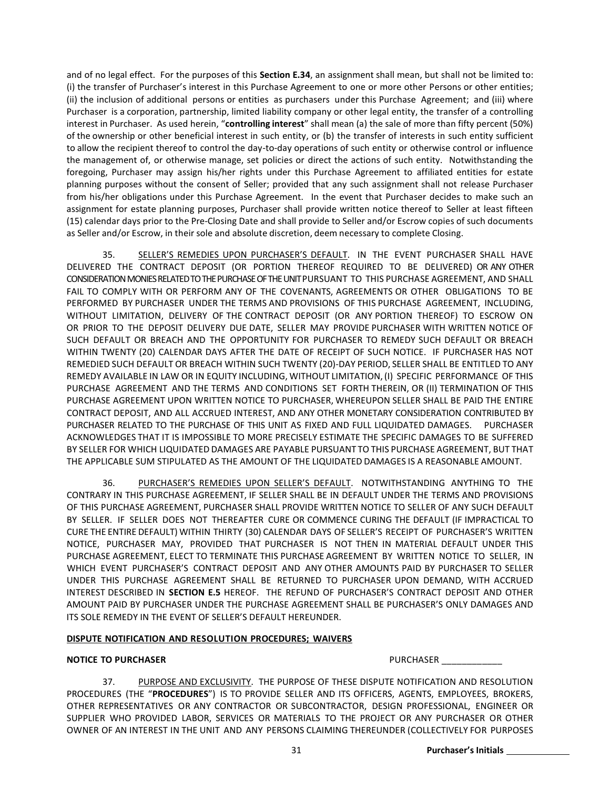and of no legal effect. For the purposes of this **Section E.34**, an assignment shall mean, but shall not be limited to: (i) the transfer of Purchaser's interest in this Purchase Agreement to one or more other Persons or other entities; (ii) the inclusion of additional persons or entities as purchasers under this Purchase Agreement; and (iii) where Purchaser is a corporation, partnership, limited liability company or other legal entity, the transfer of a controlling interest in Purchaser. As used herein, "**controlling interest**" shall mean (a) the sale of more than fifty percent (50%) of the ownership or other beneficial interest in such entity, or (b) the transfer of interests in such entity sufficient to allow the recipient thereof to control the day-to-day operations of such entity or otherwise control or influence the management of, or otherwise manage, set policies or direct the actions of such entity. Notwithstanding the foregoing, Purchaser may assign his/her rights under this Purchase Agreement to affiliated entities for estate planning purposes without the consent of Seller; provided that any such assignment shall not release Purchaser from his/her obligations under this Purchase Agreement. In the event that Purchaser decides to make such an assignment for estate planning purposes, Purchaser shall provide written notice thereof to Seller at least fifteen (15) calendar days prior to the Pre-Closing Date and shall provide to Seller and/or Escrow copies of such documents as Seller and/or Escrow, in their sole and absolute discretion, deem necessary to complete Closing.

35. SELLER'S REMEDIES UPON PURCHASER'S DEFAULT. IN THE EVENT PURCHASER SHALL HAVE DELIVERED THE CONTRACT DEPOSIT (OR PORTION THEREOF REQUIRED TO BE DELIVERED) OR ANY OTHER CONSIDERATION MONIES RELATED TO THE PURCHASE OF THE UNIT PURSUANT TO THIS PURCHASE AGREEMENT, AND SHALL FAIL TO COMPLY WITH OR PERFORM ANY OF THE COVENANTS, AGREEMENTS OR OTHER OBLIGATIONS TO BE PERFORMED BY PURCHASER UNDER THE TERMS AND PROVISIONS OF THIS PURCHASE AGREEMENT, INCLUDING, WITHOUT LIMITATION, DELIVERY OF THE CONTRACT DEPOSIT (OR ANY PORTION THEREOF) TO ESCROW ON OR PRIOR TO THE DEPOSIT DELIVERY DUE DATE, SELLER MAY PROVIDE PURCHASER WITH WRITTEN NOTICE OF SUCH DEFAULT OR BREACH AND THE OPPORTUNITY FOR PURCHASER TO REMEDY SUCH DEFAULT OR BREACH WITHIN TWENTY (20) CALENDAR DAYS AFTER THE DATE OF RECEIPT OF SUCH NOTICE. IF PURCHASER HAS NOT REMEDIED SUCH DEFAULT OR BREACH WITHIN SUCH TWENTY (20)-DAY PERIOD, SELLER SHALL BE ENTITLED TO ANY REMEDY AVAILABLE IN LAW OR IN EQUITY INCLUDING, WITHOUT LIMITATION,(I) SPECIFIC PERFORMANCE OF THIS PURCHASE AGREEMENT AND THE TERMS AND CONDITIONS SET FORTH THEREIN, OR (II) TERMINATION OF THIS PURCHASE AGREEMENT UPON WRITTEN NOTICE TO PURCHASER, WHEREUPON SELLER SHALL BE PAID THE ENTIRE CONTRACT DEPOSIT, AND ALL ACCRUED INTEREST, AND ANY OTHER MONETARY CONSIDERATION CONTRIBUTED BY PURCHASER RELATED TO THE PURCHASE OF THIS UNIT AS FIXED AND FULL LIQUIDATED DAMAGES. PURCHASER ACKNOWLEDGES THAT IT IS IMPOSSIBLE TO MORE PRECISELY ESTIMATE THE SPECIFIC DAMAGES TO BE SUFFERED BY SELLER FOR WHICH LIQUIDATED DAMAGES ARE PAYABLE PURSUANT TO THIS PURCHASE AGREEMENT, BUT THAT THE APPLICABLE SUM STIPULATED AS THE AMOUNT OF THE LIQUIDATED DAMAGES IS A REASONABLE AMOUNT.

36. PURCHASER'S REMEDIES UPON SELLER'S DEFAULT. NOTWITHSTANDING ANYTHING TO THE CONTRARY IN THIS PURCHASE AGREEMENT, IF SELLER SHALL BE IN DEFAULT UNDER THE TERMS AND PROVISIONS OF THIS PURCHASE AGREEMENT, PURCHASER SHALL PROVIDE WRITTEN NOTICE TO SELLER OF ANY SUCH DEFAULT BY SELLER. IF SELLER DOES NOT THEREAFTER CURE OR COMMENCE CURING THE DEFAULT (IF IMPRACTICAL TO CURE THE ENTIRE DEFAULT) WITHIN THIRTY (30) CALENDAR DAYS OF SELLER'S RECEIPT OF PURCHASER'S WRITTEN NOTICE, PURCHASER MAY, PROVIDED THAT PURCHASER IS NOT THEN IN MATERIAL DEFAULT UNDER THIS PURCHASE AGREEMENT, ELECT TO TERMINATE THIS PURCHASE AGREEMENT BY WRITTEN NOTICE TO SELLER, IN WHICH EVENT PURCHASER'S CONTRACT DEPOSIT AND ANY OTHER AMOUNTS PAID BY PURCHASER TO SELLER UNDER THIS PURCHASE AGREEMENT SHALL BE RETURNED TO PURCHASER UPON DEMAND, WITH ACCRUED INTEREST DESCRIBED IN **SECTION E.5** HEREOF. THE REFUND OF PURCHASER'S CONTRACT DEPOSIT AND OTHER AMOUNT PAID BY PURCHASER UNDER THE PURCHASE AGREEMENT SHALL BE PURCHASER'S ONLY DAMAGES AND ITS SOLE REMEDY IN THE EVENT OF SELLER'S DEFAULT HEREUNDER.

#### **DISPUTE NOTIFICATION AND RESOLUTION PROCEDURES; WAIVERS**

#### **NOTICE TO PURCHASER** PURCHASER \_\_\_\_\_\_\_\_\_\_\_\_

37. PURPOSE AND EXCLUSIVITY. THE PURPOSE OF THESE DISPUTE NOTIFICATION AND RESOLUTION PROCEDURES (THE "**PROCEDURES**") IS TO PROVIDE SELLER AND ITS OFFICERS, AGENTS, EMPLOYEES, BROKERS, OTHER REPRESENTATIVES OR ANY CONTRACTOR OR SUBCONTRACTOR, DESIGN PROFESSIONAL, ENGINEER OR SUPPLIER WHO PROVIDED LABOR, SERVICES OR MATERIALS TO THE PROJECT OR ANY PURCHASER OR OTHER OWNER OF AN INTEREST IN THE UNIT AND ANY PERSONS CLAIMING THEREUNDER (COLLECTIVELY FOR PURPOSES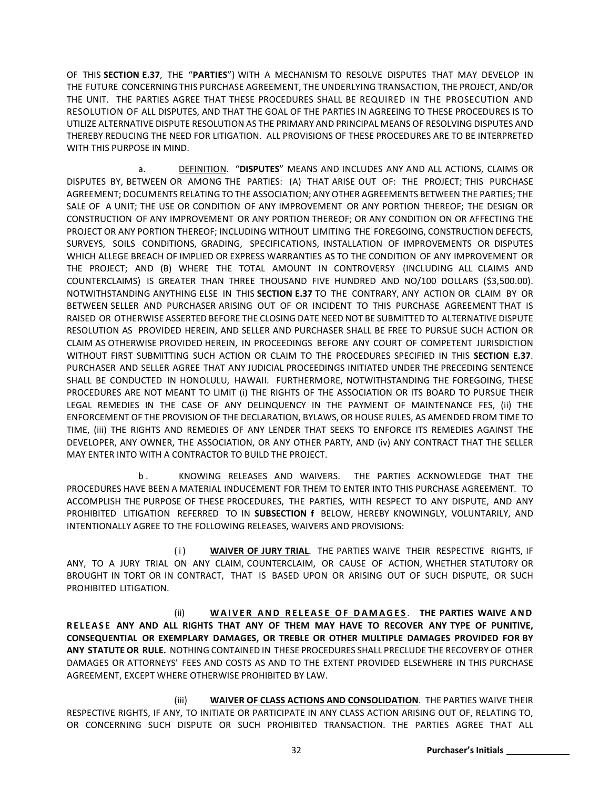OF THIS **SECTION E.37**, THE "**PARTIES**") WITH A MECHANISM TO RESOLVE DISPUTES THAT MAY DEVELOP IN THE FUTURE CONCERNING THIS PURCHASE AGREEMENT, THE UNDERLYING TRANSACTION, THE PROJECT, AND/OR THE UNIT. THE PARTIES AGREE THAT THESE PROCEDURES SHALL BE REQUIRED IN THE PROSECUTION AND RESOLUTION OF ALL DISPUTES, AND THAT THE GOAL OF THE PARTIES IN AGREEING TO THESE PROCEDURES IS TO UTILIZE ALTERNATIVE DISPUTE RESOLUTION AS THE PRIMARY AND PRINCIPAL MEANS OF RESOLVING DISPUTES AND THEREBY REDUCING THE NEED FOR LITIGATION. ALL PROVISIONS OF THESE PROCEDURES ARE TO BE INTERPRETED WITH THIS PURPOSE IN MIND.

a. DEFINITION. "**DISPUTES**" MEANS AND INCLUDES ANY AND ALL ACTIONS, CLAIMS OR DISPUTES BY, BETWEEN OR AMONG THE PARTIES: (A) THAT ARISE OUT OF: THE PROJECT; THIS PURCHASE AGREEMENT; DOCUMENTS RELATING TO THE ASSOCIATION; ANY OTHER AGREEMENTS BETWEEN THE PARTIES; THE SALE OF A UNIT; THE USE OR CONDITION OF ANY IMPROVEMENT OR ANY PORTION THEREOF; THE DESIGN OR CONSTRUCTION OF ANY IMPROVEMENT OR ANY PORTION THEREOF; OR ANY CONDITION ON OR AFFECTING THE PROJECT OR ANY PORTION THEREOF; INCLUDING WITHOUT LIMITING THE FOREGOING, CONSTRUCTION DEFECTS, SURVEYS, SOILS CONDITIONS, GRADING, SPECIFICATIONS, INSTALLATION OF IMPROVEMENTS OR DISPUTES WHICH ALLEGE BREACH OF IMPLIED OR EXPRESS WARRANTIES AS TO THE CONDITION OF ANY IMPROVEMENT OR THE PROJECT; AND (B) WHERE THE TOTAL AMOUNT IN CONTROVERSY (INCLUDING ALL CLAIMS AND COUNTERCLAIMS) IS GREATER THAN THREE THOUSAND FIVE HUNDRED AND NO/100 DOLLARS (\$3,500.00). NOTWITHSTANDING ANYTHING ELSE IN THIS **SECTION E.37** TO THE CONTRARY, ANY ACTION OR CLAIM BY OR BETWEEN SELLER AND PURCHASER ARISING OUT OF OR INCIDENT TO THIS PURCHASE AGREEMENT THAT IS RAISED OR OTHERWISE ASSERTED BEFORE THE CLOSING DATE NEED NOT BE SUBMITTED TO ALTERNATIVE DISPUTE RESOLUTION AS PROVIDED HEREIN, AND SELLER AND PURCHASER SHALL BE FREE TO PURSUE SUCH ACTION OR CLAIM AS OTHERWISE PROVIDED HEREIN, IN PROCEEDINGS BEFORE ANY COURT OF COMPETENT JURISDICTION WITHOUT FIRST SUBMITTING SUCH ACTION OR CLAIM TO THE PROCEDURES SPECIFIED IN THIS **SECTION E.37**. PURCHASER AND SELLER AGREE THAT ANY JUDICIAL PROCEEDINGS INITIATED UNDER THE PRECEDING SENTENCE SHALL BE CONDUCTED IN HONOLULU, HAWAII. FURTHERMORE, NOTWITHSTANDING THE FOREGOING, THESE PROCEDURES ARE NOT MEANT TO LIMIT (i) THE RIGHTS OF THE ASSOCIATION OR ITS BOARD TO PURSUE THEIR LEGAL REMEDIES IN THE CASE OF ANY DELINQUENCY IN THE PAYMENT OF MAINTENANCE FES, (ii) THE ENFORCEMENT OF THE PROVISION OF THE DECLARATION, BYLAWS, OR HOUSE RULES, AS AMENDED FROM TIME TO TIME, (iii) THE RIGHTS AND REMEDIES OF ANY LENDER THAT SEEKS TO ENFORCE ITS REMEDIES AGAINST THE DEVELOPER, ANY OWNER, THE ASSOCIATION, OR ANY OTHER PARTY, AND (iv) ANY CONTRACT THAT THE SELLER MAY ENTER INTO WITH A CONTRACTOR TO BUILD THE PROJECT.

b . KNOWING RELEASES AND WAIVERS. THE PARTIES ACKNOWLEDGE THAT THE PROCEDURES HAVE BEEN A MATERIAL INDUCEMENT FOR THEM TO ENTER INTO THIS PURCHASE AGREEMENT. TO ACCOMPLISH THE PURPOSE OF THESE PROCEDURES, THE PARTIES, WITH RESPECT TO ANY DISPUTE, AND ANY PROHIBITED LITIGATION REFERRED TO IN **SUBSECTION f** BELOW, HEREBY KNOWINGLY, VOLUNTARILY, AND INTENTIONALLY AGREE TO THE FOLLOWING RELEASES, WAIVERS AND PROVISIONS:

(i) **WAIVER OF JURY TRIAL**. THE PARTIES WAIVE THEIR RESPECTIVE RIGHTS, IF ANY, TO A JURY TRIAL ON ANY CLAIM, COUNTERCLAIM, OR CAUSE OF ACTION, WHETHER STATUTORY OR BROUGHT IN TORT OR IN CONTRACT, THAT IS BASED UPON OR ARISING OUT OF SUCH DISPUTE, OR SUCH PROHIBITED LITIGATION.

(ii) **WAIVER AND RELEASE OF DAMAGES** . **THE PARTIES WAIVE AND RELEASE ANY AND ALL RIGHTS THAT ANY OF THEM MAY HAVE TO RECOVER ANY TYPE OF PUNITIVE, CONSEQUENTIAL OR EXEMPLARY DAMAGES, OR TREBLE OR OTHER MULTIPLE DAMAGES PROVIDED FOR BY ANY STATUTE OR RULE.** NOTHING CONTAINED IN THESE PROCEDURES SHALL PRECLUDE THE RECOVERY OF OTHER DAMAGES OR ATTORNEYS' FEES AND COSTS AS AND TO THE EXTENT PROVIDED ELSEWHERE IN THIS PURCHASE AGREEMENT, EXCEPT WHERE OTHERWISE PROHIBITED BY LAW.

(iii) **WAIVER OF CLASS ACTIONS AND CONSOLIDATION**. THE PARTIES WAIVE THEIR RESPECTIVE RIGHTS, IF ANY, TO INITIATE OR PARTICIPATE IN ANY CLASS ACTION ARISING OUT OF, RELATING TO, OR CONCERNING SUCH DISPUTE OR SUCH PROHIBITED TRANSACTION. THE PARTIES AGREE THAT ALL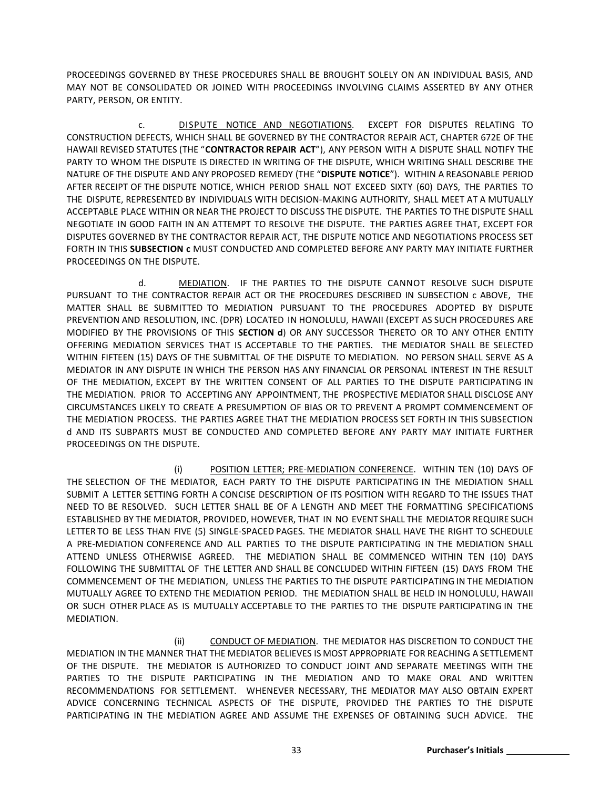PROCEEDINGS GOVERNED BY THESE PROCEDURES SHALL BE BROUGHT SOLELY ON AN INDIVIDUAL BASIS, AND MAY NOT BE CONSOLIDATED OR JOINED WITH PROCEEDINGS INVOLVING CLAIMS ASSERTED BY ANY OTHER PARTY, PERSON, OR ENTITY.

c. DISPUTE NOTICE AND NEGOTIATIONS. EXCEPT FOR DISPUTES RELATING TO CONSTRUCTION DEFECTS, WHICH SHALL BE GOVERNED BY THE CONTRACTOR REPAIR ACT, CHAPTER 672E OF THE HAWAII REVISED STATUTES (THE "**CONTRACTOR REPAIR ACT**"), ANY PERSON WITH A DISPUTE SHALL NOTIFY THE PARTY TO WHOM THE DISPUTE IS DIRECTED IN WRITING OF THE DISPUTE, WHICH WRITING SHALL DESCRIBE THE NATURE OF THE DISPUTE AND ANY PROPOSED REMEDY (THE "**DISPUTE NOTICE**"). WITHIN A REASONABLE PERIOD AFTER RECEIPT OF THE DISPUTE NOTICE, WHICH PERIOD SHALL NOT EXCEED SIXTY (60) DAYS, THE PARTIES TO THE DISPUTE, REPRESENTED BY INDIVIDUALS WITH DECISION-MAKING AUTHORITY, SHALL MEET AT A MUTUALLY ACCEPTABLE PLACE WITHIN OR NEAR THE PROJECT TO DISCUSS THE DISPUTE. THE PARTIES TO THE DISPUTE SHALL NEGOTIATE IN GOOD FAITH IN AN ATTEMPT TO RESOLVE THE DISPUTE. THE PARTIES AGREE THAT, EXCEPT FOR DISPUTES GOVERNED BY THE CONTRACTOR REPAIR ACT, THE DISPUTE NOTICE AND NEGOTIATIONS PROCESS SET FORTH IN THIS **SUBSECTION c** MUST CONDUCTED AND COMPLETED BEFORE ANY PARTY MAY INITIATE FURTHER PROCEEDINGS ON THE DISPUTE.

d. MEDIATION. IF THE PARTIES TO THE DISPUTE CANNOT RESOLVE SUCH DISPUTE PURSUANT TO THE CONTRACTOR REPAIR ACT OR THE PROCEDURES DESCRIBED IN SUBSECTION c ABOVE, THE MATTER SHALL BE SUBMITTED TO MEDIATION PURSUANT TO THE PROCEDURES ADOPTED BY DISPUTE PREVENTION AND RESOLUTION, INC. (DPR) LOCATED IN HONOLULU, HAWAII (EXCEPT AS SUCH PROCEDURES ARE MODIFIED BY THE PROVISIONS OF THIS **SECTION d**) OR ANY SUCCESSOR THERETO OR TO ANY OTHER ENTITY OFFERING MEDIATION SERVICES THAT IS ACCEPTABLE TO THE PARTIES. THE MEDIATOR SHALL BE SELECTED WITHIN FIFTEEN (15) DAYS OF THE SUBMITTAL OF THE DISPUTE TO MEDIATION. NO PERSON SHALL SERVE AS A MEDIATOR IN ANY DISPUTE IN WHICH THE PERSON HAS ANY FINANCIAL OR PERSONAL INTEREST IN THE RESULT OF THE MEDIATION, EXCEPT BY THE WRITTEN CONSENT OF ALL PARTIES TO THE DISPUTE PARTICIPATING IN THE MEDIATION. PRIOR TO ACCEPTING ANY APPOINTMENT, THE PROSPECTIVE MEDIATOR SHALL DISCLOSE ANY CIRCUMSTANCES LIKELY TO CREATE A PRESUMPTION OF BIAS OR TO PREVENT A PROMPT COMMENCEMENT OF THE MEDIATION PROCESS. THE PARTIES AGREE THAT THE MEDIATION PROCESS SET FORTH IN THIS SUBSECTION d AND ITS SUBPARTS MUST BE CONDUCTED AND COMPLETED BEFORE ANY PARTY MAY INITIATE FURTHER PROCEEDINGS ON THE DISPUTE.

(i) POSITION LETTER; PRE-MEDIATION CONFERENCE. WITHIN TEN (10) DAYS OF THE SELECTION OF THE MEDIATOR, EACH PARTY TO THE DISPUTE PARTICIPATING IN THE MEDIATION SHALL SUBMIT A LETTER SETTING FORTH A CONCISE DESCRIPTION OF ITS POSITION WITH REGARD TO THE ISSUES THAT NEED TO BE RESOLVED. SUCH LETTER SHALL BE OF A LENGTH AND MEET THE FORMATTING SPECIFICATIONS ESTABLISHED BY THE MEDIATOR, PROVIDED, HOWEVER, THAT IN NO EVENT SHALL THE MEDIATOR REQUIRE SUCH LETTER TO BE LESS THAN FIVE (5) SINGLE-SPACED PAGES. THE MEDIATOR SHALL HAVE THE RIGHT TO SCHEDULE A PRE-MEDIATION CONFERENCE AND ALL PARTIES TO THE DISPUTE PARTICIPATING IN THE MEDIATION SHALL ATTEND UNLESS OTHERWISE AGREED. THE MEDIATION SHALL BE COMMENCED WITHIN TEN (10) DAYS FOLLOWING THE SUBMITTAL OF THE LETTER AND SHALL BE CONCLUDED WITHIN FIFTEEN (15) DAYS FROM THE COMMENCEMENT OF THE MEDIATION, UNLESS THE PARTIES TO THE DISPUTE PARTICIPATING IN THE MEDIATION MUTUALLY AGREE TO EXTEND THE MEDIATION PERIOD. THE MEDIATION SHALL BE HELD IN HONOLULU, HAWAII OR SUCH OTHER PLACE AS IS MUTUALLY ACCEPTABLE TO THE PARTIES TO THE DISPUTE PARTICIPATING IN THE MEDIATION.

(ii) CONDUCT OF MEDIATION. THE MEDIATOR HAS DISCRETION TO CONDUCT THE MEDIATION IN THE MANNER THAT THE MEDIATOR BELIEVES IS MOST APPROPRIATE FOR REACHING A SETTLEMENT OF THE DISPUTE. THE MEDIATOR IS AUTHORIZED TO CONDUCT JOINT AND SEPARATE MEETINGS WITH THE PARTIES TO THE DISPUTE PARTICIPATING IN THE MEDIATION AND TO MAKE ORAL AND WRITTEN RECOMMENDATIONS FOR SETTLEMENT. WHENEVER NECESSARY, THE MEDIATOR MAY ALSO OBTAIN EXPERT ADVICE CONCERNING TECHNICAL ASPECTS OF THE DISPUTE, PROVIDED THE PARTIES TO THE DISPUTE PARTICIPATING IN THE MEDIATION AGREE AND ASSUME THE EXPENSES OF OBTAINING SUCH ADVICE. THE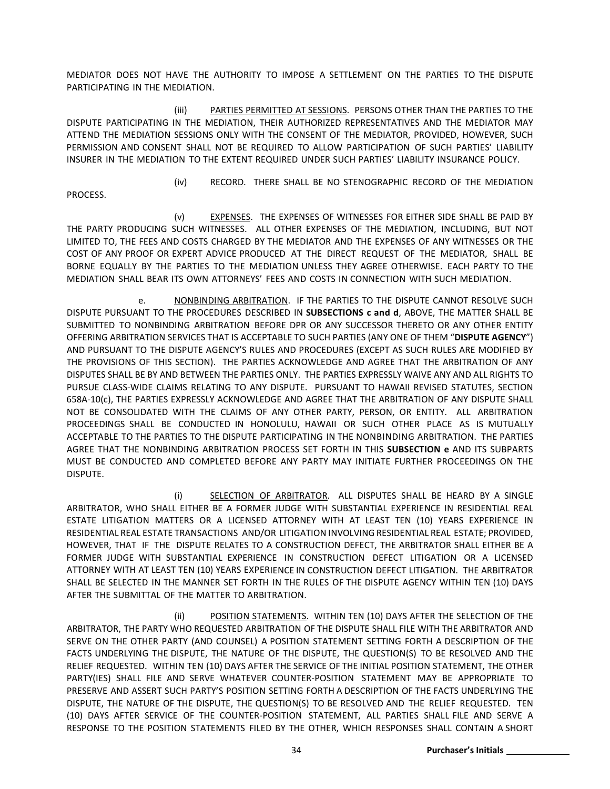MEDIATOR DOES NOT HAVE THE AUTHORITY TO IMPOSE A SETTLEMENT ON THE PARTIES TO THE DISPUTE PARTICIPATING IN THE MEDIATION.

(iii) PARTIES PERMITTED AT SESSIONS. PERSONS OTHER THAN THE PARTIES TO THE DISPUTE PARTICIPATING IN THE MEDIATION, THEIR AUTHORIZED REPRESENTATIVES AND THE MEDIATOR MAY ATTEND THE MEDIATION SESSIONS ONLY WITH THE CONSENT OF THE MEDIATOR, PROVIDED, HOWEVER, SUCH PERMISSION AND CONSENT SHALL NOT BE REQUIRED TO ALLOW PARTICIPATION OF SUCH PARTIES' LIABILITY INSURER IN THE MEDIATION TO THE EXTENT REQUIRED UNDER SUCH PARTIES' LIABILITY INSURANCE POLICY.

PROCESS.

(iv) RECORD. THERE SHALL BE NO STENOGRAPHIC RECORD OF THE MEDIATION

(v) EXPENSES. THE EXPENSES OF WITNESSES FOR EITHER SIDE SHALL BE PAID BY THE PARTY PRODUCING SUCH WITNESSES. ALL OTHER EXPENSES OF THE MEDIATION, INCLUDING, BUT NOT LIMITED TO, THE FEES AND COSTS CHARGED BY THE MEDIATOR AND THE EXPENSES OF ANY WITNESSES OR THE COST OF ANY PROOF OR EXPERT ADVICE PRODUCED AT THE DIRECT REQUEST OF THE MEDIATOR, SHALL BE BORNE EQUALLY BY THE PARTIES TO THE MEDIATION UNLESS THEY AGREE OTHERWISE. EACH PARTY TO THE MEDIATION SHALL BEAR ITS OWN ATTORNEYS' FEES AND COSTS IN CONNECTION WITH SUCH MEDIATION.

e. NONBINDING ARBITRATION. IF THE PARTIES TO THE DISPUTE CANNOT RESOLVE SUCH DISPUTE PURSUANT TO THE PROCEDURES DESCRIBED IN **SUBSECTIONS c and d**, ABOVE, THE MATTER SHALL BE SUBMITTED TO NONBINDING ARBITRATION BEFORE DPR OR ANY SUCCESSOR THERETO OR ANY OTHER ENTITY OFFERING ARBITRATION SERVICES THAT IS ACCEPTABLE TO SUCH PARTIES (ANY ONE OF THEM "**DISPUTE AGENCY**") AND PURSUANT TO THE DISPUTE AGENCY'S RULES AND PROCEDURES (EXCEPT AS SUCH RULES ARE MODIFIED BY THE PROVISIONS OF THIS SECTION). THE PARTIES ACKNOWLEDGE AND AGREE THAT THE ARBITRATION OF ANY DISPUTES SHALL BE BY AND BETWEEN THE PARTIES ONLY. THE PARTIES EXPRESSLY WAIVE ANY AND ALL RIGHTS TO PURSUE CLASS-WIDE CLAIMS RELATING TO ANY DISPUTE. PURSUANT TO HAWAII REVISED STATUTES, SECTION 658A-10(c), THE PARTIES EXPRESSLY ACKNOWLEDGE AND AGREE THAT THE ARBITRATION OF ANY DISPUTE SHALL NOT BE CONSOLIDATED WITH THE CLAIMS OF ANY OTHER PARTY, PERSON, OR ENTITY. ALL ARBITRATION PROCEEDINGS SHALL BE CONDUCTED IN HONOLULU, HAWAII OR SUCH OTHER PLACE AS IS MUTUALLY ACCEPTABLE TO THE PARTIES TO THE DISPUTE PARTICIPATING IN THE NONBINDING ARBITRATION. THE PARTIES AGREE THAT THE NONBINDING ARBITRATION PROCESS SET FORTH IN THIS **SUBSECTION e** AND ITS SUBPARTS MUST BE CONDUCTED AND COMPLETED BEFORE ANY PARTY MAY INITIATE FURTHER PROCEEDINGS ON THE DISPUTE.

(i) SELECTION OF ARBITRATOR. ALL DISPUTES SHALL BE HEARD BY A SINGLE ARBITRATOR, WHO SHALL EITHER BE A FORMER JUDGE WITH SUBSTANTIAL EXPERIENCE IN RESIDENTIAL REAL ESTATE LITIGATION MATTERS OR A LICENSED ATTORNEY WITH AT LEAST TEN (10) YEARS EXPERIENCE IN RESIDENTIAL REAL ESTATE TRANSACTIONS AND/OR LITIGATION INVOLVING RESIDENTIAL REAL ESTATE; PROVIDED, HOWEVER, THAT IF THE DISPUTE RELATES TO A CONSTRUCTION DEFECT, THE ARBITRATOR SHALL EITHER BE A FORMER JUDGE WITH SUBSTANTIAL EXPERIENCE IN CONSTRUCTION DEFECT LITIGATION OR A LICENSED ATTORNEY WITH AT LEAST TEN (10) YEARS EXPERIENCE IN CONSTRUCTION DEFECT LITIGATION. THE ARBITRATOR SHALL BE SELECTED IN THE MANNER SET FORTH IN THE RULES OF THE DISPUTE AGENCY WITHIN TEN (10) DAYS AFTER THE SUBMITTAL OF THE MATTER TO ARBITRATION.

(ii) POSITION STATEMENTS. WITHIN TEN (10) DAYS AFTER THE SELECTION OF THE ARBITRATOR, THE PARTY WHO REQUESTED ARBITRATION OF THE DISPUTE SHALL FILE WITH THE ARBITRATOR AND SERVE ON THE OTHER PARTY (AND COUNSEL) A POSITION STATEMENT SETTING FORTH A DESCRIPTION OF THE FACTS UNDERLYING THE DISPUTE, THE NATURE OF THE DISPUTE, THE QUESTION(S) TO BE RESOLVED AND THE RELIEF REQUESTED. WITHIN TEN (10) DAYS AFTER THE SERVICE OF THE INITIAL POSITION STATEMENT, THE OTHER PARTY(IES) SHALL FILE AND SERVE WHATEVER COUNTER-POSITION STATEMENT MAY BE APPROPRIATE TO PRESERVE AND ASSERT SUCH PARTY'S POSITION SETTING FORTH A DESCRIPTION OF THE FACTS UNDERLYING THE DISPUTE, THE NATURE OF THE DISPUTE, THE QUESTION(S) TO BE RESOLVED AND THE RELIEF REQUESTED. TEN (10) DAYS AFTER SERVICE OF THE COUNTER-POSITION STATEMENT, ALL PARTIES SHALL FILE AND SERVE A RESPONSE TO THE POSITION STATEMENTS FILED BY THE OTHER, WHICH RESPONSES SHALL CONTAIN A SHORT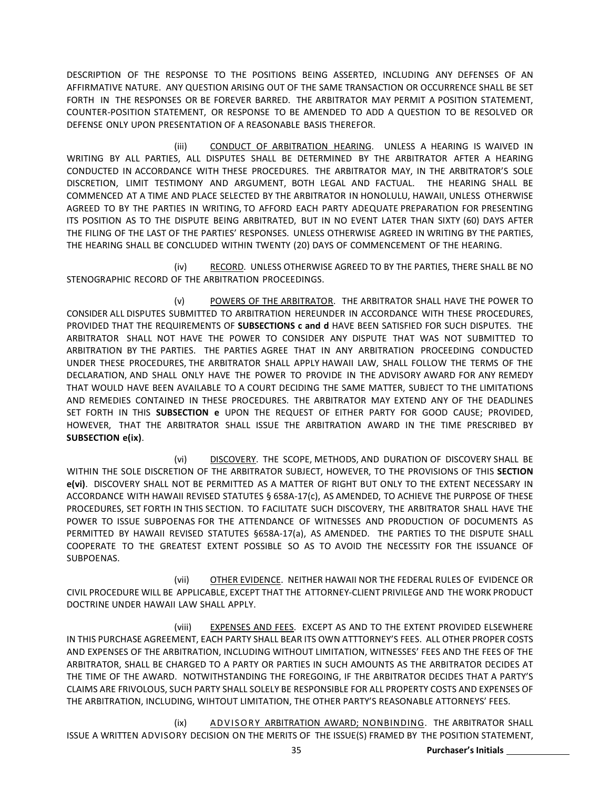DESCRIPTION OF THE RESPONSE TO THE POSITIONS BEING ASSERTED, INCLUDING ANY DEFENSES OF AN AFFIRMATIVE NATURE. ANY QUESTION ARISING OUT OF THE SAME TRANSACTION OR OCCURRENCE SHALL BE SET FORTH IN THE RESPONSES OR BE FOREVER BARRED. THE ARBITRATOR MAY PERMIT A POSITION STATEMENT, COUNTER-POSITION STATEMENT, OR RESPONSE TO BE AMENDED TO ADD A QUESTION TO BE RESOLVED OR DEFENSE ONLY UPON PRESENTATION OF A REASONABLE BASIS THEREFOR.

(iii) CONDUCT OF ARBITRATION HEARING. UNLESS A HEARING IS WAIVED IN WRITING BY ALL PARTIES, ALL DISPUTES SHALL BE DETERMINED BY THE ARBITRATOR AFTER A HEARING CONDUCTED IN ACCORDANCE WITH THESE PROCEDURES. THE ARBITRATOR MAY, IN THE ARBITRATOR'S SOLE DISCRETION, LIMIT TESTIMONY AND ARGUMENT, BOTH LEGAL AND FACTUAL. THE HEARING SHALL BE COMMENCED AT A TIME AND PLACE SELECTED BY THE ARBITRATOR IN HONOLULU, HAWAII, UNLESS OTHERWISE AGREED TO BY THE PARTIES IN WRITING, TO AFFORD EACH PARTY ADEQUATE PREPARATION FOR PRESENTING ITS POSITION AS TO THE DISPUTE BEING ARBITRATED, BUT IN NO EVENT LATER THAN SIXTY (60) DAYS AFTER THE FILING OF THE LAST OF THE PARTIES' RESPONSES. UNLESS OTHERWISE AGREED IN WRITING BY THE PARTIES, THE HEARING SHALL BE CONCLUDED WITHIN TWENTY (20) DAYS OF COMMENCEMENT OF THE HEARING.

(iv) RECORD. UNLESS OTHERWISE AGREED TO BY THE PARTIES, THERE SHALL BE NO STENOGRAPHIC RECORD OF THE ARBITRATION PROCEEDINGS.

(v) POWERS OF THE ARBITRATOR. THE ARBITRATOR SHALL HAVE THE POWER TO CONSIDER ALL DISPUTES SUBMITTED TO ARBITRATION HEREUNDER IN ACCORDANCE WITH THESE PROCEDURES, PROVIDED THAT THE REQUIREMENTS OF **SUBSECTIONS c and d** HAVE BEEN SATISFIED FOR SUCH DISPUTES. THE ARBITRATOR SHALL NOT HAVE THE POWER TO CONSIDER ANY DISPUTE THAT WAS NOT SUBMITTED TO ARBITRATION BY THE PARTIES. THE PARTIES AGREE THAT IN ANY ARBITRATION PROCEEDING CONDUCTED UNDER THESE PROCEDURES, THE ARBITRATOR SHALL APPLY HAWAII LAW, SHALL FOLLOW THE TERMS OF THE DECLARATION, AND SHALL ONLY HAVE THE POWER TO PROVIDE IN THE ADVISORY AWARD FOR ANY REMEDY THAT WOULD HAVE BEEN AVAILABLE TO A COURT DECIDING THE SAME MATTER, SUBJECT TO THE LIMITATIONS AND REMEDIES CONTAINED IN THESE PROCEDURES. THE ARBITRATOR MAY EXTEND ANY OF THE DEADLINES SET FORTH IN THIS **SUBSECTION e** UPON THE REQUEST OF EITHER PARTY FOR GOOD CAUSE; PROVIDED, HOWEVER, THAT THE ARBITRATOR SHALL ISSUE THE ARBITRATION AWARD IN THE TIME PRESCRIBED BY **SUBSECTION e(ix)**.

(vi) DISCOVERY. THE SCOPE, METHODS, AND DURATION OF DISCOVERY SHALL BE WITHIN THE SOLE DISCRETION OF THE ARBITRATOR SUBJECT, HOWEVER, TO THE PROVISIONS OF THIS **SECTION e(vi)**. DISCOVERY SHALL NOT BE PERMITTED AS A MATTER OF RIGHT BUT ONLY TO THE EXTENT NECESSARY IN ACCORDANCE WITH HAWAII REVISED STATUTES § 658A-17(c), AS AMENDED, TO ACHIEVE THE PURPOSE OF THESE PROCEDURES, SET FORTH IN THIS SECTION. TO FACILITATE SUCH DISCOVERY, THE ARBITRATOR SHALL HAVE THE POWER TO ISSUE SUBPOENAS FOR THE ATTENDANCE OF WITNESSES AND PRODUCTION OF DOCUMENTS AS PERMITTED BY HAWAII REVISED STATUTES §658A-17(a), AS AMENDED. THE PARTIES TO THE DISPUTE SHALL COOPERATE TO THE GREATEST EXTENT POSSIBLE SO AS TO AVOID THE NECESSITY FOR THE ISSUANCE OF SUBPOENAS.

(vii) OTHER EVIDENCE. NEITHER HAWAII NOR THE FEDERAL RULES OF EVIDENCE OR CIVIL PROCEDURE WILL BE APPLICABLE, EXCEPT THAT THE ATTORNEY-CLIENT PRIVILEGE AND THE WORK PRODUCT DOCTRINE UNDER HAWAII LAW SHALL APPLY.

(viii) EXPENSES AND FEES. EXCEPT AS AND TO THE EXTENT PROVIDED ELSEWHERE IN THIS PURCHASE AGREEMENT, EACH PARTY SHALL BEAR ITS OWN ATTTORNEY'S FEES. ALL OTHER PROPER COSTS AND EXPENSES OF THE ARBITRATION, INCLUDING WITHOUT LIMITATION, WITNESSES' FEES AND THE FEES OF THE ARBITRATOR, SHALL BE CHARGED TO A PARTY OR PARTIES IN SUCH AMOUNTS AS THE ARBITRATOR DECIDES AT THE TIME OF THE AWARD. NOTWITHSTANDING THE FOREGOING, IF THE ARBITRATOR DECIDES THAT A PARTY'S CLAIMS ARE FRIVOLOUS, SUCH PARTY SHALL SOLELY BE RESPONSIBLE FOR ALL PROPERTY COSTS AND EXPENSES OF THE ARBITRATION, INCLUDING, WIHTOUT LIMITATION, THE OTHER PARTY'S REASONABLE ATTORNEYS' FEES.

(ix) ADVISORY ARBITRATION AWARD; NONBINDING. THE ARBITRATOR SHALL ISSUE A WRITTEN ADVISORY DECISION ON THE MERITS OF THE ISSUE(S) FRAMED BY THE POSITION STATEMENT,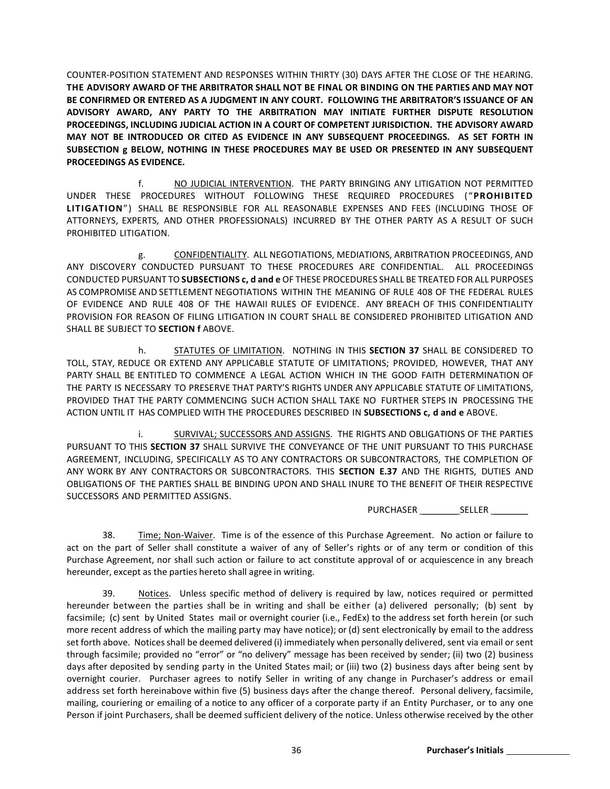COUNTER-POSITION STATEMENT AND RESPONSES WITHIN THIRTY (30) DAYS AFTER THE CLOSE OF THE HEARING. **THE ADVISORY AWARD OF THE ARBITRATOR SHALL NOT BE FINAL OR BINDING ON THE PARTIES AND MAY NOT BE CONFIRMED OR ENTERED AS A JUDGMENT IN ANY COURT. FOLLOWING THE ARBITRATOR'S ISSUANCE OF AN ADVISORY AWARD, ANY PARTY TO THE ARBITRATION MAY INITIATE FURTHER DISPUTE RESOLUTION PROCEEDINGS, INCLUDING JUDICIAL ACTION IN A COURT OF COMPETENT JURISDICTION. THE ADVISORY AWARD MAY NOT BE INTRODUCED OR CITED AS EVIDENCE IN ANY SUBSEQUENT PROCEEDINGS. AS SET FORTH IN SUBSECTION g BELOW, NOTHING IN THESE PROCEDURES MAY BE USED OR PRESENTED IN ANY SUBSEQUENT PROCEEDINGS AS EVIDENCE.**

f. NO JUDICIAL INTERVENTION. THE PARTY BRINGING ANY LITIGATION NOT PERMITTED UNDER THESE PROCEDURES WITHOUT FOLLOWING THESE REQUIRED PROCEDURES ("**PROHIBITED LITIGATION**") SHALL BE RESPONSIBLE FOR ALL REASONABLE EXPENSES AND FEES (INCLUDING THOSE OF ATTORNEYS, EXPERTS, AND OTHER PROFESSIONALS) INCURRED BY THE OTHER PARTY AS A RESULT OF SUCH PROHIBITED LITIGATION.

g. CONFIDENTIALITY. ALL NEGOTIATIONS, MEDIATIONS, ARBITRATION PROCEEDINGS, AND ANY DISCOVERY CONDUCTED PURSUANT TO THESE PROCEDURES ARE CONFIDENTIAL. ALL PROCEEDINGS CONDUCTED PURSUANT TO **SUBSECTIONS c, d and e** OF THESE PROCEDURES SHALL BE TREATED FOR ALL PURPOSES AS COMPROMISE AND SETTLEMENT NEGOTIATIONS WITHIN THE MEANING OF RULE 408 OF THE FEDERAL RULES OF EVIDENCE AND RULE 408 OF THE HAWAII RULES OF EVIDENCE. ANY BREACH OF THIS CONFIDENTIALITY PROVISION FOR REASON OF FILING LITIGATION IN COURT SHALL BE CONSIDERED PROHIBITED LITIGATION AND SHALL BE SUBJECT TO **SECTION f** ABOVE.

h. STATUTES OF LIMITATION. NOTHING IN THIS **SECTION 37** SHALL BE CONSIDERED TO TOLL, STAY, REDUCE OR EXTEND ANY APPLICABLE STATUTE OF LIMITATIONS; PROVIDED, HOWEVER, THAT ANY PARTY SHALL BE ENTITLED TO COMMENCE A LEGAL ACTION WHICH IN THE GOOD FAITH DETERMINATION OF THE PARTY IS NECESSARY TO PRESERVE THAT PARTY'S RIGHTS UNDER ANY APPLICABLE STATUTE OF LIMITATIONS, PROVIDED THAT THE PARTY COMMENCING SUCH ACTION SHALL TAKE NO FURTHER STEPS IN PROCESSING THE ACTION UNTIL IT HAS COMPLIED WITH THE PROCEDURES DESCRIBED IN **SUBSECTIONS c, d and e** ABOVE.

i. SURVIVAL; SUCCESSORS AND ASSIGNS. THE RIGHTS AND OBLIGATIONS OF THE PARTIES PURSUANT TO THIS **SECTION 37** SHALL SURVIVE THE CONVEYANCE OF THE UNIT PURSUANT TO THIS PURCHASE AGREEMENT, INCLUDING, SPECIFICALLY AS TO ANY CONTRACTORS OR SUBCONTRACTORS, THE COMPLETION OF ANY WORK BY ANY CONTRACTORS OR SUBCONTRACTORS. THIS **SECTION E.37** AND THE RIGHTS, DUTIES AND OBLIGATIONS OF THE PARTIES SHALL BE BINDING UPON AND SHALL INURE TO THE BENEFIT OF THEIR RESPECTIVE SUCCESSORS AND PERMITTED ASSIGNS.

PURCHASER \_\_\_\_\_\_\_ SELLER \_\_\_\_\_\_\_

38. Time; Non-Waiver. Time is of the essence of this Purchase Agreement. No action or failure to act on the part of Seller shall constitute a waiver of any of Seller's rights or of any term or condition of this Purchase Agreement, nor shall such action or failure to act constitute approval of or acquiescence in any breach hereunder, except as the parties hereto shall agree in writing.

39. Notices. Unless specific method of delivery is required by law, notices required or permitted hereunder between the parties shall be in writing and shall be either (a) delivered personally; (b) sent by facsimile; (c) sent by United States mail or overnight courier (i.e., FedEx) to the address set forth herein (or such more recent address of which the mailing party may have notice); or (d) sent electronically by email to the address set forth above. Notices shall be deemed delivered (i) immediately when personally delivered, sent via email or sent through facsimile; provided no "error" or "no delivery" message has been received by sender; (ii) two (2) business days after deposited by sending party in the United States mail; or (iii) two (2) business days after being sent by overnight courier. Purchaser agrees to notify Seller in writing of any change in Purchaser's address or email address set forth hereinabove within five (5) business days after the change thereof. Personal delivery, facsimile, mailing, couriering or emailing of a notice to any officer of a corporate party if an Entity Purchaser, or to any one Person if joint Purchasers, shall be deemed sufficient delivery of the notice. Unless otherwise received by the other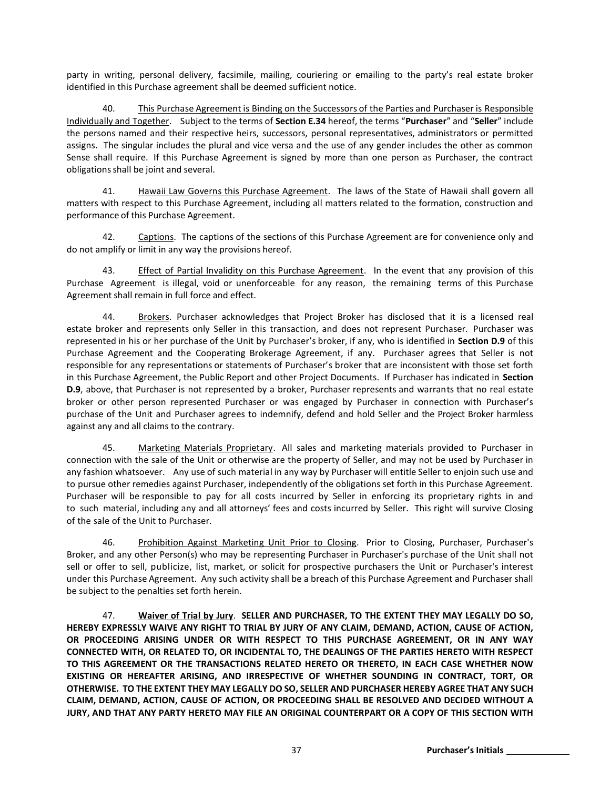party in writing, personal delivery, facsimile, mailing, couriering or emailing to the party's real estate broker identified in this Purchase agreement shall be deemed sufficient notice.

40. This Purchase Agreement is Binding on the Successors of the Parties and Purchaser is Responsible Individually and Together. Subject to the terms of **Section E.34** hereof, the terms "**Purchaser**" and "**Seller**" include the persons named and their respective heirs, successors, personal representatives, administrators or permitted assigns. The singular includes the plural and vice versa and the use of any gender includes the other as common Sense shall require. If this Purchase Agreement is signed by more than one person as Purchaser, the contract obligations shall be joint and several.

41. Hawaii Law Governs this Purchase Agreement. The laws of the State of Hawaii shall govern all matters with respect to this Purchase Agreement, including all matters related to the formation, construction and performance of this Purchase Agreement.

42. Captions. The captions of the sections of this Purchase Agreement are for convenience only and do not amplify or limit in any way the provisions hereof.

43. Effect of Partial Invalidity on this Purchase Agreement. In the event that any provision of this Purchase Agreement is illegal, void or unenforceable for any reason, the remaining terms of this Purchase Agreement shall remain in full force and effect.

44. Brokers. Purchaser acknowledges that Project Broker has disclosed that it is a licensed real estate broker and represents only Seller in this transaction, and does not represent Purchaser. Purchaser was represented in his or her purchase of the Unit by Purchaser's broker, if any, who is identified in **Section D.9** of this Purchase Agreement and the Cooperating Brokerage Agreement, if any. Purchaser agrees that Seller is not responsible for any representations or statements of Purchaser's broker that are inconsistent with those set forth in this Purchase Agreement, the Public Report and other Project Documents. If Purchaser has indicated in **Section D.9**, above, that Purchaser is not represented by a broker, Purchaser represents and warrants that no real estate broker or other person represented Purchaser or was engaged by Purchaser in connection with Purchaser's purchase of the Unit and Purchaser agrees to indemnify, defend and hold Seller and the Project Broker harmless against any and all claims to the contrary.

45. Marketing Materials Proprietary. All sales and marketing materials provided to Purchaser in connection with the sale of the Unit or otherwise are the property of Seller, and may not be used by Purchaser in any fashion whatsoever. Any use of such material in any way by Purchaser will entitle Seller to enjoin such use and to pursue other remedies against Purchaser, independently of the obligations set forth in this Purchase Agreement. Purchaser will be responsible to pay for all costs incurred by Seller in enforcing its proprietary rights in and to such material, including any and all attorneys' fees and costs incurred by Seller. This right will survive Closing of the sale of the Unit to Purchaser.

46. Prohibition Against Marketing Unit Prior to Closing. Prior to Closing, Purchaser, Purchaser's Broker, and any other Person(s) who may be representing Purchaser in Purchaser's purchase of the Unit shall not sell or offer to sell, publicize, list, market, or solicit for prospective purchasers the Unit or Purchaser's interest under this Purchase Agreement. Any such activity shall be a breach of this Purchase Agreement and Purchaser shall be subject to the penalties set forth herein.

47. **Waiver of Trial by Jury**. **SELLER AND PURCHASER, TO THE EXTENT THEY MAY LEGALLY DO SO, HEREBY EXPRESSLY WAIVE ANY RIGHT TO TRIAL BY JURY OF ANY CLAIM, DEMAND, ACTION, CAUSE OF ACTION, OR PROCEEDING ARISING UNDER OR WITH RESPECT TO THIS PURCHASE AGREEMENT, OR IN ANY WAY CONNECTED WITH, OR RELATED TO, OR INCIDENTAL TO, THE DEALINGS OF THE PARTIES HERETO WITH RESPECT TO THIS AGREEMENT OR THE TRANSACTIONS RELATED HERETO OR THERETO, IN EACH CASE WHETHER NOW EXISTING OR HEREAFTER ARISING, AND IRRESPECTIVE OF WHETHER SOUNDING IN CONTRACT, TORT, OR OTHERWISE. TO THE EXTENT THEY MAY LEGALLY DO SO, SELLER AND PURCHASER HEREBY AGREE THAT ANY SUCH CLAIM, DEMAND, ACTION, CAUSE OF ACTION, OR PROCEEDING SHALL BE RESOLVED AND DECIDED WITHOUT A JURY, AND THAT ANY PARTY HERETO MAY FILE AN ORIGINAL COUNTERPART OR A COPY OF THIS SECTION WITH**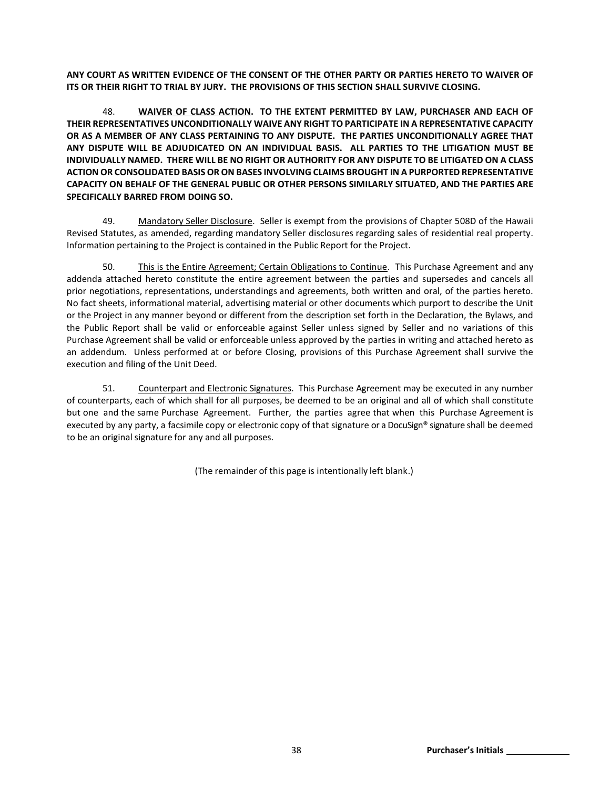**ANY COURT AS WRITTEN EVIDENCE OF THE CONSENT OF THE OTHER PARTY OR PARTIES HERETO TO WAIVER OF ITS OR THEIR RIGHT TO TRIAL BY JURY. THE PROVISIONS OF THIS SECTION SHALL SURVIVE CLOSING.**

48. **WAIVER OF CLASS ACTION. TO THE EXTENT PERMITTED BY LAW, PURCHASER AND EACH OF THEIR REPRESENTATIVES UNCONDITIONALLY WAIVE ANY RIGHT TO PARTICIPATE IN A REPRESENTATIVE CAPACITY OR AS A MEMBER OF ANY CLASS PERTAINING TO ANY DISPUTE. THE PARTIES UNCONDITIONALLY AGREE THAT ANY DISPUTE WILL BE ADJUDICATED ON AN INDIVIDUAL BASIS. ALL PARTIES TO THE LITIGATION MUST BE INDIVIDUALLY NAMED. THERE WILL BE NO RIGHT OR AUTHORITY FOR ANY DISPUTE TO BE LITIGATED ON A CLASS ACTION OR CONSOLIDATED BASIS OR ON BASES INVOLVING CLAIMS BROUGHT IN A PURPORTED REPRESENTATIVE CAPACITY ON BEHALF OF THE GENERAL PUBLIC OR OTHER PERSONS SIMILARLY SITUATED, AND THE PARTIES ARE SPECIFICALLY BARRED FROM DOING SO.**

49. Mandatory Seller Disclosure. Seller is exempt from the provisions of Chapter 508D of the Hawaii Revised Statutes, as amended, regarding mandatory Seller disclosures regarding sales of residential real property. Information pertaining to the Project is contained in the Public Report for the Project.

50. This is the Entire Agreement; Certain Obligations to Continue. This Purchase Agreement and any addenda attached hereto constitute the entire agreement between the parties and supersedes and cancels all prior negotiations, representations, understandings and agreements, both written and oral, of the parties hereto. No fact sheets, informational material, advertising material or other documents which purport to describe the Unit or the Project in any manner beyond or different from the description set forth in the Declaration, the Bylaws, and the Public Report shall be valid or enforceable against Seller unless signed by Seller and no variations of this Purchase Agreement shall be valid or enforceable unless approved by the parties in writing and attached hereto as an addendum. Unless performed at or before Closing, provisions of this Purchase Agreement shall survive the execution and filing of the Unit Deed.

51. Counterpart and Electronic Signatures. This Purchase Agreement may be executed in any number of counterparts, each of which shall for all purposes, be deemed to be an original and all of which shall constitute but one and the same Purchase Agreement. Further, the parties agree that when this Purchase Agreement is executed by any party, a facsimile copy or electronic copy of that signature or a DocuSign® signature shall be deemed to be an original signature for any and all purposes.

(The remainder of this page is intentionally left blank.)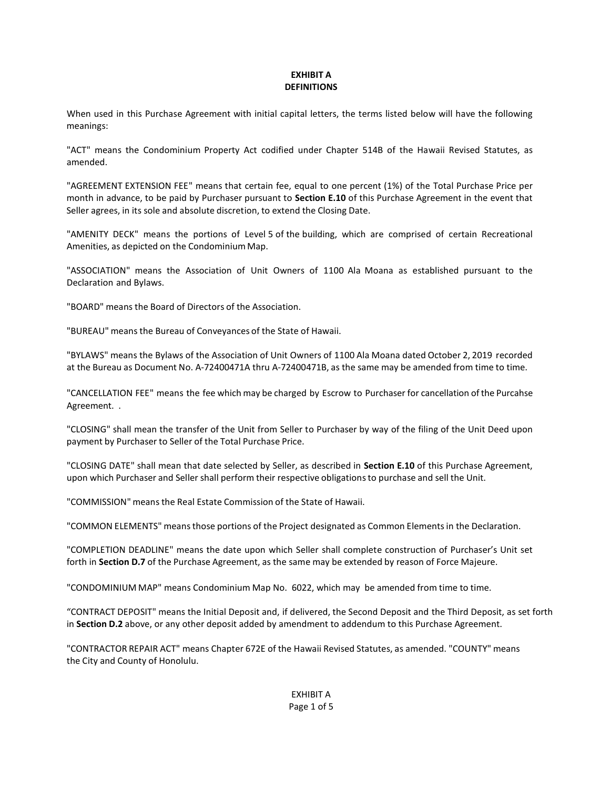## **EXHIBIT A DEFINITIONS**

When used in this Purchase Agreement with initial capital letters, the terms listed below will have the following meanings:

"ACT" means the Condominium Property Act codified under Chapter 514B of the Hawaii Revised Statutes, as amended.

"AGREEMENT EXTENSION FEE" means that certain fee, equal to one percent (1%) of the Total Purchase Price per month in advance, to be paid by Purchaser pursuant to **Section E.10** of this Purchase Agreement in the event that Seller agrees, in its sole and absolute discretion, to extend the Closing Date.

"AMENITY DECK" means the portions of Level 5 of the building, which are comprised of certain Recreational Amenities, as depicted on the Condominium Map.

"ASSOCIATION" means the Association of Unit Owners of 1100 Ala Moana as established pursuant to the Declaration and Bylaws.

"BOARD" means the Board of Directors of the Association.

"BUREAU" means the Bureau of Conveyances of the State of Hawaii.

"BYLAWS" means the Bylaws of the Association of Unit Owners of 1100 Ala Moana dated October 2, 2019 recorded at the Bureau as Document No. A-72400471A thru A-72400471B, as the same may be amended from time to time.

"CANCELLATION FEE" means the fee which may be charged by Escrow to Purchaser for cancellation of the Purcahse Agreement. .

"CLOSING" shall mean the transfer of the Unit from Seller to Purchaser by way of the filing of the Unit Deed upon payment by Purchaser to Seller of the Total Purchase Price.

"CLOSING DATE" shall mean that date selected by Seller, as described in **Section E.10** of this Purchase Agreement, upon which Purchaser and Seller shall perform their respective obligationsto purchase and sell the Unit.

"COMMISSION" meansthe Real Estate Commission of the State of Hawaii.

"COMMON ELEMENTS" meansthose portions of the Project designated as Common Elementsin the Declaration.

"COMPLETION DEADLINE" means the date upon which Seller shall complete construction of Purchaser's Unit set forth in **Section D.7** of the Purchase Agreement, as the same may be extended by reason of Force Majeure.

"CONDOMINIUM MAP" means Condominium Map No. 6022, which may be amended from time to time.

"CONTRACT DEPOSIT" means the Initial Deposit and, if delivered, the Second Deposit and the Third Deposit, as set forth in **Section D.2** above, or any other deposit added by amendment to addendum to this Purchase Agreement.

"CONTRACTOR REPAIR ACT" means Chapter 672E of the Hawaii Revised Statutes, as amended. "COUNTY" means the City and County of Honolulu.

# EXHIBIT A Page 1 of 5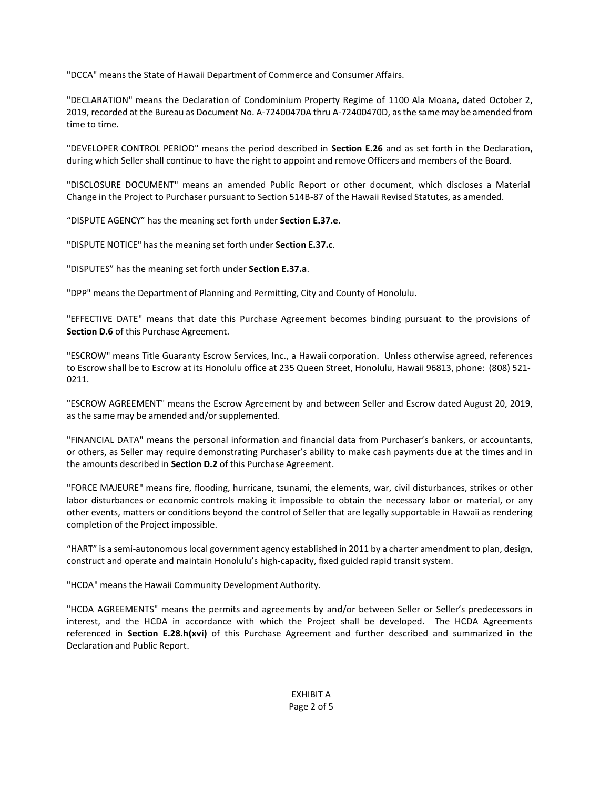"DCCA" means the State of Hawaii Department of Commerce and Consumer Affairs.

"DECLARATION" means the Declaration of Condominium Property Regime of 1100 Ala Moana, dated October 2, 2019, recorded at the Bureau as Document No. A-72400470A thru A-72400470D, asthe same may be amended from time to time.

"DEVELOPER CONTROL PERIOD" means the period described in **Section E.26** and as set forth in the Declaration, during which Seller shall continue to have the right to appoint and remove Officers and members of the Board.

"DISCLOSURE DOCUMENT" means an amended Public Report or other document, which discloses a Material Change in the Project to Purchaser pursuant to Section 514B-87 of the Hawaii Revised Statutes, as amended.

"DISPUTE AGENCY" has the meaning set forth under **Section E.37.e**.

"DISPUTE NOTICE" has the meaning set forth under **Section E.37.c**.

"DISPUTES" has the meaning set forth under **Section E.37.a**.

"DPP" means the Department of Planning and Permitting, City and County of Honolulu.

"EFFECTIVE DATE" means that date this Purchase Agreement becomes binding pursuant to the provisions of **Section D.6** of this Purchase Agreement.

"ESCROW" means Title Guaranty Escrow Services, Inc., a Hawaii corporation. Unless otherwise agreed, references to Escrow shall be to Escrow at its Honolulu office at 235 Queen Street, Honolulu, Hawaii 96813, phone: (808) 521- 0211.

"ESCROW AGREEMENT" means the Escrow Agreement by and between Seller and Escrow dated August 20, 2019, as the same may be amended and/or supplemented.

"FINANCIAL DATA" means the personal information and financial data from Purchaser's bankers, or accountants, or others, as Seller may require demonstrating Purchaser's ability to make cash payments due at the times and in the amounts described in **Section D.2** of this Purchase Agreement.

"FORCE MAJEURE" means fire, flooding, hurricane, tsunami, the elements, war, civil disturbances, strikes or other labor disturbances or economic controls making it impossible to obtain the necessary labor or material, or any other events, matters or conditions beyond the control of Seller that are legally supportable in Hawaii as rendering completion of the Project impossible.

"HART" is a semi-autonomous local government agency established in 2011 by a charter amendment to plan, design, construct and operate and maintain Honolulu's high-capacity, fixed guided rapid transit system.

"HCDA" means the Hawaii Community Development Authority.

"HCDA AGREEMENTS" means the permits and agreements by and/or between Seller or Seller's predecessors in interest, and the HCDA in accordance with which the Project shall be developed. The HCDA Agreements referenced in **Section E.28.h(xvi)** of this Purchase Agreement and further described and summarized in the Declaration and Public Report.

> EXHIBIT A Page 2 of 5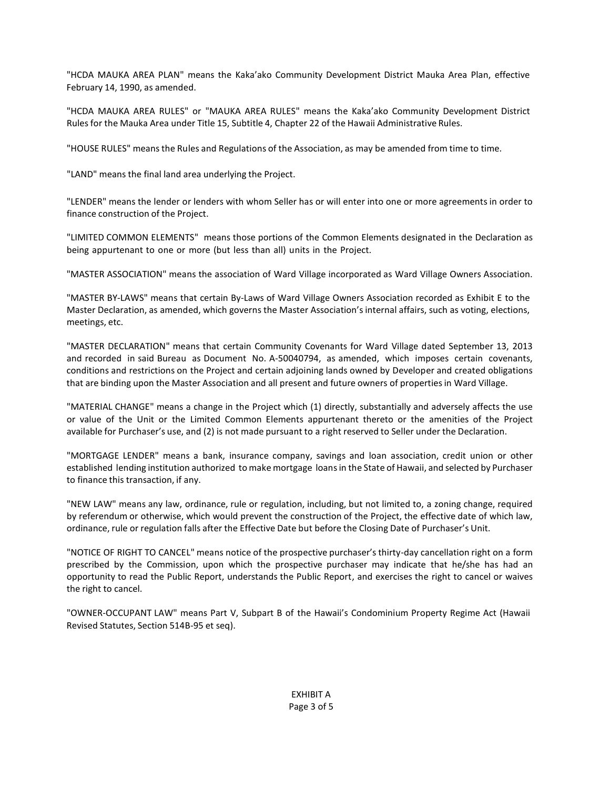"HCDA MAUKA AREA PLAN" means the Kaka'ako Community Development District Mauka Area Plan, effective February 14, 1990, as amended.

"HCDA MAUKA AREA RULES" or "MAUKA AREA RULES" means the Kaka'ako Community Development District Rules for the Mauka Area under Title 15, Subtitle 4, Chapter 22 of the Hawaii Administrative Rules.

"HOUSE RULES" means the Rules and Regulations of the Association, as may be amended from time to time.

"LAND" means the final land area underlying the Project.

"LENDER" means the lender or lenders with whom Seller has or will enter into one or more agreements in order to finance construction of the Project.

"LIMITED COMMON ELEMENTS" means those portions of the Common Elements designated in the Declaration as being appurtenant to one or more (but less than all) units in the Project.

"MASTER ASSOCIATION" means the association of Ward Village incorporated as Ward Village Owners Association.

"MASTER BY-LAWS" means that certain By-Laws of Ward Village Owners Association recorded as Exhibit E to the Master Declaration, as amended, which governs the Master Association'sinternal affairs, such as voting, elections, meetings, etc.

"MASTER DECLARATION" means that certain Community Covenants for Ward Village dated September 13, 2013 and recorded in said Bureau as Document No. A-50040794, as amended, which imposes certain covenants, conditions and restrictions on the Project and certain adjoining lands owned by Developer and created obligations that are binding upon the Master Association and all present and future owners of propertiesin Ward Village.

"MATERIAL CHANGE" means a change in the Project which (1) directly, substantially and adversely affects the use or value of the Unit or the Limited Common Elements appurtenant thereto or the amenities of the Project available for Purchaser's use, and (2) is not made pursuant to a right reserved to Seller under the Declaration.

"MORTGAGE LENDER" means a bank, insurance company, savings and loan association, credit union or other established lending institution authorized to make mortgage loans in the State of Hawaii, and selected by Purchaser to finance this transaction, if any.

"NEW LAW" means any law, ordinance, rule or regulation, including, but not limited to, a zoning change, required by referendum or otherwise, which would prevent the construction of the Project, the effective date of which law, ordinance, rule or regulation falls after the Effective Date but before the Closing Date of Purchaser's Unit.

"NOTICE OF RIGHT TO CANCEL" means notice of the prospective purchaser's thirty-day cancellation right on a form prescribed by the Commission, upon which the prospective purchaser may indicate that he/she has had an opportunity to read the Public Report, understands the Public Report, and exercises the right to cancel or waives the right to cancel.

"OWNER-OCCUPANT LAW" means Part V, Subpart B of the Hawaii's Condominium Property Regime Act (Hawaii Revised Statutes, Section 514B-95 et seq).

> EXHIBIT A Page 3 of 5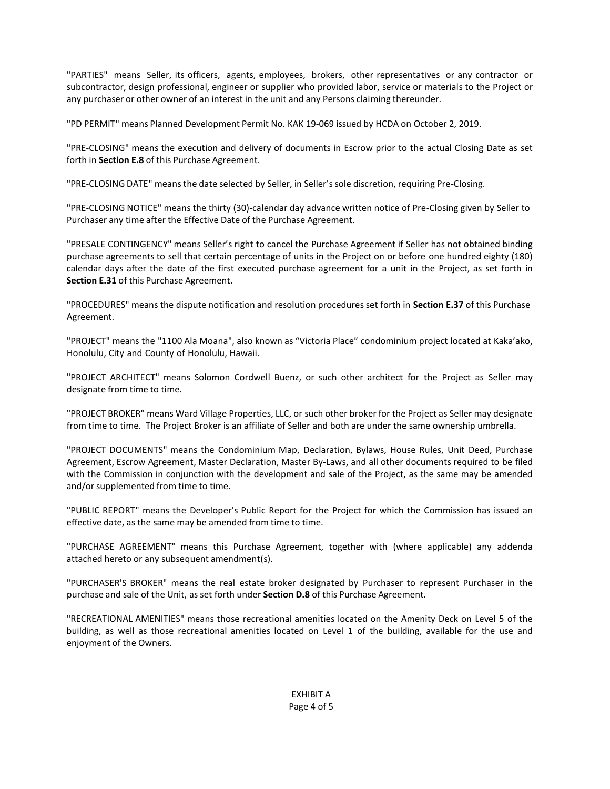"PARTIES" means Seller, its officers, agents, employees, brokers, other representatives or any contractor or subcontractor, design professional, engineer or supplier who provided labor, service or materials to the Project or any purchaser or other owner of an interest in the unit and any Persons claiming thereunder.

"PD PERMIT" means Planned Development Permit No. KAK 19-069 issued by HCDA on October 2, 2019.

"PRE-CLOSING" means the execution and delivery of documents in Escrow prior to the actual Closing Date as set forth in **Section E.8** of this Purchase Agreement.

"PRE-CLOSING DATE" meansthe date selected by Seller, in Seller'ssole discretion, requiring Pre-Closing.

"PRE-CLOSING NOTICE" means the thirty (30)-calendar day advance written notice of Pre-Closing given by Seller to Purchaser any time after the Effective Date of the Purchase Agreement.

"PRESALE CONTINGENCY" means Seller's right to cancel the Purchase Agreement if Seller has not obtained binding purchase agreements to sell that certain percentage of units in the Project on or before one hundred eighty (180) calendar days after the date of the first executed purchase agreement for a unit in the Project, as set forth in **Section E.31** of this Purchase Agreement.

"PROCEDURES" means the dispute notification and resolution procedures set forth in **Section E.37** of this Purchase Agreement.

"PROJECT" means the "1100 Ala Moana", also known as "Victoria Place" condominium project located at Kaka'ako, Honolulu, City and County of Honolulu, Hawaii.

"PROJECT ARCHITECT" means Solomon Cordwell Buenz, or such other architect for the Project as Seller may designate from time to time.

"PROJECT BROKER" means Ward Village Properties, LLC, or such other broker for the Project as Seller may designate from time to time. The Project Broker is an affiliate of Seller and both are under the same ownership umbrella.

"PROJECT DOCUMENTS" means the Condominium Map, Declaration, Bylaws, House Rules, Unit Deed, Purchase Agreement, Escrow Agreement, Master Declaration, Master By-Laws, and all other documents required to be filed with the Commission in conjunction with the development and sale of the Project, as the same may be amended and/or supplemented from time to time.

"PUBLIC REPORT" means the Developer's Public Report for the Project for which the Commission has issued an effective date, as the same may be amended from time to time.

"PURCHASE AGREEMENT" means this Purchase Agreement, together with (where applicable) any addenda attached hereto or any subsequent amendment(s).

"PURCHASER'S BROKER" means the real estate broker designated by Purchaser to represent Purchaser in the purchase and sale of the Unit, as set forth under **Section D.8** of this Purchase Agreement.

"RECREATIONAL AMENITIES" means those recreational amenities located on the Amenity Deck on Level 5 of the building, as well as those recreational amenities located on Level 1 of the building, available for the use and enjoyment of the Owners.

> EXHIBIT A Page 4 of 5